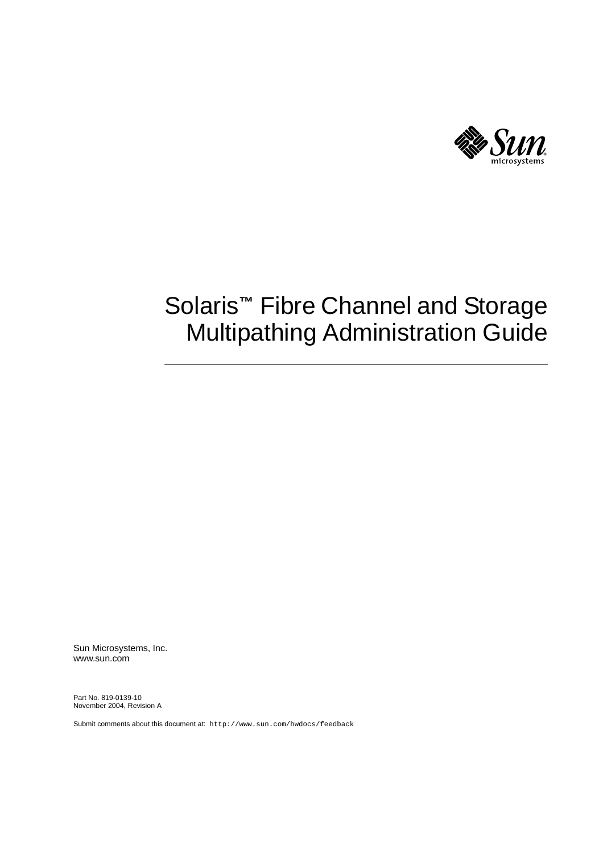

# Solaris**™** Fibre Channel and Storage Multipathing Administration Guide

Sun Microsystems, Inc. www.sun.com

Part No. 819-0139-10 November 2004, Revision A

Submit comments about this document at: http://www.sun.com/hwdocs/feedback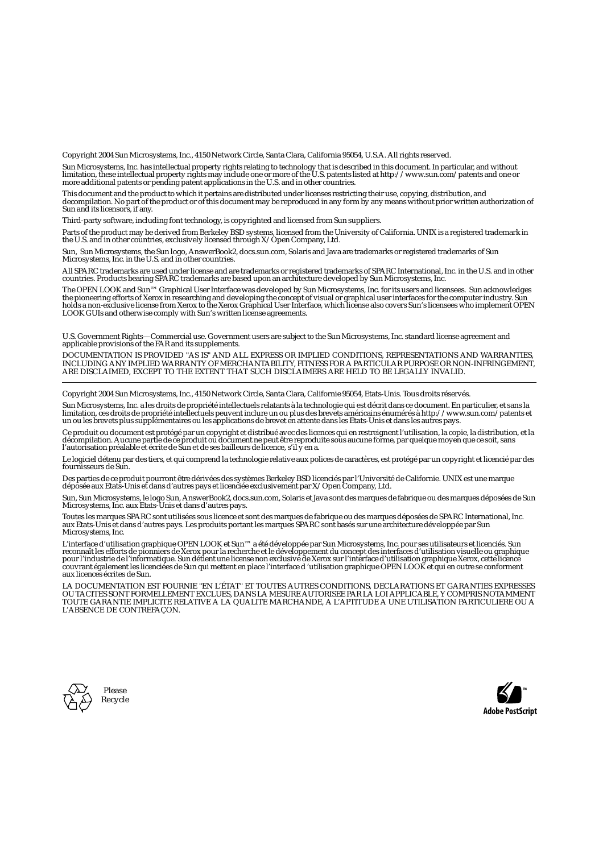Copyright 2004 Sun Microsystems, Inc., 4150 Network Circle, Santa Clara, California 95054, U.S.A. All rights reserved.

Sun Microsystems, Inc. has intellectual property rights relating to technology that is described in this document. In particular, and without limitation, these intellectual property rights may include one or more of the U.S. patents listed at http://www.sun.com/patents and one or more additional patents or pending patent applications in the U.S. and in other countries.

This document and the product to which it pertains are distributed under licenses restricting their use, copying, distribution, and decompilation. No part of the product or of this document may be reproduced in any form by any means without prior written authorization of Sun and its licensors, if any.

Third-party software, including font technology, is copyrighted and licensed from Sun suppliers.

Parts of the product may be derived from Berkeley BSD systems, licensed from the University of California. UNIX is a registered trademark in the U.S. and in other countries, exclusively licensed through X/Open Company, Ltd.

Sun, Sun Microsystems, the Sun logo, AnswerBook2, docs.sun.com, Solaris and Java are trademarks or registered trademarks of Sun Microsystems, Inc. in the U.S. and in other countries.

All SPARC trademarks are used under license and are trademarks or registered trademarks of SPARC International, Inc. in the U.S. and in other countries. Products bearing SPARC trademarks are based upon an architecture developed by Sun Microsystems, Inc.

The OPEN LOOK and Sun™ Graphical User Interface was developed by Sun Microsystems, Inc. for its users and licensees. Sun acknowledges the pioneering efforts of Xerox in researching and developing the concept of visual or graphical user interfaces for the computer industry. Sun holds a non-exclusive license from Xerox to the Xerox Graphical User Interface, which license also covers Sun's licensees who implement OPEN LOOK GUIs and otherwise comply with Sun's written license agreements.

U.S. Government Rights—Commercial use. Government users are subject to the Sun Microsystems, Inc. standard license agreement and applicable provisions of the FAR and its supplements.

DOCUMENTATION IS PROVIDED "AS IS" AND ALL EXPRESS OR IMPLIED CONDITIONS, REPRESENTATIONS AND WARRANTIES, INCLUDING ANY IMPLIED WARRANTY OF MERCHANTABILITY, FITNESS FOR A PARTICULAR PURPOSE OR NON-INFRINGEMENT, ARE DISCLAIMED, EXCEPT TO THE EXTENT THAT SUCH DISCLAIMERS ARE HELD TO BE LEGALLY INVALID.

Copyright 2004 Sun Microsystems, Inc., 4150 Network Circle, Santa Clara, Californie 95054, Etats-Unis. Tous droits réservés.

Sun Microsystems, Inc. a les droits de propriété intellectuels relatants à la technologie qui est décrit dans ce document. En particulier, et sans la limitation, ces droits de propriété intellectuels peuvent inclure un ou plus des brevets américains énumérés à http://www.sun.com/patents et un ou les brevets plus supplémentaires ou les applications de brevet en attente dans les Etats-Unis et dans les autres pays.

Ce produit ou document est protégé par un copyright et distribué avec des licences qui en restreignent l'utilisation, la copie, la distribution, et la décompilation. Aucune partie de ce produit ou document ne peut être reproduite sous aucune forme, par quelque moyen que ce soit, sans l'autorisation préalable et écrite de Sun et de ses bailleurs de licence, s'il y en a.

Le logiciel détenu par des tiers, et qui comprend la technologie relative aux polices de caractères, est protégé par un copyright et licencié par des fournisseurs de Sun.

Des parties de ce produit pourront être dérivées des systèmes Berkeley BSD licenciés par l'Université de Californie. UNIX est une marque déposée aux Etats-Unis et dans d'autres pays et licenciée exclusivement par X/Open Company, Ltd.

Sun, Sun Microsystems, le logo Sun, AnswerBook2, docs.sun.com, Solaris et Java sont des marques de fabrique ou des marques déposées de Sun Microsystems, Inc. aux Etats-Unis et dans d'autres pays.

Toutes les marques SPARC sont utilisées sous licence et sont des marques de fabrique ou des marques déposées de SPARC International, Inc. aux Etats-Unis et dans d'autres pays. Les produits portant les marques SPARC sont basés sur une architecture développée par Sun Microsystems, Inc.

L'interface d'utilisation graphique OPEN LOOK et Sun™ a été développée par Sun Microsystems, Inc. pour ses utilisateurs et licenciés. Sun reconnaît les efforts de pionniers de Xerox pour la recherche et le développement du concept des interfaces d'utilisation visuelle ou graphique pour l'industrie de l'informatique. Sun détient une license non exclusive de Xerox sur l'interface d'utilisation graphique Xerox, cette licence couvrant également les licenciées de Sun qui mettent en place l'interface d 'utilisation graphique OPEN LOOK et qui en outre se conforment aux licences écrites de Sun.

LA DOCUMENTATION EST FOURNIE "EN L'ÉTAT" ET TOUTES AUTRES CONDITIONS, DECLARATIONS ET GARANTIES EXPRESSES OU TACITES SONT FORMELLEMENT EXCLUES, DANS LA MESURE AUTORISEE PAR LA LOI APPLICABLE, Y COMPRIS NOTAMMENT TOUTE GARANTIE IMPLICITE RELATIVE A LA QUALITE MARCHANDE, A L'APTITUDE A UNE UTILISATION PARTICULIERE OU A L'ABSENCE DE CONTREFAÇON.



Please Recycle

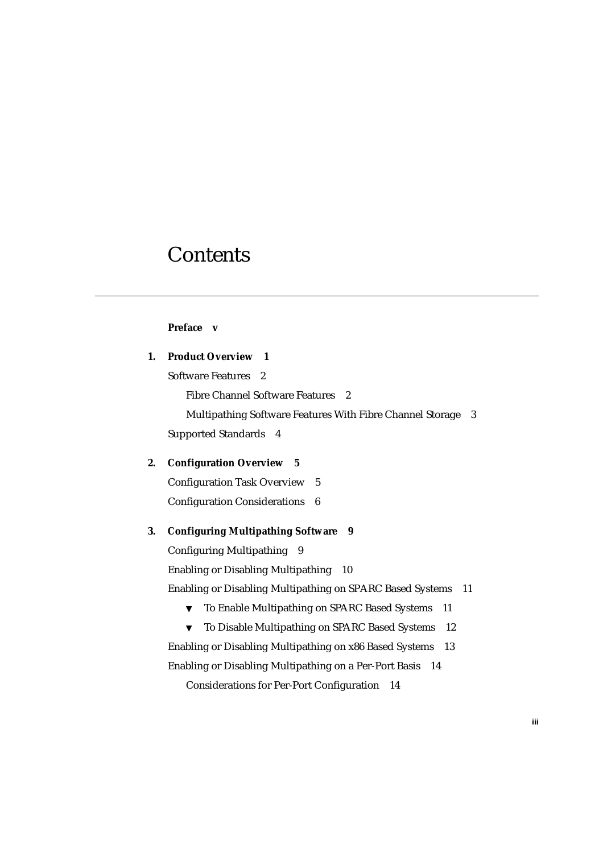### **Contents**

#### **[Preface v](#page-8-0)**

#### **1. [Product Overview](#page-12-0) 1**

[Software Features 2](#page-13-0)

[Fibre Channel Software Features 2](#page-13-1)

[Multipathing Software Features With Fibre Channel Storage](#page-14-0) 3 [Supported Standards 4](#page-15-0)

#### **2. [Configuration Overview](#page-16-0) 5**

[Configuration Task Overview 5](#page-16-1) [Configuration Considerations 6](#page-17-0)

#### **3. [Configuring Multipathing Software](#page-20-0) 9**

[Configuring Multipathing 9](#page-20-1)

[Enabling or Disabling Multipathing](#page-21-0) 10

[Enabling or Disabling Multipathing on SPARC Based Systems 1](#page-22-0)1

▼ [To Enable Multipathing on SPARC Based Systems](#page-22-1) 11

▼ [To Disable Multipathing on SPARC Based Systems 1](#page-23-0)2 [Enabling or Disabling Multipathing on x86 Based Systems](#page-24-0) 13 [Enabling or Disabling Multipathing on a Per-Port Basis 1](#page-25-0)4

[Considerations for Per-Port Configuration](#page-25-1) 14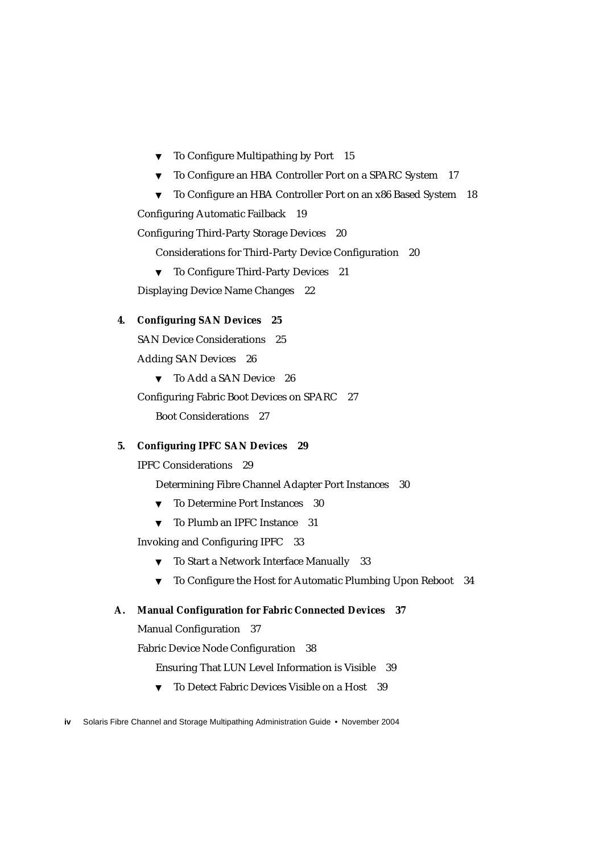- ▼ [To Configure Multipathing by Port](#page-26-0) 15
- ▼ [To Configure an HBA Controller Port on a SPARC System](#page-28-0) 17

▼ [To Configure an HBA Controller Port on an x86 Based System](#page-29-0) 18

[Configuring Automatic Failback 1](#page-30-0)9

[Configuring Third-Party Storage Devices](#page-31-0) 20

[Considerations for Third-Party Device Configuration](#page-31-1) 20

▼ [To Configure Third-Party Devices](#page-32-0) 21

[Displaying Device Name Changes](#page-33-0) 22

#### **4. [Configuring SAN Devices 2](#page-36-0)5**

[SAN Device Considerations 2](#page-36-1)5

[Adding SAN Devices 2](#page-37-0)6

▼ [To Add a SAN Device 2](#page-37-1)6

[Configuring Fabric Boot Devices on SPARC 2](#page-38-0)7

[Boot Considerations](#page-38-1) 27

#### **5. [Configuring IPFC SAN Devices 2](#page-40-0)9**

[IPFC Considerations](#page-40-1) 29

[Determining Fibre Channel Adapter Port Instances 3](#page-41-0)0

- ▼ [To Determine Port Instances 3](#page-41-1)0
- ▼ [To Plumb an IPFC Instance 3](#page-42-0)1

[Invoking and Configuring IPFC 3](#page-44-0)3

- ▼ [To Start a Network Interface Manually](#page-44-1) 33
- ▼ [To Configure the Host for Automatic Plumbing Upon Reboot](#page-45-0) 34

#### **A. [Manual Configuration for Fabric Connected Devices](#page-48-0) 37**

[Manual Configuration 3](#page-48-1)7

[Fabric Device Node Configuration](#page-49-0) 38

[Ensuring That LUN Level Information is Visible 3](#page-50-0)9

▼ [To Detect Fabric Devices Visible on a Host 3](#page-50-1)9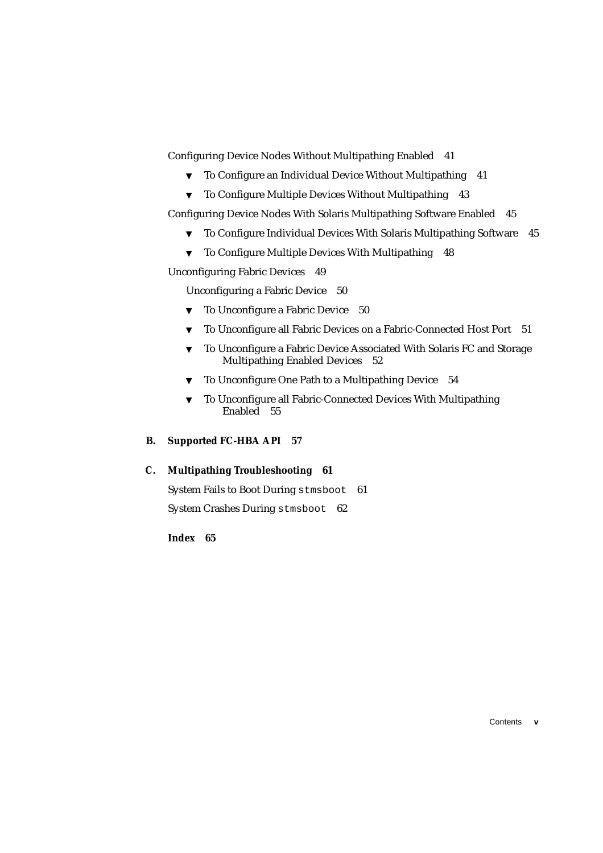[Configuring Device Nodes Without Multipathing Enabled](#page-52-0) 41

- ▼ [To Configure an Individual Device Without Multipathing 4](#page-52-1)1
- ▼ [To Configure Multiple Devices Without Multipathing](#page-54-0) 43

[Configuring Device Nodes With Solaris Multipathing Software Enabled](#page-56-0) 45

- ▼ [To Configure Individual Devices With Solaris Multipathing Software](#page-56-1) 45
- ▼ [To Configure Multiple Devices With Multipathing](#page-59-0) 48

[Unconfiguring Fabric Devices 4](#page-60-0)9

[Unconfiguring a Fabric Device](#page-61-0) 50

- ▼ [To Unconfigure a Fabric Device 5](#page-61-1)0
- ▼ [To Unconfigure all Fabric Devices on a Fabric-Connected Host Port](#page-62-0) 51
- ▼ [To Unconfigure a Fabric Device Associated With Solaris FC and Storage](#page-63-0)  [Multipathing Enabled Devices](#page-63-0) 52
- ▼ [To Unconfigure One Path to a Multipathing Device 5](#page-65-0)4
- To Unconfigure all Fabric-Connected Devices With Multipathing [Enabled 5](#page-66-0)5

#### **B. [Supported FC-HBA API 5](#page-68-0)7**

#### **C. [Multipathing Troubleshooting](#page-72-0) 61**

[System Fails to Boot During](#page-72-1) stmsboot 61 [System Crashes During](#page-73-0) stmsboot 62

**Index 65**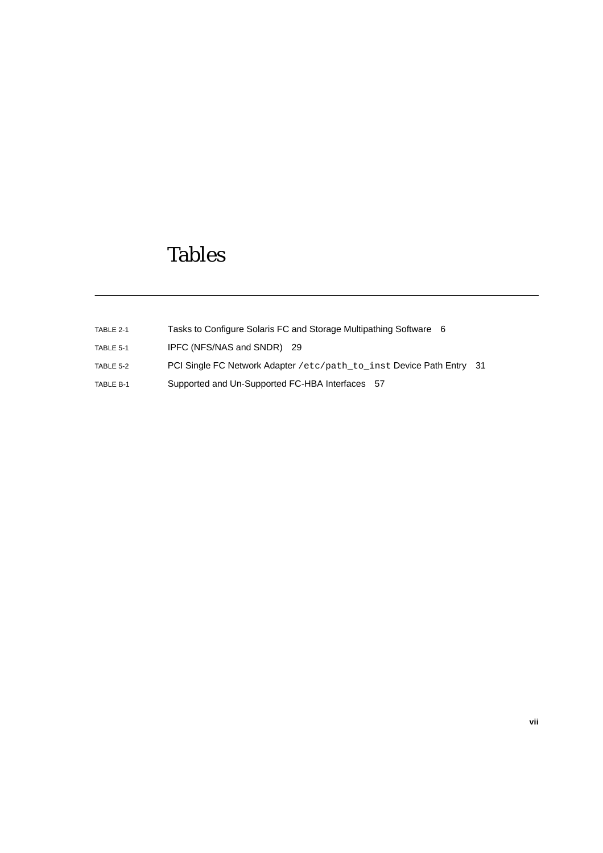## Tables

| TABLE 2-1 | Tasks to Configure Solaris FC and Storage Multipathing Software 6 |  |
|-----------|-------------------------------------------------------------------|--|
|-----------|-------------------------------------------------------------------|--|

- [TABLE 5-1](#page-40-2) **IPFC (NFS/NAS and SNDR)** 29
- [TABLE 5-2](#page-42-1) PCI Single FC Network Adapter /etc/path\_to\_inst Device Path Entry 31
- [TABLE B-1](#page-68-1) Supported and Un-Supported FC-HBA Interfaces 57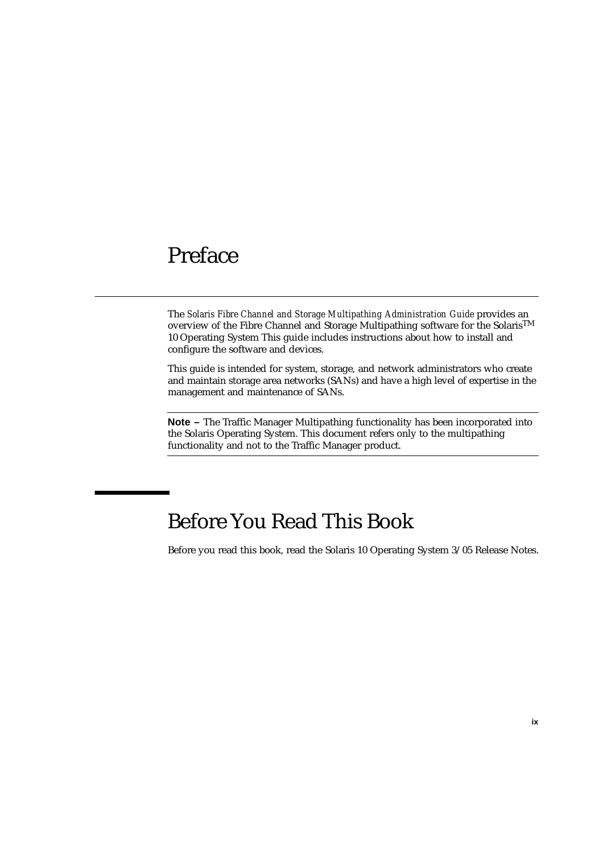### <span id="page-8-0"></span>Preface

The *Solaris Fibre Channel and Storage Multipathing Administration Guide* provides an overview of the Fibre Channel and Storage Multipathing software for the SolarisTM 10 Operating System This guide includes instructions about how to install and configure the software and devices.

This guide is intended for system, storage, and network administrators who create and maintain storage area networks (SANs) and have a high level of expertise in the management and maintenance of SANs.

**Note –** The Traffic Manager Multipathing functionality has been incorporated into the Solaris Operating System. This document refers only to the multipathing functionality and not to the Traffic Manager product.

### Before You Read This Book

Before you read this book, read the Solaris 10 Operating System 3/05 Release Notes.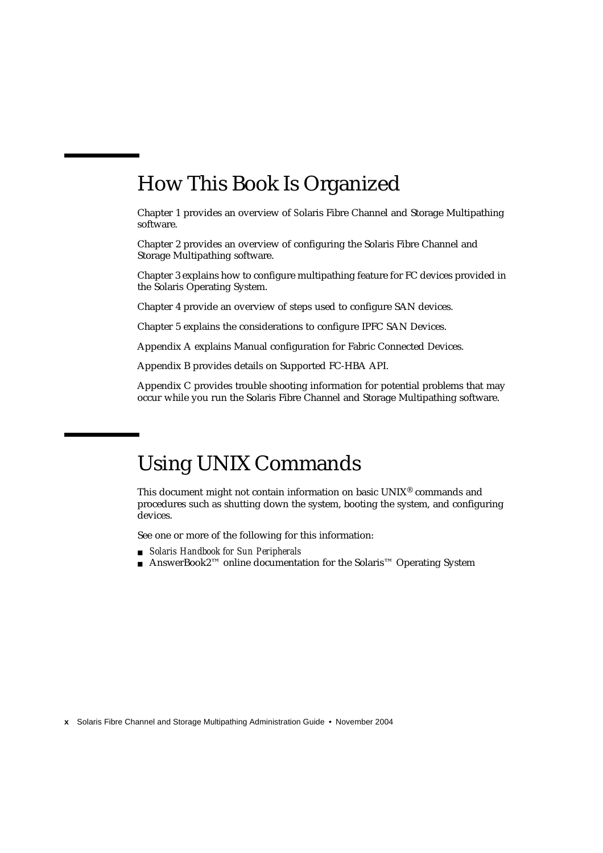# How This Book Is Organized

Chapter 1 provides an overview of *S*olaris Fibre Channel and Storage Multipathing software.

Chapter 2 provides an overview of configuring the Solaris Fibre Channel and Storage Multipathing software.

Chapter 3 explains how to configure multipathing feature for FC devices provided in the Solaris Operating System.

Chapter 4 provide an overview of steps used to configure SAN devices.

Chapter 5 explains the considerations to configure IPFC SAN Devices.

Appendix A explains Manual configuration for Fabric Connected Devices.

Appendix B provides details on Supported FC-HBA API.

Appendix C provides trouble shooting information for potential problems that may occur while you run the Solaris Fibre Channel and Storage Multipathing software.

## Using UNIX Commands

This document might not contain information on basic  $UNIX^{\circledast}$  commands and procedures such as shutting down the system, booting the system, and configuring devices.

See one or more of the following for this information:

- *Solaris Handbook for Sun Peripherals*
- AnswerBook2™ online documentation for the Solaris™ Operating System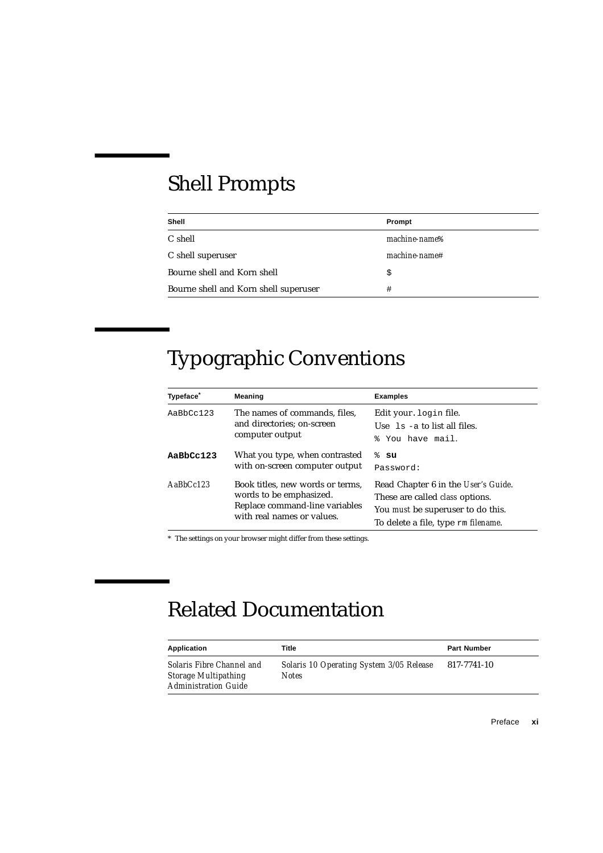# Shell Prompts

| Shell                                 | Prompt                    |
|---------------------------------------|---------------------------|
| C shell                               | machine-name <sup>*</sup> |
| C shell superuser                     | machine-name#             |
| Bourne shell and Korn shell           | Ŝ                         |
| Bourne shell and Korn shell superuser | #                         |

# Typographic Conventions

| Typeface*       | <b>Meaning</b>                                                                                                              | <b>Examples</b>                                                                                                                                                  |
|-----------------|-----------------------------------------------------------------------------------------------------------------------------|------------------------------------------------------------------------------------------------------------------------------------------------------------------|
| AaBbCc123       | The names of commands, files,<br>and directories: on-screen<br>computer output                                              | Edit your. login file.<br>Use $1s$ -a to list all files.<br>You have mail.<br>°≈                                                                                 |
| AaBbCc123       | What you type, when contrasted<br>with on-screen computer output                                                            | °<br>su<br>Password:                                                                                                                                             |
| $A$ aBb $Cc123$ | Book titles, new words or terms,<br>words to be emphasized.<br>Replace command-line variables<br>with real names or values. | Read Chapter 6 in the User's Guide.<br>These are called <i>class</i> options.<br>You <i>must</i> be superuser to do this.<br>To delete a file, type rm filename. |

\* The settings on your browser might differ from these settings.

# Related Documentation

| Application                                                                                    | Title                                                    | <b>Part Number</b> |
|------------------------------------------------------------------------------------------------|----------------------------------------------------------|--------------------|
| <b>Solaris Fibre Channel and</b><br><b>Storage Multipathing</b><br><b>Administration Guide</b> | Solaris 10 Operating System 3/05 Release<br><b>Notes</b> | 817-7741-10        |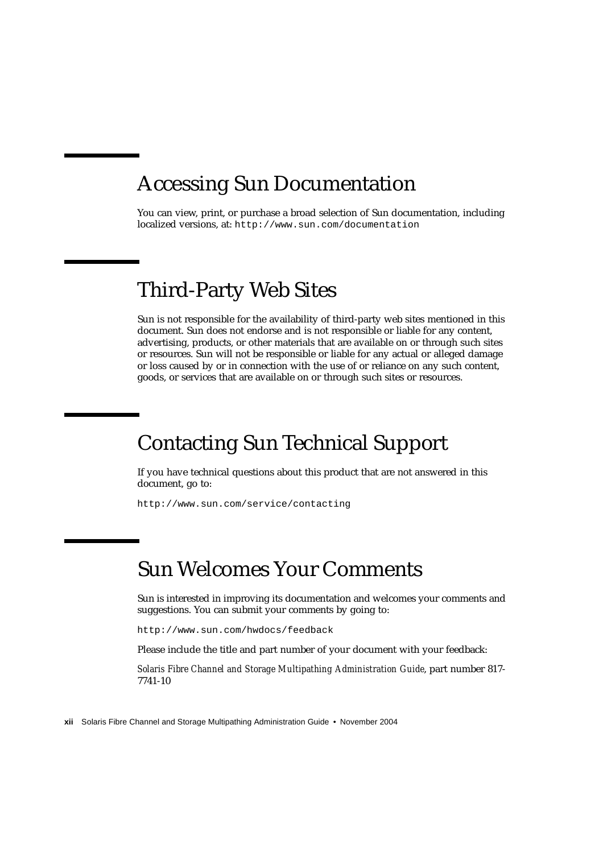## Accessing Sun Documentation

You can view, print, or purchase a broad selection of Sun documentation, including localized versions, at: http://www.sun.com/documentation

## Third-Party Web Sites

Sun is not responsible for the availability of third-party web sites mentioned in this document. Sun does not endorse and is not responsible or liable for any content, advertising, products, or other materials that are available on or through such sites or resources. Sun will not be responsible or liable for any actual or alleged damage or loss caused by or in connection with the use of or reliance on any such content, goods, or services that are available on or through such sites or resources.

# Contacting Sun Technical Support

If you have technical questions about this product that are not answered in this document, go to:

http://www.sun.com/service/contacting

### Sun Welcomes Your Comments

Sun is interested in improving its documentation and welcomes your comments and suggestions. You can submit your comments by going to:

http://www.sun.com/hwdocs/feedback

Please include the title and part number of your document with your feedback:

*Solaris Fibre Channel and Storage Multipathing Administration Guide*, part number 817- 7741-10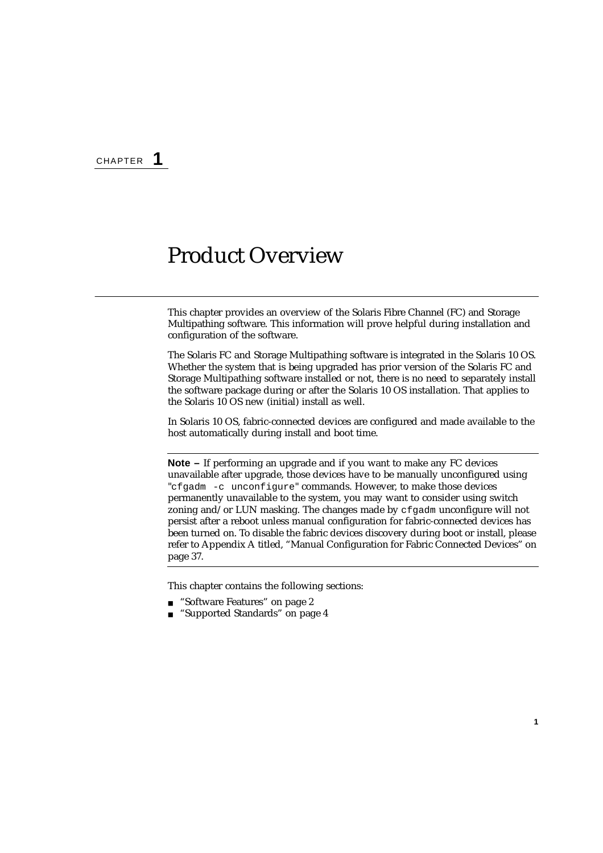CHAPTER **1**

### <span id="page-12-0"></span>Product Overview

This chapter provides an overview of the Solaris Fibre Channel (FC) and Storage Multipathing software. This information will prove helpful during installation and configuration of the software.

The Solaris FC and Storage Multipathing software is integrated in the Solaris 10 OS. Whether the system that is being upgraded has prior version of the Solaris FC and Storage Multipathing software installed or not, there is no need to separately install the software package during or after the Solaris 10 OS installation. That applies to the Solaris 10 OS new (initial) install as well.

In Solaris 10 OS, fabric-connected devices are configured and made available to the host automatically during install and boot time.

**Note –** If performing an upgrade and if you want to make any FC devices unavailable after upgrade, those devices have to be manually unconfigured using "cfgadm -c unconfigure" commands. However, to make those devices permanently unavailable to the system, you may want to consider using switch zoning and/or LUN masking. The changes made by  $cf$  gadm unconfigure will not persist after a reboot unless manual configuration for fabric-connected devices has been turned on. To disable the fabric devices discovery during boot or install, please refer to Appendix A titled, ["Manual Configuration for Fabric Connected Devices" on](#page-48-2)  [page 37](#page-48-2).

This chapter contains the following sections:

- ["Software Features" on page 2](#page-13-0)
- ["Supported Standards" on page 4](#page-15-0)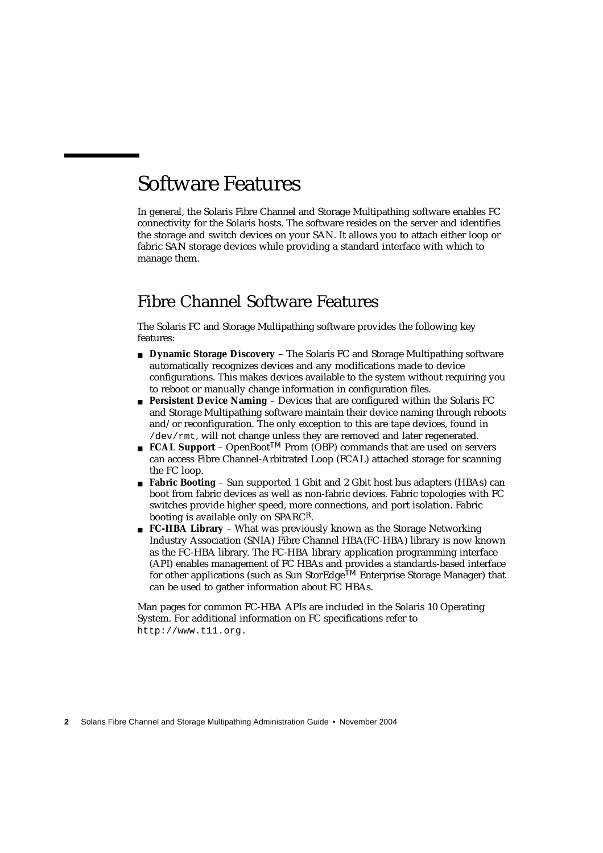## <span id="page-13-0"></span>Software Features

In general, the Solaris Fibre Channel and Storage Multipathing software enables FC connectivity for the Solaris hosts. The software resides on the server and identifies the storage and switch devices on your SAN. It allows you to attach either loop or fabric SAN storage devices while providing a standard interface with which to manage them.

### <span id="page-13-1"></span>Fibre Channel Software Features

The Solaris FC and Storage Multipathing software provides the following key features:

- **Dynamic Storage Discovery**  The Solaris FC and Storage Multipathing software automatically recognizes devices and any modifications made to device configurations. This makes devices available to the system without requiring you to reboot or manually change information in configuration files.
- **Persistent Device Naming** Devices that are configured within the Solaris FC and Storage Multipathing software maintain their device naming through reboots and/or reconfiguration. The only exception to this are tape devices, found in /dev/rmt, will not change unless they are removed and later regenerated.
- **FCAL Support** OpenBoot<sup>™</sup> Prom (OBP) commands that are used on servers can access Fibre Channel-Arbitrated Loop (FCAL) attached storage for scanning the FC loop.
- **Fabric Booting** Sun supported 1 Gbit and 2 Gbit host bus adapters (HBAs) can boot from fabric devices as well as non-fabric devices. Fabric topologies with FC switches provide higher speed, more connections, and port isolation. Fabric booting is available only on SPARC<sup>R</sup>.
- **FC-HBA Library** What was previously known as the Storage Networking Industry Association (SNIA) Fibre Channel HBA(FC-HBA) library is now known as the FC-HBA library. The FC-HBA library application programming interface (API) enables management of FC HBAs and provides a standards-based interface for other applications (such as Sun StorEdgeΤΜ Enterprise Storage Manager) that can be used to gather information about FC HBAs.

Man pages for common FC-HBA APIs are included in the Solaris 10 Operating System. For additional information on FC specifications refer to http://www.t11.org.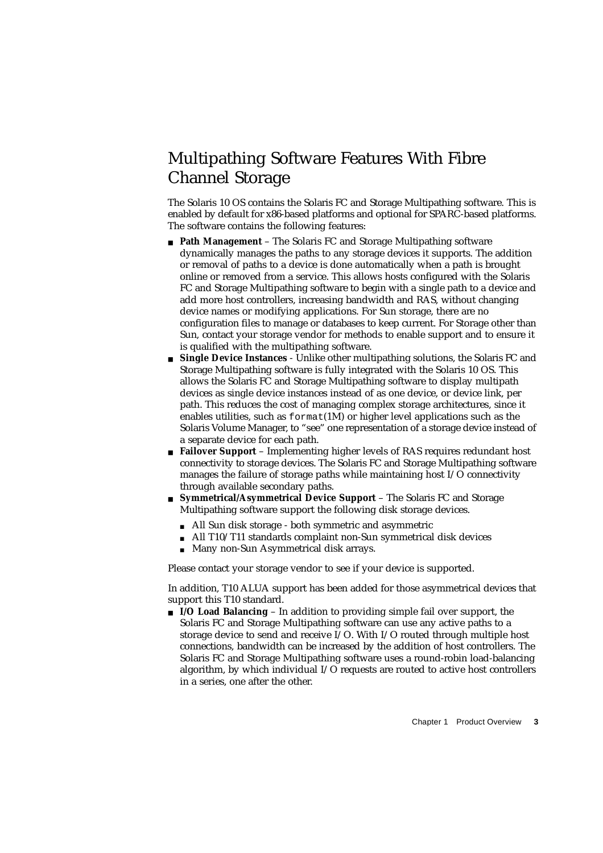### <span id="page-14-0"></span>Multipathing Software Features With Fibre Channel Storage

The Solaris 10 OS contains the Solaris FC and Storage Multipathing software. This is enabled by default for x86-based platforms and optional for SPARC-based platforms. The software contains the following features:

- **Path Management** The Solaris FC and Storage Multipathing software dynamically manages the paths to any storage devices it supports. The addition or removal of paths to a device is done automatically when a path is brought online or removed from a service. This allows hosts configured with the Solaris FC and Storage Multipathing software to begin with a single path to a device and add more host controllers, increasing bandwidth and RAS, without changing device names or modifying applications. For Sun storage, there are no configuration files to manage or databases to keep current. For Storage other than Sun, contact your storage vendor for methods to enable support and to ensure it is qualified with the multipathing software.
- **Single Device Instances** Unlike other multipathing solutions, the Solaris FC and Storage Multipathing software is fully integrated with the Solaris 10 OS. This allows the Solaris FC and Storage Multipathing software to display multipath devices as single device instances instead of as one device, or device link, per path. This reduces the cost of managing complex storage architectures, since it enables utilities, such as format(1M) or higher level applications such as the Solaris Volume Manager, to "see" one representation of a storage device instead of a separate device for each path.
- **Failover Support** Implementing higher levels of RAS requires redundant host connectivity to storage devices. The Solaris FC and Storage Multipathing software manages the failure of storage paths while maintaining host I/O connectivity through available secondary paths.
- **Symmetrical/Asymmetrical Device Support** The Solaris FC and Storage Multipathing software support the following disk storage devices.
	- All Sun disk storage both symmetric and asymmetric
	- All T10/T11 standards complaint non-Sun symmetrical disk devices
	- Many non-Sun Asymmetrical disk arrays.

Please contact your storage vendor to see if your device is supported.

In addition, T10 ALUA support has been added for those asymmetrical devices that support this T10 standard.

■ **I/O Load Balancing** – In addition to providing simple fail over support, the Solaris FC and Storage Multipathing software can use any active paths to a storage device to send and receive I/O. With I/O routed through multiple host connections, bandwidth can be increased by the addition of host controllers. The Solaris FC and Storage Multipathing software uses a round-robin load-balancing algorithm, by which individual I/O requests are routed to active host controllers in a series, one after the other.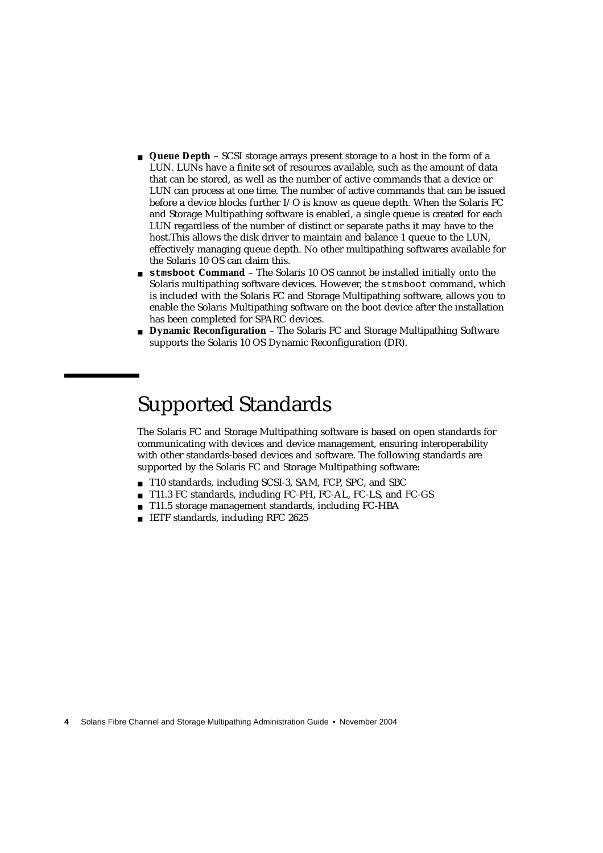- **Queue Depth** SCSI storage arrays present storage to a host in the form of a LUN. LUNs have a finite set of resources available, such as the amount of data that can be stored, as well as the number of active commands that a device or LUN can process at one time. The number of active commands that can be issued before a device blocks further I/O is know as queue depth. When the Solaris FC and Storage Multipathing software is enabled, a single queue is created for each LUN regardless of the number of distinct or separate paths it may have to the host.This allows the disk driver to maintain and balance 1 queue to the LUN, effectively managing queue depth. No other multipathing softwares available for the Solaris 10 OS can claim this.
- **stmsboot Command** The Solaris 10 OS cannot be installed initially onto the Solaris multipathing software devices. However, the stmsboot command, which is included with the Solaris FC and Storage Multipathing software, allows you to enable the Solaris Multipathing software on the boot device after the installation has been completed for SPARC devices.
- **Dynamic Reconfiguration** The Solaris FC and Storage Multipathing Software supports the Solaris 10 OS Dynamic Reconfiguration (DR).

## <span id="page-15-0"></span>Supported Standards

The Solaris FC and Storage Multipathing software is based on open standards for communicating with devices and device management, ensuring interoperability with other standards-based devices and software. The following standards are supported by the Solaris FC and Storage Multipathing software:

- T10 standards, including SCSI-3, SAM, FCP, SPC, and SBC
- T11.3 FC standards, including FC-PH, FC-AL, FC-LS, and FC-GS
- T11.5 storage management standards, including FC-HBA
- IETF standards, including RFC 2625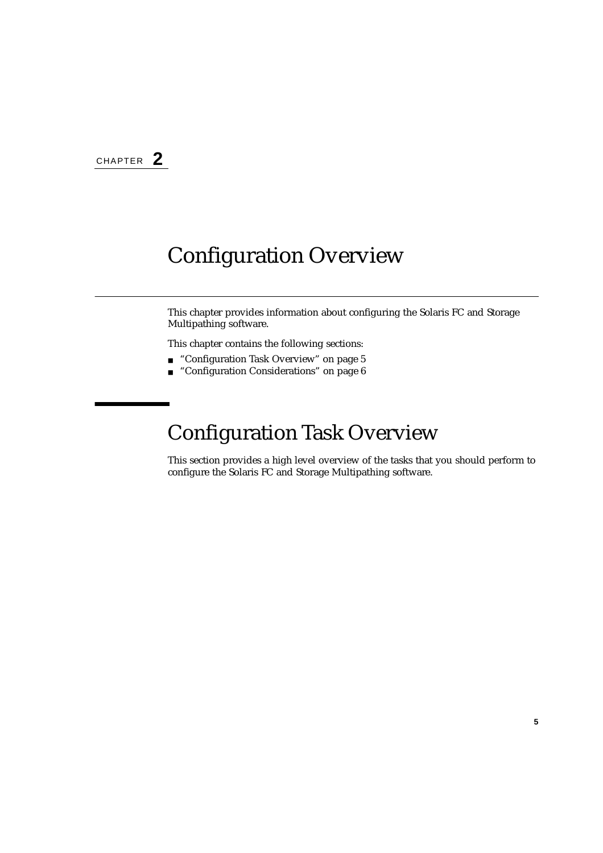# <span id="page-16-0"></span>Configuration Overview

This chapter provides information about configuring the Solaris FC and Storage Multipathing software.

This chapter contains the following sections:

- ["Configuration Task Overview" on page 5](#page-16-1)
- ["Configuration Considerations" on page 6](#page-17-0)

## <span id="page-16-1"></span>Configuration Task Overview

This section provides a high level overview of the tasks that you should perform to configure the Solaris FC and Storage Multipathing software.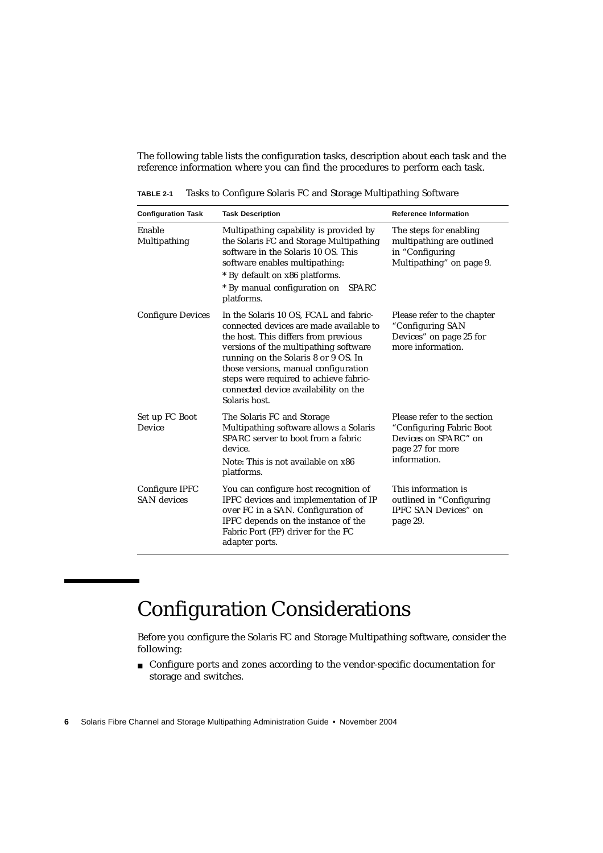The following table lists the configuration tasks, description about each task and the reference information where you can find the procedures to perform each task.

| <b>Configuration Task</b>            | <b>Task Description</b>                                                                                                                                                                                                                                                                                                                               | <b>Reference Information</b>                                                                                        |
|--------------------------------------|-------------------------------------------------------------------------------------------------------------------------------------------------------------------------------------------------------------------------------------------------------------------------------------------------------------------------------------------------------|---------------------------------------------------------------------------------------------------------------------|
| Enable<br>Multipathing               | Multipathing capability is provided by<br>the Solaris FC and Storage Multipathing<br>software in the Solaris 10 OS. This<br>software enables multipathing:<br>* By default on x86 platforms.<br>* By manual configuration on<br><b>SPARC</b><br>platforms.                                                                                            | The steps for enabling<br>multipathing are outlined<br>in "Configuring<br>Multipathing" on page 9.                  |
| <b>Configure Devices</b>             | In the Solaris 10 OS, FCAL and fabric-<br>connected devices are made available to<br>the host. This differs from previous<br>versions of the multipathing software<br>running on the Solaris 8 or 9 OS. In<br>those versions, manual configuration<br>steps were required to achieve fabric-<br>connected device availability on the<br>Solaris host. | Please refer to the chapter<br>"Configuring SAN<br>Devices" on page 25 for<br>more information.                     |
| Set up FC Boot<br>Device             | The Solaris FC and Storage<br>Multipathing software allows a Solaris<br>SPARC server to boot from a fabric<br>device.<br>Note: This is not available on x86<br>platforms.                                                                                                                                                                             | Please refer to the section<br>"Configuring Fabric Boot<br>Devices on SPARC" on<br>page 27 for more<br>information. |
| Configure IPFC<br><b>SAN</b> devices | You can configure host recognition of<br>IPFC devices and implementation of IP<br>over FC in a SAN. Configuration of<br>IPFC depends on the instance of the<br>Fabric Port (FP) driver for the FC<br>adapter ports.                                                                                                                                   | This information is<br>outlined in "Configuring<br><b>IPFC SAN Devices</b> " on<br>page 29.                         |

<span id="page-17-1"></span>**TABLE 2-1** Tasks to Configure Solaris FC and Storage Multipathing Software

## <span id="page-17-0"></span>Configuration Considerations

Before you configure the Solaris FC and Storage Multipathing software, consider the following:

■ Configure ports and zones according to the vendor-specific documentation for storage and switches.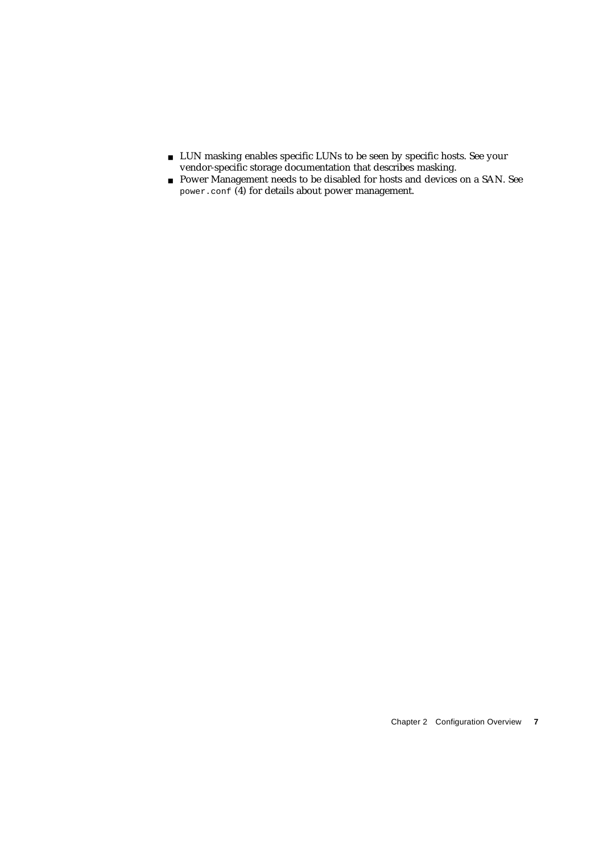- LUN masking enables specific LUNs to be seen by specific hosts. See your vendor-specific storage documentation that describes masking.
- Power Management needs to be disabled for hosts and devices on a SAN. See power.conf (4) for details about power management.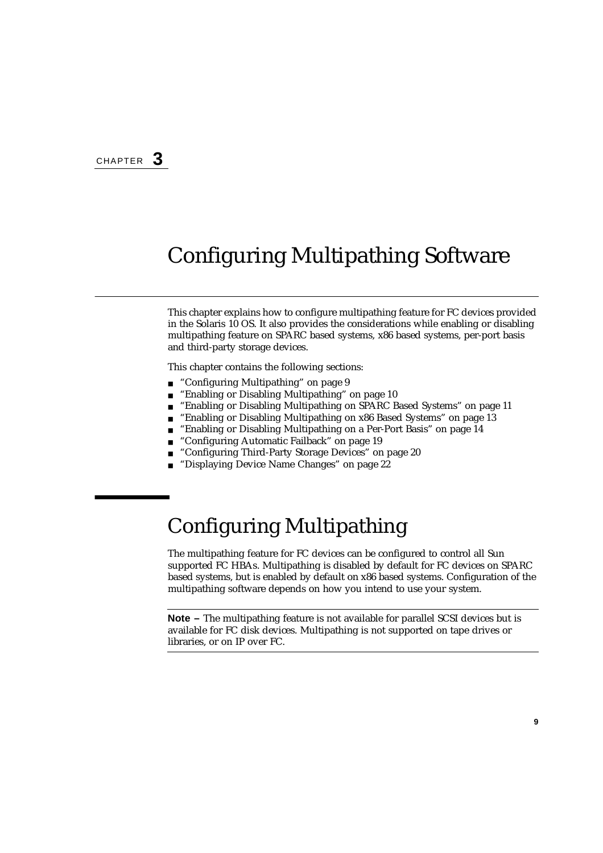# <span id="page-20-0"></span>Configuring Multipathing Software

This chapter explains how to configure multipathing feature for FC devices provided in the Solaris 10 OS. It also provides the considerations while enabling or disabling multipathing feature on SPARC based systems, x86 based systems, per-port basis and third-party storage devices.

This chapter contains the following sections:

- ["Configuring Multipathing" on page 9](#page-20-1)
- ["Enabling or Disabling Multipathing" on page 10](#page-21-0)
- ["Enabling or Disabling Multipathing on SPARC Based Systems" on page 11](#page-22-0)
- ["Enabling or Disabling Multipathing on x86 Based Systems" on page 13](#page-24-0)
- ["Enabling or Disabling Multipathing on a Per-Port Basis" on page 14](#page-25-0)
- ["Configuring Automatic Failback" on page 19](#page-30-0)
- ["Configuring Third-Party Storage Devices" on page 20](#page-31-0)
- ["Displaying Device Name Changes" on page 22](#page-33-0)

## <span id="page-20-2"></span><span id="page-20-1"></span>Configuring Multipathing

The multipathing feature for FC devices can be configured to control all Sun supported FC HBAs. Multipathing is disabled by default for FC devices on SPARC based systems, but is enabled by default on x86 based systems. Configuration of the multipathing software depends on how you intend to use your system.

**Note –** The multipathing feature is not available for parallel SCSI devices but is available for FC disk devices. Multipathing is not supported on tape drives or libraries, or on IP over FC.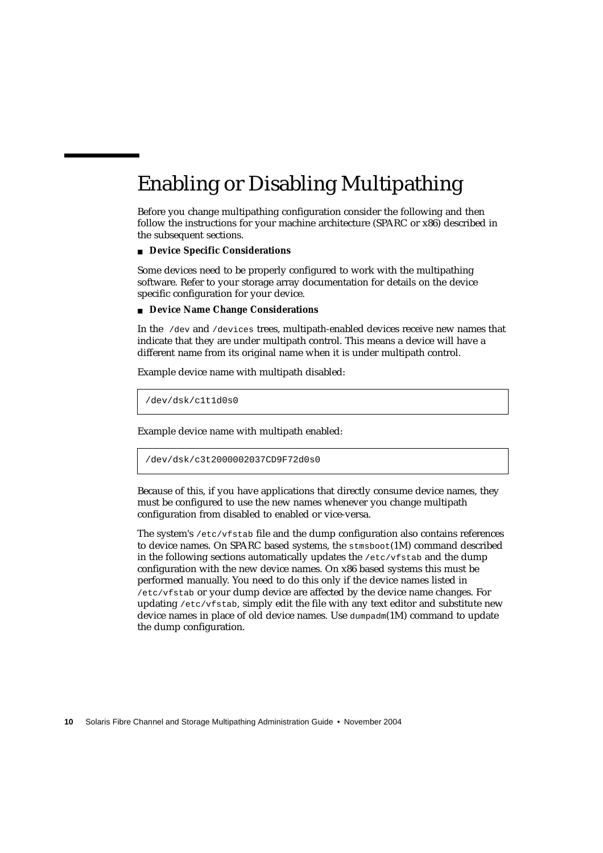# <span id="page-21-0"></span>Enabling or Disabling Multipathing

Before you change multipathing configuration consider the following and then follow the instructions for your machine architecture (SPARC or x86) described in the subsequent sections.

#### ■ **Device Specific Considerations**

Some devices need to be properly configured to work with the multipathing software. Refer to your storage array documentation for details on the device specific configuration for your device.

#### <span id="page-21-1"></span>■ **Device Name Change Considerations**

In the /dev and /devices trees, multipath-enabled devices receive new names that indicate that they are under multipath control. This means a device will have a different name from its original name when it is under multipath control.

Example device name with multipath disabled:

/dev/dsk/c1t1d0s0

Example device name with multipath enabled:

/dev/dsk/c3t2000002037CD9F72d0s0

Because of this, if you have applications that directly consume device names, they must be configured to use the new names whenever you change multipath configuration from disabled to enabled or vice-versa.

The system's /etc/vfstab file and the dump configuration also contains references to device names. On SPARC based systems, the stmsboot(1M) command described in the following sections automatically updates the  $/etc$   $/etc$  stab and the dump configuration with the new device names. On x86 based systems this must be performed manually. You need to do this only if the device names listed in /etc/vfstab or your dump device are affected by the device name changes. For updating  $/etc/vf$ stab, simply edit the file with any text editor and substitute new device names in place of old device names. Use dumpadm(1M) command to update the dump configuration.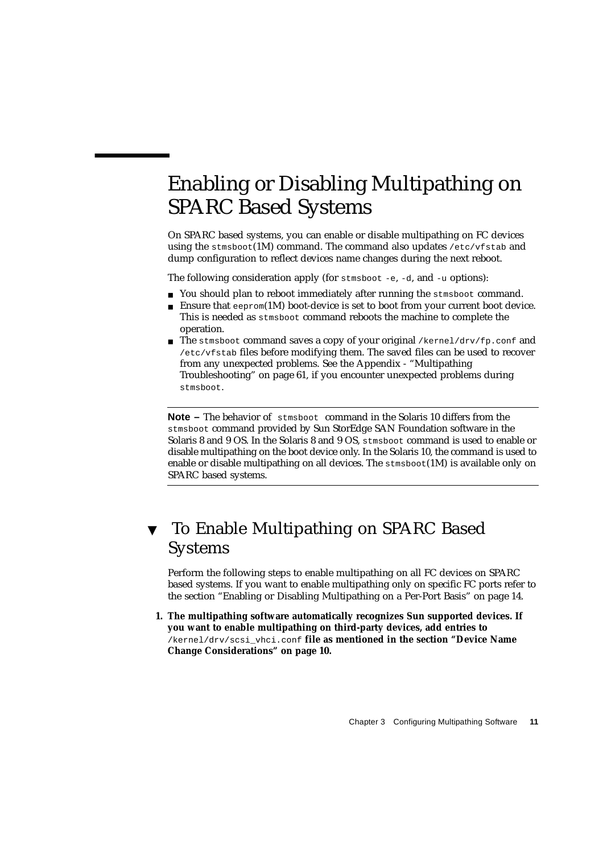# <span id="page-22-0"></span>Enabling or Disabling Multipathing on SPARC Based Systems

On SPARC based systems, you can enable or disable multipathing on FC devices using the stmsboot(1M) command. The command also updates /etc/vfstab and dump configuration to reflect devices name changes during the next reboot.

The following consideration apply (for stmsboot -e, -d, and -u options):

- You should plan to reboot immediately after running the stmsboot command.
- Ensure that  $\epsilon$ eprom(1M) boot-device is set to boot from your current boot device. This is needed as stmsboot command reboots the machine to complete the operation.
- The stmsboot command saves a copy of your original /kernel/drv/fp.conf and /etc/vfstab files before modifying them. The saved files can be used to recover from any unexpected problems. See the Appendix - ["Multipathing](#page-72-2)  [Troubleshooting" on page 61,](#page-72-2) if you encounter unexpected problems during stmsboot.

**Note –** The behavior of stmsboot command in the Solaris 10 differs from the stmsboot command provided by Sun StorEdge SAN Foundation software in the Solaris 8 and 9 OS. In the Solaris 8 and 9 OS, stmsboot command is used to enable or disable multipathing on the boot device only. In the Solaris 10, the command is used to enable or disable multipathing on all devices. The  $\epsilon$ tmsboot(1M) is available only on SPARC based systems.

### <span id="page-22-1"></span>To Enable Multipathing on SPARC Based Systems

Perform the following steps to enable multipathing on all FC devices on SPARC based systems. If you want to enable multipathing only on specific FC ports refer to the section ["Enabling or Disabling Multipathing on a Per-Port Basis" on page 14.](#page-25-0)

**1. The multipathing software automatically recognizes Sun supported devices. If you want to enable multipathing on third-party devices, add entries to**  /kernel/drv/scsi\_vhci.conf **file as mentioned in the section ["Device Name](#page-21-1)  [Change Considerations" on page 10.](#page-21-1)**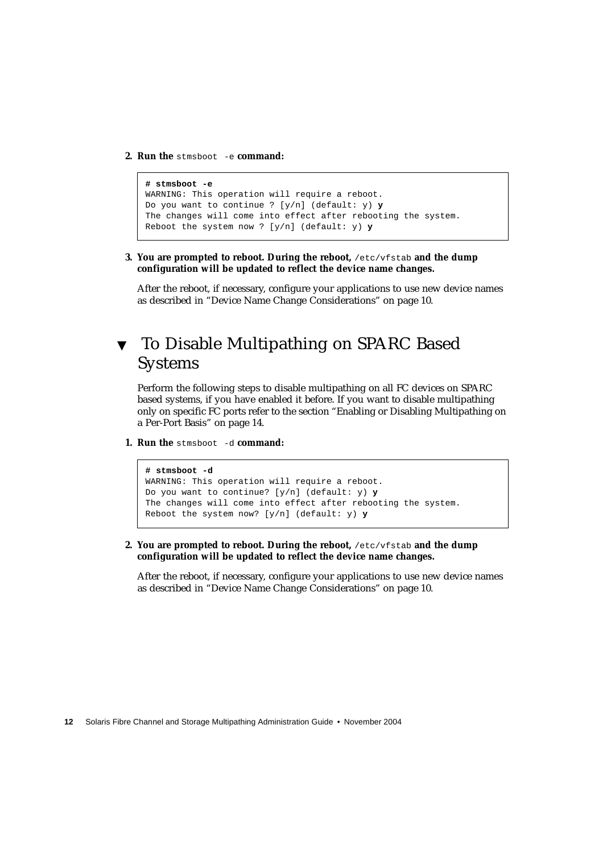**2. Run the** stmsboot -e **command:**

```
# stmsboot -e
WARNING: This operation will require a reboot.
Do you want to continue ? [y/n] (default: y) y
The changes will come into effect after rebooting the system.
Reboot the system now ? [y/n] (default: y) y
```
**3. You are prompted to reboot. During the reboot,** /etc/vfstab **and the dump configuration will be updated to reflect the device name changes.**

After the reboot, if necessary, configure your applications to use new device names as described in ["Device Name Change Considerations" on page 10.](#page-21-1)

### <span id="page-23-0"></span>▼ To Disable Multipathing on SPARC Based Systems

Perform the following steps to disable multipathing on all FC devices on SPARC based systems, if you have enabled it before. If you want to disable multipathing only on specific FC ports refer to the section ["Enabling or Disabling Multipathing on](#page-25-0)  [a Per-Port Basis" on page 14.](#page-25-0)

**1. Run the** stmsboot -d **command:**

```
# stmsboot -d
```

```
WARNING: This operation will require a reboot.
Do you want to continue? [y/n] (default: y) y
The changes will come into effect after rebooting the system.
Reboot the system now? [y/n] (default: y) y
```
**2. You are prompted to reboot. During the reboot,** /etc/vfstab **and the dump configuration will be updated to reflect the device name changes.**

After the reboot, if necessary, configure your applications to use new device names as described in ["Device Name Change Considerations" on page 10.](#page-21-1)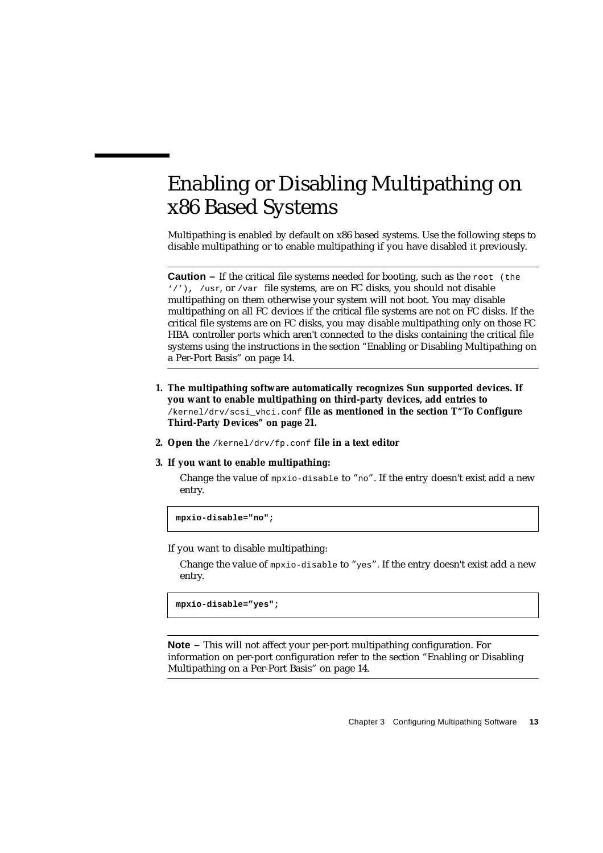# <span id="page-24-0"></span>Enabling or Disabling Multipathing on x86 Based Systems

Multipathing is enabled by default on x86 based systems. Use the following steps to disable multipathing or to enable multipathing if you have disabled it previously.

**Caution –** If the critical file systems needed for booting, such as the root (the '/'), /usr, or /var file systems, are on FC disks, you should not disable multipathing on them otherwise your system will not boot. You may disable multipathing on all FC devices if the critical file systems are not on FC disks. If the critical file systems are on FC disks, you may disable multipathing only on those FC HBA controller ports which aren't connected to the disks containing the critical file systems using the instructions in the section ["Enabling or Disabling Multipathing on](#page-25-0)  [a Per-Port Basis" on page 14.](#page-25-0)

- **1. The multipathing software automatically recognizes Sun supported devices. If you want to enable multipathing on third-party devices, add entries to**  /kernel/drv/scsi\_vhci.conf **file as mentioned in the section T["To Configure](#page-32-0)  [Third-Party Devices" on page 21](#page-32-0).**
- **2. Open the** /kernel/drv/fp.conf **file in a text editor**
- **3. If you want to enable multipathing:**

Change the value of mpxio-disable to "no". If the entry doesn't exist add a new entry.

**mpxio-disable="no";**

If you want to disable multipathing:

Change the value of  $mpxio-disable$  to "yes". If the entry doesn't exist add a new entry.

**mpxio-disable="yes";**

**Note –** This will not affect your per-port multipathing configuration. For information on per-port configuration refer to the section ["Enabling or Disabling](#page-25-0)  [Multipathing on a Per-Port Basis" on page 14](#page-25-0).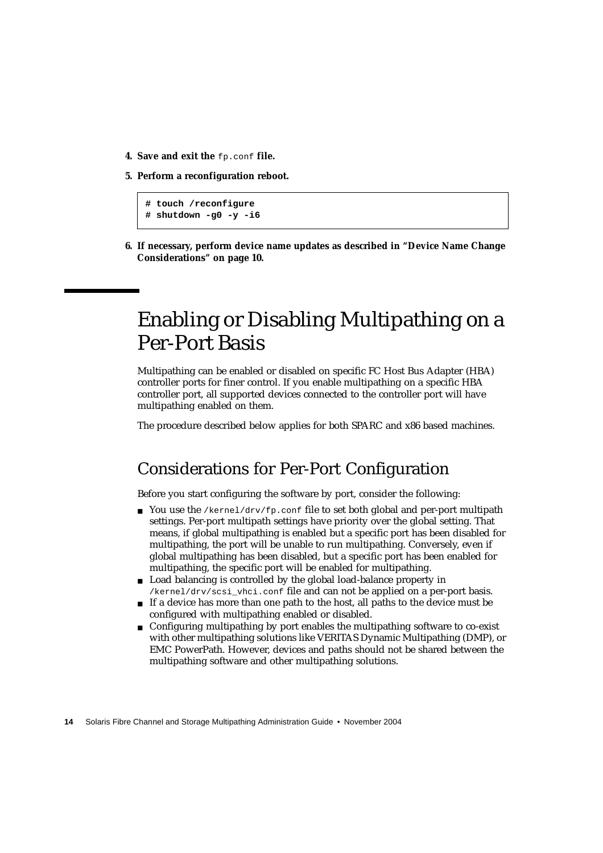- **4. Save and exit the** fp.conf **file.**
- **5. Perform a reconfiguration reboot.**

```
# touch /reconfigure
# shutdown -g0 -y -i6
```
**6. If necessary, perform device name updates as described in ["Device Name Change](#page-21-1)  [Considerations" on page 10.](#page-21-1)**

## <span id="page-25-0"></span>Enabling or Disabling Multipathing on a Per-Port Basis

Multipathing can be enabled or disabled on specific FC Host Bus Adapter (HBA) controller ports for finer control. If you enable multipathing on a specific HBA controller port, all supported devices connected to the controller port will have multipathing enabled on them.

The procedure described below applies for both SPARC and x86 based machines.

#### <span id="page-25-1"></span>Considerations for Per-Port Configuration

Before you start configuring the software by port, consider the following:

- You use the /kernel/drv/fp.conf file to set both global and per-port multipath settings. Per-port multipath settings have priority over the global setting. That means, if global multipathing is enabled but a specific port has been disabled for multipathing, the port will be unable to run multipathing. Conversely, even if global multipathing has been disabled, but a specific port has been enabled for multipathing, the specific port will be enabled for multipathing.
- Load balancing is controlled by the global load-balance property in /kernel/drv/scsi\_vhci.conf file and can not be applied on a per-port basis.
- If a device has more than one path to the host, all paths to the device must be configured with multipathing enabled or disabled.
- Configuring multipathing by port enables the multipathing software to co-exist with other multipathing solutions like VERITAS Dynamic Multipathing (DMP), or EMC PowerPath. However, devices and paths should not be shared between the multipathing software and other multipathing solutions.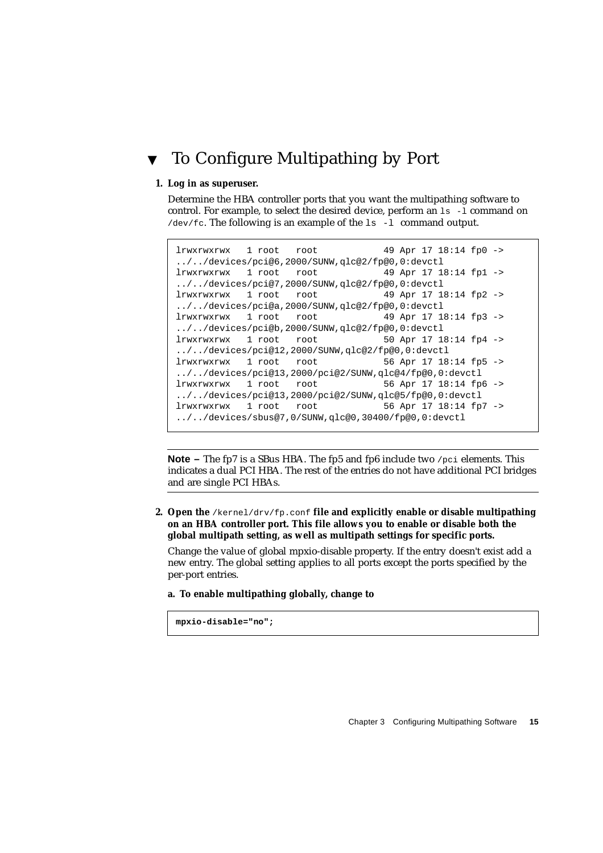### <span id="page-26-0"></span>To Configure Multipathing by Port

#### **1. Log in as superuser.**

Determine the HBA controller ports that you want the multipathing software to control. For example, to select the desired device, perform an  $\text{ls}$  -1 command on /dev/fc. The following is an example of the  $\text{ls}$  -1 command output.

```
lrwxrwxrwx 1 root root 49 Apr 17 18:14 fp0 ->
../../devices/pci@6,2000/SUNW,qlc@2/fp@0,0:devctl
lrwxrwxrwx 1 root root 49 Apr 17 18:14 fp1 ->
../../devices/pci@7,2000/SUNW,qlc@2/fp@0,0:devctl
lrwxrwxrwx 1 root root 49 Apr 17 18:14 fp2 ->
../../devices/pci@a,2000/SUNW,qlc@2/fp@0,0:devctl
lrwxrwxrwx 1 root root 49 Apr 17 18:14 fp3 ->
../../devices/pci@b,2000/SUNW,qlc@2/fp@0,0:devctl
lrwxrwxrwx 1 root root 50 Apr 17 18:14 fp4 ->
../../devices/pci@12,2000/SUNW,qlc@2/fp@0,0:devctl
lrwxrwxrwx 1 root root 56 Apr 17 18:14 fp5 ->
../../devices/pci@13,2000/pci@2/SUNW,qlc@4/fp@0,0:devctl
lrwxrwxrwx 1 root root 56 Apr 17 18:14 fp6 ->
../../devices/pci@13,2000/pci@2/SUNW,qlc@5/fp@0,0:devctl
lrwxrwxrwx 1 root root 56 Apr 17 18:14 fp7 ->
../../devices/sbus@7,0/SUNW,qlc@0,30400/fp@0,0:devctl
```
**Note –** The fp7 is a SBus HBA. The fp5 and fp6 include two /pci elements. This indicates a dual PCI HBA. The rest of the entries do not have additional PCI bridges and are single PCI HBAs.

**2. Open the** /kernel/drv/fp.conf **file and explicitly enable or disable multipathing on an HBA controller port. This file allows you to enable or disable both the global multipath setting, as well as multipath settings for specific ports.**

Change the value of global mpxio-disable property. If the entry doesn't exist add a new entry. The global setting applies to all ports except the ports specified by the per-port entries.

#### **a. To enable multipathing globally, change to**

```
mpxio-disable="no";
```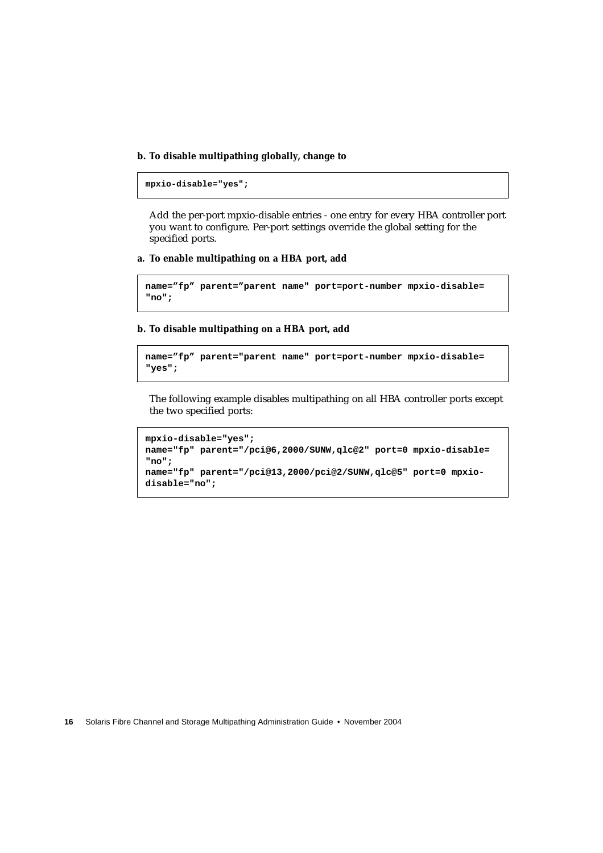**b. To disable multipathing globally, change to**

**mpxio-disable="yes";**

Add the per-port mpxio-disable entries - one entry for every HBA controller port you want to configure. Per-port settings override the global setting for the specified ports.

**a. To enable multipathing on a HBA port, add**

```
name="fp" parent="parent name" port=port-number mpxio-disable=
"no";
```
**b. To disable multipathing on a HBA port, add**

```
name="fp" parent="parent name" port=port-number mpxio-disable=
"yes";
```
The following example disables multipathing on all HBA controller ports except the two specified ports:

```
mpxio-disable="yes";
name="fp" parent="/pci@6,2000/SUNW,qlc@2" port=0 mpxio-disable=
"no";
name="fp" parent="/pci@13,2000/pci@2/SUNW,qlc@5" port=0 mpxio-
disable="no";
```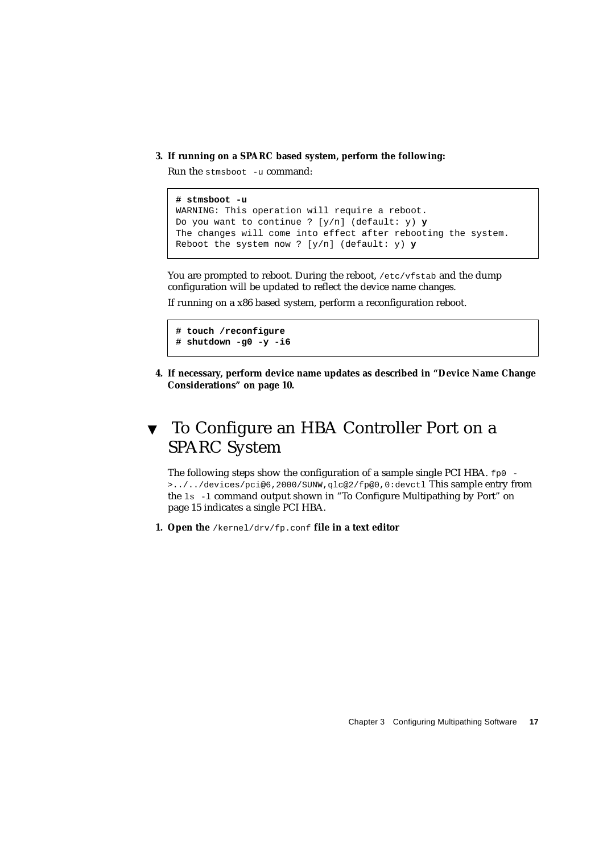#### **3. If running on a SPARC based system, perform the following:**

Run the stmsboot -u command:

```
# stmsboot -u
WARNING: This operation will require a reboot.
Do you want to continue ? [y/n] (default: y) y
The changes will come into effect after rebooting the system.
Reboot the system now ? [y/n] (default: y) y
```
You are prompted to reboot. During the reboot, /etc/vfstab and the dump configuration will be updated to reflect the device name changes.

If running on a x86 based system, perform a reconfiguration reboot.

```
# touch /reconfigure
# shutdown -g0 -y -i6
```
**4. If necessary, perform device name updates as described in ["Device Name Change](#page-21-1)  [Considerations" on page 10.](#page-21-1)**

### <span id="page-28-0"></span>▼ To Configure an HBA Controller Port on a SPARC System

The following steps show the configuration of a sample single PCI HBA.  $f_{p0}$  – >../../devices/pci@6,2000/SUNW,qlc@2/fp@0,0:devctl This sample entry from the ls -l command output shown in ["To Configure Multipathing by Port" on](#page-26-0)  [page 15](#page-26-0) indicates a single PCI HBA.

**1. Open the** /kernel/drv/fp.conf **file in a text editor**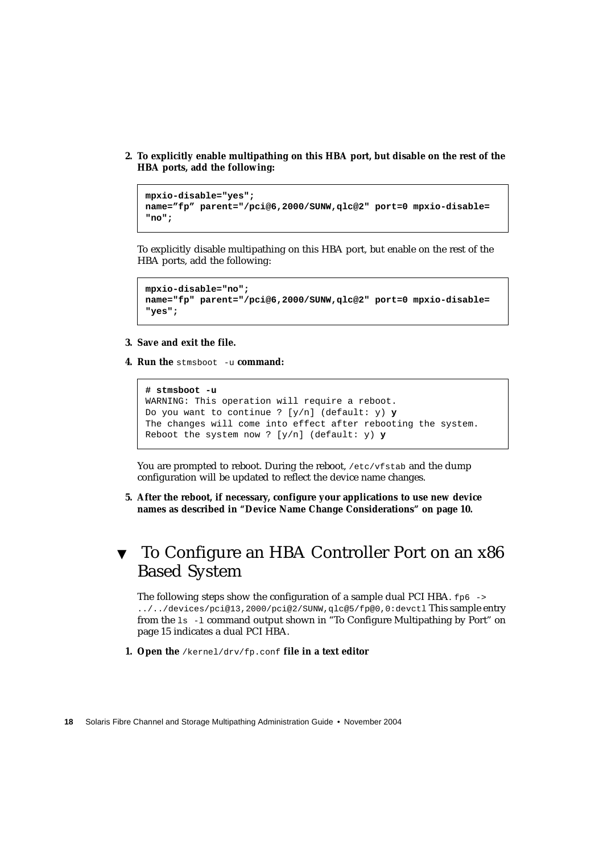**2. To explicitly enable multipathing on this HBA port, but disable on the rest of the HBA ports, add the following:**

```
mpxio-disable="yes";
name="fp" parent="/pci@6,2000/SUNW,qlc@2" port=0 mpxio-disable=
"no";
```
To explicitly disable multipathing on this HBA port, but enable on the rest of the HBA ports, add the following:

```
mpxio-disable="no";
name="fp" parent="/pci@6,2000/SUNW,qlc@2" port=0 mpxio-disable=
"yes";
```
- **3. Save and exit the file.**
- **4. Run the** stmsboot -u **command:**

```
# stmsboot -u
WARNING: This operation will require a reboot.
Do you want to continue ? [y/n] (default: y) y
The changes will come into effect after rebooting the system.
Reboot the system now ? [y/n] (default: y) y
```
You are prompted to reboot. During the reboot,  $/etc/vf$ stab and the dump configuration will be updated to reflect the device name changes.

**5. After the reboot, if necessary, configure your applications to use new device names as described in ["Device Name Change Considerations" on page 10.](#page-21-1)**

### <span id="page-29-0"></span>▼ To Configure an HBA Controller Port on an x86 Based System

The following steps show the configuration of a sample dual PCI HBA.  $f_{p6} \rightarrow$ ../../devices/pci@13,2000/pci@2/SUNW,qlc@5/fp@0,0:devctl This sample entry from the ls -l command output shown in ["To Configure Multipathing by Port" on](#page-26-0)  [page 15](#page-26-0) indicates a dual PCI HBA.

**1. Open the** /kernel/drv/fp.conf **file in a text editor**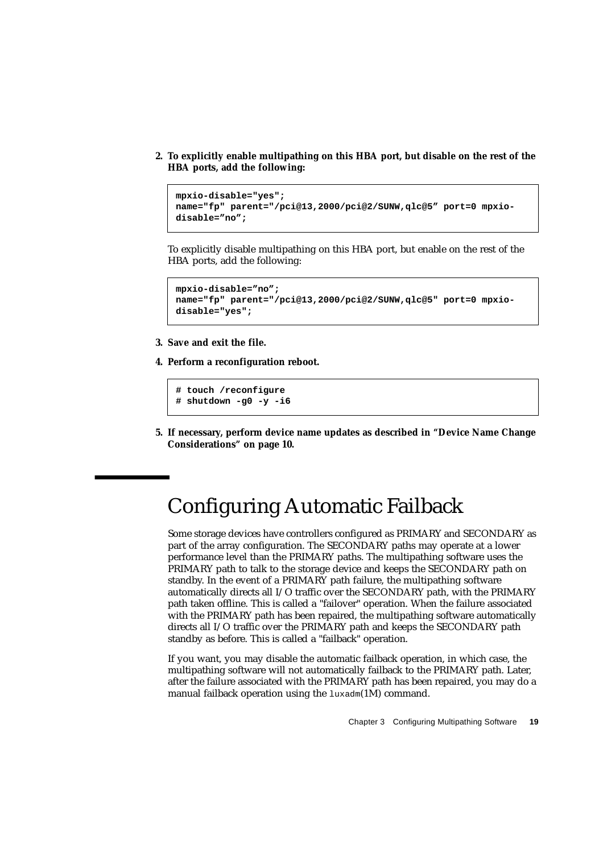**2. To explicitly enable multipathing on this HBA port, but disable on the rest of the HBA ports, add the following:**

```
mpxio-disable="yes";
name="fp" parent="/pci@13,2000/pci@2/SUNW,qlc@5" port=0 mpxio-
disable="no";
```
To explicitly disable multipathing on this HBA port, but enable on the rest of the HBA ports, add the following:

```
mpxio-disable="no";
name="fp" parent="/pci@13,2000/pci@2/SUNW,qlc@5" port=0 mpxio-
disable="yes";
```
- **3. Save and exit the file.**
- **4. Perform a reconfiguration reboot.**

```
# touch /reconfigure
# shutdown -g0 -y -i6
```
**5. If necessary, perform device name updates as described in ["Device Name Change](#page-21-1)  [Considerations" on page 10.](#page-21-1)**

## <span id="page-30-0"></span>Configuring Automatic Failback

Some storage devices have controllers configured as PRIMARY and SECONDARY as part of the array configuration. The SECONDARY paths may operate at a lower performance level than the PRIMARY paths. The multipathing software uses the PRIMARY path to talk to the storage device and keeps the SECONDARY path on standby. In the event of a PRIMARY path failure, the multipathing software automatically directs all I/O traffic over the SECONDARY path, with the PRIMARY path taken offline. This is called a "failover" operation. When the failure associated with the PRIMARY path has been repaired, the multipathing software automatically directs all I/O traffic over the PRIMARY path and keeps the SECONDARY path standby as before. This is called a "failback" operation.

If you want, you may disable the automatic failback operation, in which case, the multipathing software will not automatically failback to the PRIMARY path. Later, after the failure associated with the PRIMARY path has been repaired, you may do a manual failback operation using the luxadm(1M) command.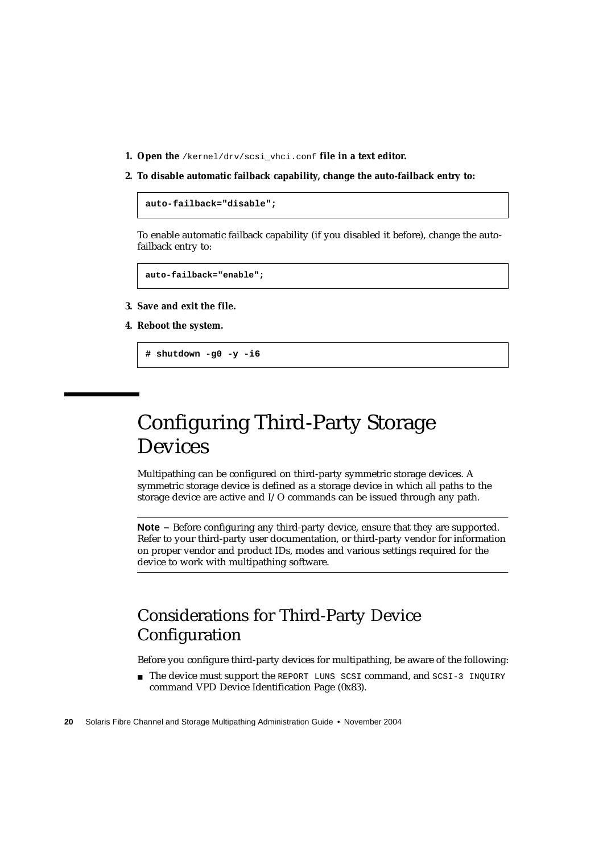- **1. Open the** /kernel/drv/scsi\_vhci.conf **file in a text editor.**
- **2. To disable automatic failback capability, change the auto-failback entry to:**

**auto-failback="disable";**

To enable automatic failback capability (if you disabled it before), change the autofailback entry to:

```
auto-failback="enable";
```
- **3. Save and exit the file.**
- **4. Reboot the system.**

```
# shutdown -g0 -y -i6
```
# <span id="page-31-0"></span>Configuring Third-Party Storage **Devices**

Multipathing can be configured on third-party symmetric storage devices. A symmetric storage device is defined as a storage device in which all paths to the storage device are active and I/O commands can be issued through any path.

**Note –** Before configuring any third-party device, ensure that they are supported. Refer to your third-party user documentation, or third-party vendor for information on proper vendor and product IDs, modes and various settings required for the device to work with multipathing software.

### <span id="page-31-1"></span>Considerations for Third-Party Device Configuration

Before you configure third-party devices for multipathing, be aware of the following:

■ The device must support the REPORT LUNS SCSI command, and SCSI-3 INQUIRY command VPD Device Identification Page (0x83).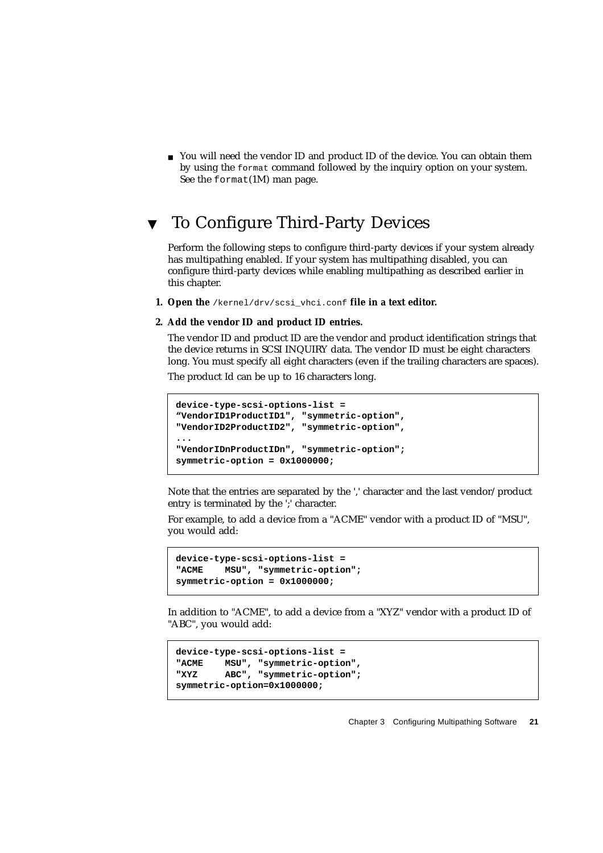■ You will need the vendor ID and product ID of the device. You can obtain them by using the format command followed by the inquiry option on your system. See the format(1M) man page.

### <span id="page-32-0"></span>▼ To Configure Third-Party Devices

Perform the following steps to configure third-party devices if your system already has multipathing enabled. If your system has multipathing disabled, you can configure third-party devices while enabling multipathing as described earlier in this chapter.

**1. Open the** /kernel/drv/scsi\_vhci.conf **file in a text editor.**

#### **2. Add the vendor ID and product ID entries.**

The vendor ID and product ID are the vendor and product identification strings that the device returns in SCSI INQUIRY data. The vendor ID must be eight characters long. You must specify all eight characters (even if the trailing characters are spaces).

The product Id can be up to 16 characters long.

```
device-type-scsi-options-list =
"VendorID1ProductID1", "symmetric-option",
"VendorID2ProductID2", "symmetric-option",
...
"VendorIDnProductIDn", "symmetric-option";
symmetric-option = 0x1000000;
```
Note that the entries are separated by the ',' character and the last vendor/product entry is terminated by the ';' character.

For example, to add a device from a "ACME" vendor with a product ID of "MSU", you would add:

```
device-type-scsi-options-list =
"ACME MSU", "symmetric-option";
symmetric-option = 0x1000000;
```
In addition to "ACME", to add a device from a "XYZ" vendor with a product ID of "ABC", you would add:

```
device-type-scsi-options-list =
"ACME MSU", "symmetric-option",
"XYZ ABC", "symmetric-option";
symmetric-option=0x1000000;
```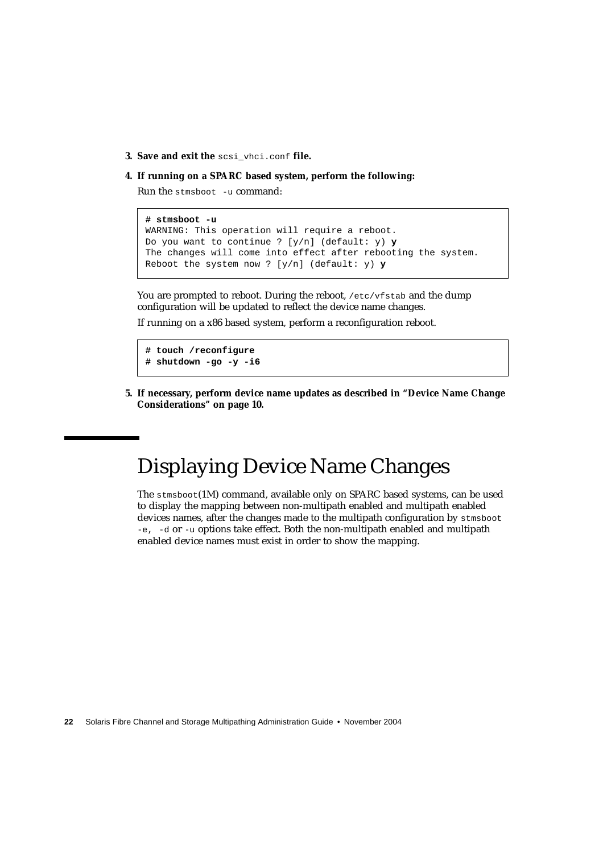- **3. Save and exit the** scsi\_vhci.conf **file.**
- **4. If running on a SPARC based system, perform the following:**

Run the stmsboot -u command:

```
# stmsboot -u
WARNING: This operation will require a reboot.
Do you want to continue ? [y/n] (default: y) y
The changes will come into effect after rebooting the system.
Reboot the system now ? [y/n] (default: y) y
```
You are prompted to reboot. During the reboot,  $/etc./vfstab$  and the dump configuration will be updated to reflect the device name changes.

If running on a x86 based system, perform a reconfiguration reboot.

```
# touch /reconfigure
# shutdown -go -y -i6
```
**5. If necessary, perform device name updates as described in ["Device Name Change](#page-21-1)  [Considerations" on page 10.](#page-21-1)**

### <span id="page-33-0"></span>Displaying Device Name Changes

The stmsboot(1M) command, available only on SPARC based systems, can be used to display the mapping between non-multipath enabled and multipath enabled devices names, after the changes made to the multipath configuration by stmsboot -e, -d or -u options take effect. Both the non-multipath enabled and multipath enabled device names must exist in order to show the mapping.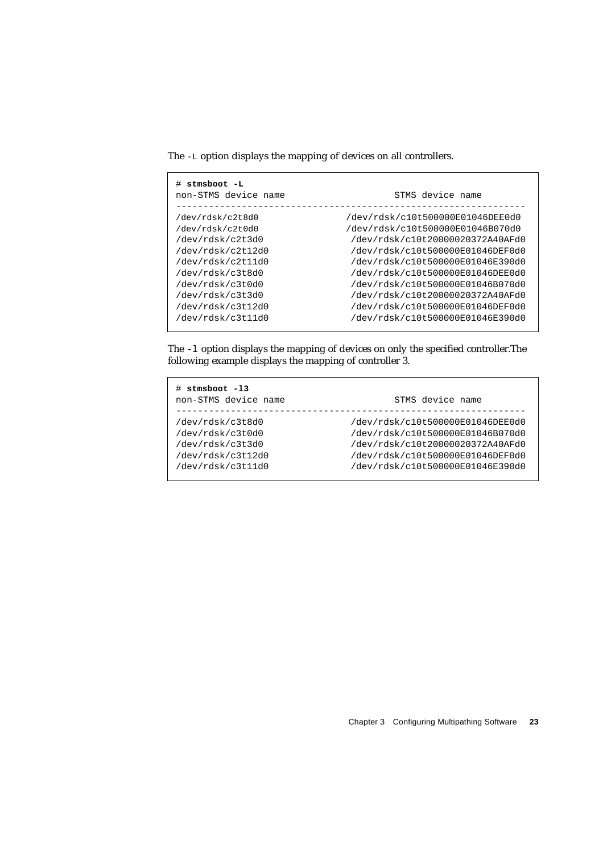The -L option displays the mapping of devices on all controllers.

| non-STMS device name | STMS device name                 |
|----------------------|----------------------------------|
| /dev/rdsk/c2t8d0     | /dev/rdsk/c10t500000E01046DEE0d0 |
| /dev/rdsk/c2t0d0     | /dev/rdsk/c10t500000E01046B070d0 |
| /dev/rdsk/c2t3d0     | /dev/rdsk/c10t20000020372A40AFd0 |
| /dev/rdsk/c2t12d0    | /dev/rdsk/c10t500000E01046DEF0d0 |
| /dev/rdsk/c2t11d0    | /dev/rdsk/c10t500000E01046E390d0 |
| /dev/rdsk/c3t8d0     | /dev/rdsk/c10t500000E01046DEE0d0 |
| /dev/rdsk/c3t0d0     | /dev/rdsk/c10t500000E01046B070d0 |
| /dev/rdsk/c3t3d0     | /dev/rdsk/c10t20000020372A40AFd0 |
| /dev/rdsk/c3t12d0    | /dev/rdsk/c10t500000E01046DEF0d0 |
| /dev/rdsk/c3t11d0    | /dev/rdsk/c10t500000E01046E390d0 |

The -l option displays the mapping of devices on only the specified controller.The following example displays the mapping of controller 3.

| $\#$ stmsboot -13<br>non-STMS device name | STMS device name                 |
|-------------------------------------------|----------------------------------|
| /dev/rdsk/c3t8d0                          | /dev/rdsk/c10t500000E01046DEE0d0 |
| /dev/rdsk/c3t0d0                          | /dev/rdsk/c10t500000E01046B070d0 |
| /dev/rdsk/c3t3d0                          | /dev/rdsk/c10t20000020372A40AFd0 |
| /dev/rdsk/c3t12d0                         | /dev/rdsk/c10t500000E01046DEF0d0 |
| /dev/rdsk/c3t11d0                         | /dev/rdsk/c10t500000E01046E390d0 |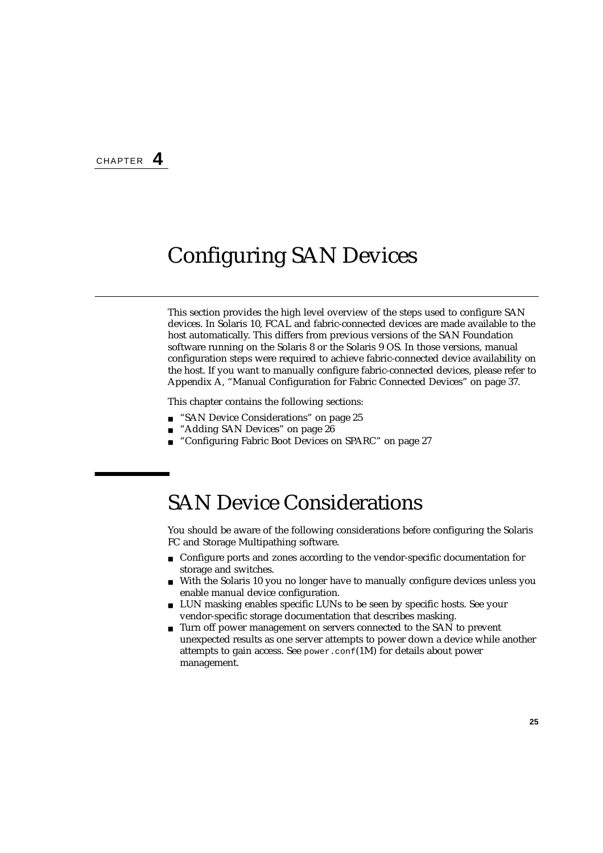# Configuring SAN Devices

This section provides the high level overview of the steps used to configure SAN devices. In Solaris 10, FCAL and fabric-connected devices are made available to the host automatically. This differs from previous versions of the SAN Foundation software running on the Solaris 8 or the Solaris 9 OS. In those versions, manual configuration steps were required to achieve fabric-connected device availability on the host. If you want to manually configure fabric-connected devices, please refer to Appendix A, ["Manual Configuration for Fabric Connected Devices" on page 37.](#page-48-0)

This chapter contains the following sections:

- ["SAN Device Considerations" on page 25](#page-36-0)
- ["Adding SAN Devices" on page 26](#page-37-0)
- ["Configuring Fabric Boot Devices on SPARC" on page 27](#page-38-0)

## <span id="page-36-0"></span>SAN Device Considerations

You should be aware of the following considerations before configuring the Solaris FC and Storage Multipathing software.

- Configure ports and zones according to the vendor-specific documentation for storage and switches.
- With the Solaris 10 you no longer have to manually configure devices unless you enable manual device configuration.
- LUN masking enables specific LUNs to be seen by specific hosts. See your vendor-specific storage documentation that describes masking.
- Turn off power management on servers connected to the SAN to prevent unexpected results as one server attempts to power down a device while another attempts to gain access. See  $power.config(1M)$  for details about power management.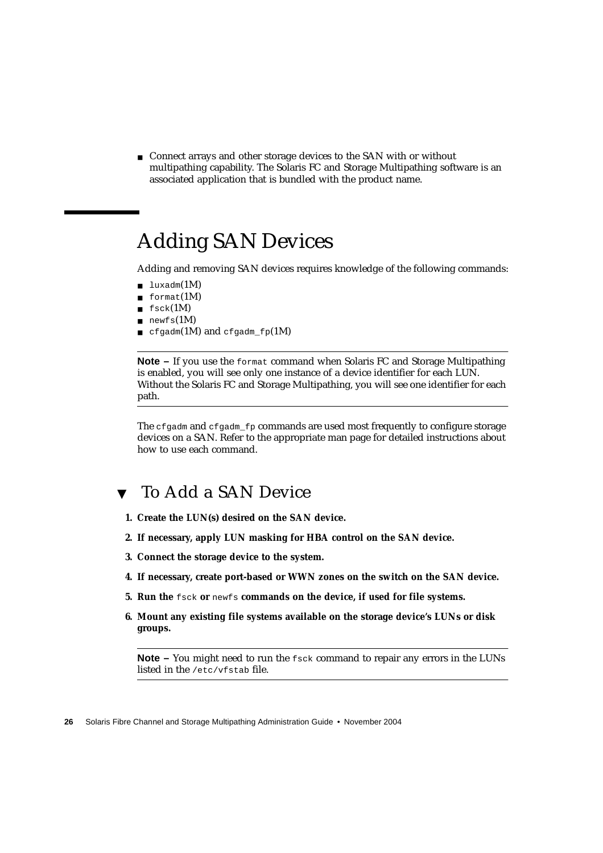■ Connect arrays and other storage devices to the SAN with or without multipathing capability. The Solaris FC and Storage Multipathing software is an associated application that is bundled with the product name.

## <span id="page-37-0"></span>Adding SAN Devices

Adding and removing SAN devices requires knowledge of the following commands:

- luxadm(1M)
- format(1M)
- $\blacksquare$  fsck $(1M)$
- $\blacksquare$  newfs(1M)
- $\blacksquare$  cfgadm(1M) and cfgadm\_fp(1M)

**Note –** If you use the format command when Solaris FC and Storage Multipathing is enabled, you will see only one instance of a device identifier for each LUN. Without the Solaris FC and Storage Multipathing, you will see one identifier for each path.

The cf gadm and cf gadm  $f_{\rm p}$  commands are used most frequently to configure storage devices on a SAN. Refer to the appropriate man page for detailed instructions about how to use each command.

### To Add a SAN Device

- **1. Create the LUN(s) desired on the SAN device.**
- **2. If necessary, apply LUN masking for HBA control on the SAN device.**
- **3. Connect the storage device to the system.**
- **4. If necessary, create port-based or WWN zones on the switch on the SAN device.**
- **5. Run the** fsck **or** newfs **commands on the device, if used for file systems.**
- **6. Mount any existing file systems available on the storage device's LUNs or disk groups.**

**Note –** You might need to run the fsck command to repair any errors in the LUNs listed in the /etc/vfstab file.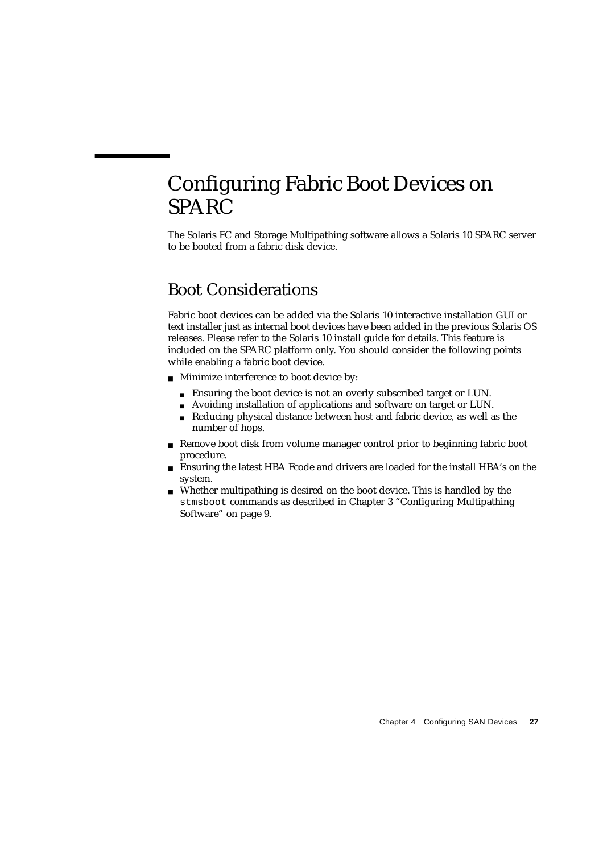# <span id="page-38-0"></span>Configuring Fabric Boot Devices on SPARC

The Solaris FC and Storage Multipathing software allows a Solaris 10 SPARC server to be booted from a fabric disk device.

### Boot Considerations

Fabric boot devices can be added via the Solaris 10 interactive installation GUI or text installer just as internal boot devices have been added in the previous Solaris OS releases. Please refer to the Solaris 10 install guide for details. This feature is included on the SPARC platform only. You should consider the following points while enabling a fabric boot device.

- Minimize interference to boot device by:
	- Ensuring the boot device is not an overly subscribed target or LUN.
	- Avoiding installation of applications and software on target or LUN.
	- Reducing physical distance between host and fabric device, as well as the number of hops.
- Remove boot disk from volume manager control prior to beginning fabric boot procedure.
- Ensuring the latest HBA Fcode and drivers are loaded for the install HBA's on the system.
- Whether multipathing is desired on the boot device. This is handled by the stmsboot commands as described in Chapter 3 ["Configuring Multipathing](#page-20-0)  [Software" on page 9](#page-20-0).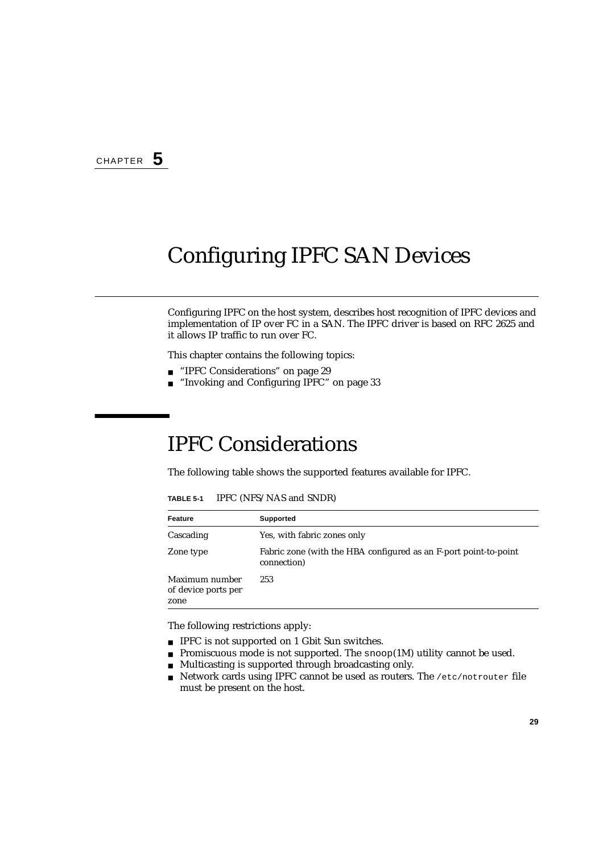# Configuring IPFC SAN Devices

Configuring IPFC on the host system, describes host recognition of IPFC devices and implementation of IP over FC in a SAN. The IPFC driver is based on RFC 2625 and it allows IP traffic to run over FC.

This chapter contains the following topics:

- ["IPFC Considerations" on page 29](#page-40-0)
- ["Invoking and Configuring IPFC" on page 33](#page-44-0)

## <span id="page-40-0"></span>IPFC Considerations

The following table shows the supported features available for IPFC.

**TABLE 5-1** IPFC (NFS/NAS and SNDR)

| Feature                                       | Supported                                                                       |
|-----------------------------------------------|---------------------------------------------------------------------------------|
| Cascading                                     | Yes, with fabric zones only                                                     |
| Zone type                                     | Fabric zone (with the HBA configured as an F-port point-to-point<br>connection) |
| Maximum number<br>of device ports per<br>zone | 253                                                                             |

The following restrictions apply:

- IPFC is not supported on 1 Gbit Sun switches.
- Promiscuous mode is not supported. The snoop(1M) utility cannot be used.
- Multicasting is supported through broadcasting only.
- Network cards using IPFC cannot be used as routers. The /etc/notrouter file must be present on the host.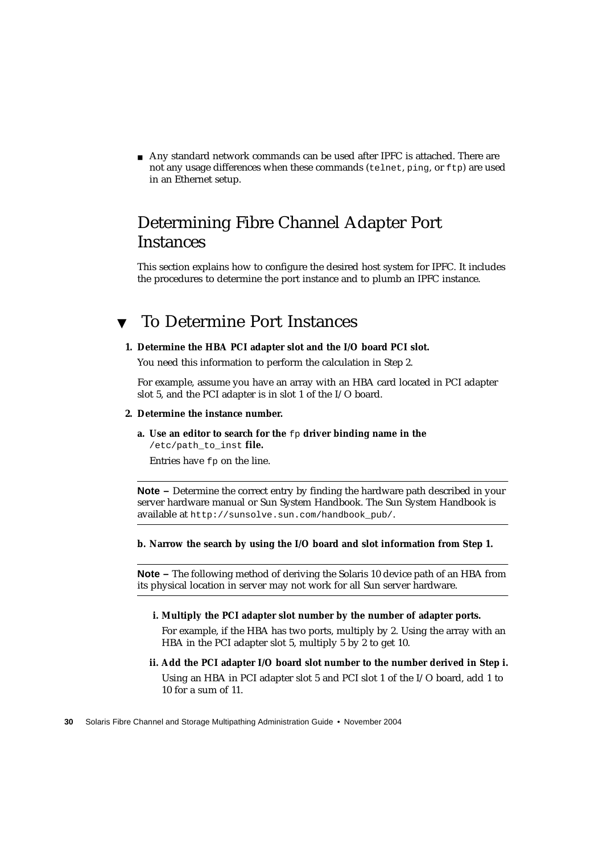■ Any standard network commands can be used after IPFC is attached. There are not any usage differences when these commands (telnet, ping, or ftp) are used in an Ethernet setup.

### Determining Fibre Channel Adapter Port **Instances**

This section explains how to configure the desired host system for IPFC. It includes the procedures to determine the port instance and to plumb an IPFC instance.

### <span id="page-41-1"></span>▼ To Determine Port Instances

#### **1. Determine the HBA PCI adapter slot and the I/O board PCI slot.**

You need this information to perform the calculation in [Step 2.](#page-41-0)

For example, assume you have an array with an HBA card located in PCI adapter slot 5, and the PCI adapter is in slot 1 of the I/O board.

#### <span id="page-41-0"></span>**2. Determine the instance number.**

**a. Use an editor to search for the** fp **driver binding name in the**  /etc/path\_to\_inst **file.**

Entries have fp on the line.

**Note –** Determine the correct entry by finding the hardware path described in your server hardware manual or Sun System Handbook. The Sun System Handbook is available at http://sunsolve.sun.com/handbook\_pub/.

#### **b. Narrow the search by using the I/O board and slot information from [Step 1.](#page-41-1)**

<span id="page-41-2"></span>**Note –** The following method of deriving the Solaris 10 device path of an HBA from its physical location in server may not work for all Sun server hardware.

#### **i. Multiply the PCI adapter slot number by the number of adapter ports.**

For example, if the HBA has two ports, multiply by 2. Using the array with an HBA in the PCI adapter slot 5, multiply 5 by 2 to get 10.

#### <span id="page-41-3"></span>**ii. Add the PCI adapter I/O board slot number to the number derived in [Step i.](#page-41-2)**

Using an HBA in PCI adapter slot 5 and PCI slot 1 of the I/O board, add 1 to 10 for a sum of 11.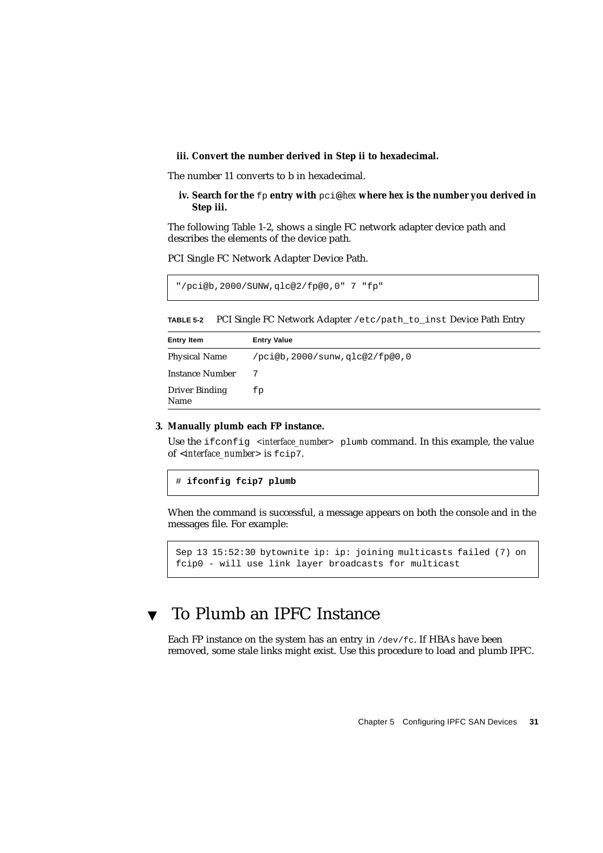#### **iii. Convert the number derived in [Step ii](#page-41-3) to hexadecimal.**

<span id="page-42-0"></span>The number 11 converts to b in hexadecimal.

**iv. Search for the** fp **entry with** pci**@***hex* **where** *hex* **is the number you derived in [Step iii.](#page-42-0)**

The following Table 1-2, shows a single FC network adapter device path and describes the elements of the device path.

PCI Single FC Network Adapter Device Path.

```
"/pci@b,2000/SUNW,qlc@2/fp@0,0" 7 "fp"
```
**TABLE 5-2** PCI Single FC Network Adapter /etc/path\_to\_inst Device Path Entry

| <b>Entry Item</b>      | <b>Entry Value</b>            |
|------------------------|-------------------------------|
| <b>Physical Name</b>   | /pci@b,2000/sunw,qlc@2/fp@0,0 |
| Instance Number        | 7                             |
| Driver Binding<br>Name | fp                            |

#### **3. Manually plumb each FP instance.**

Use the iffeonfig *<interface number*> plumb command. In this example, the value of <*interface\_number>* is fcip7.

```
# ifconfig fcip7 plumb
```
When the command is successful, a message appears on both the console and in the messages file. For example:

```
Sep 13 15:52:30 bytownite ip: ip: joining multicasts failed (7) on 
fcip0 - will use link layer broadcasts for multicast
```
### ▼ To Plumb an IPFC Instance

Each FP instance on the system has an entry in  $/$ dev $/$ fc. If HBAs have been removed, some stale links might exist. Use this procedure to load and plumb IPFC.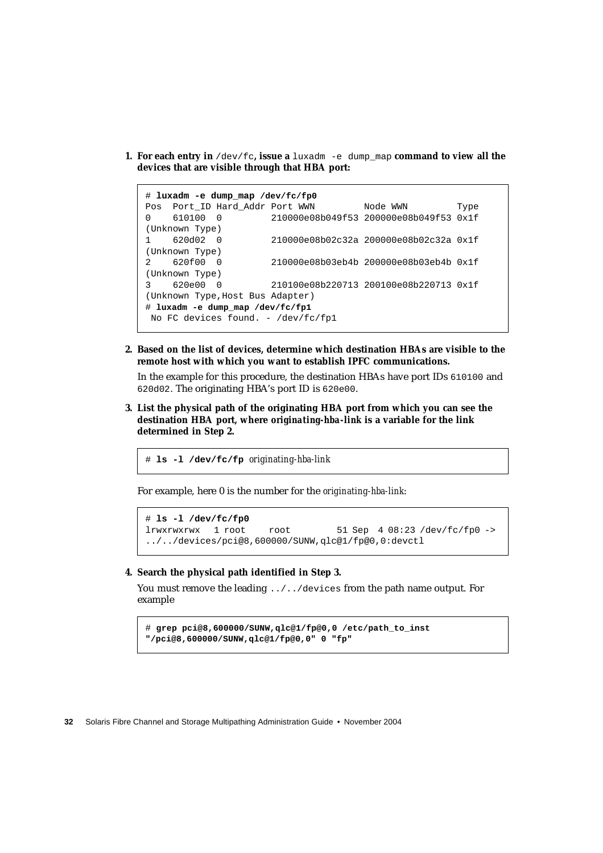**1. For each entry in** /dev/fc**, issue a** luxadm -e dump\_map **command to view all the devices that are visible through that HBA port:**

```
# luxadm -e dump_map /dev/fc/fp0
Pos Port_ID Hard_Addr Port WWN Node WWN Type
0 610100 0 210000e08b049f53 200000e08b049f53 0x1f 
(Unknown Type)
1 620d02 0 210000e08b02c32a 200000e08b02c32a 0x1f 
(Unknown Type)
2 620f00 0 210000e08b03eb4b 200000e08b03eb4b 0x1f 
(Unknown Type)
3 620e00 0 210100e08b220713 200100e08b220713 0x1f 
(Unknown Type,Host Bus Adapter)
# luxadm -e dump_map /dev/fc/fp1
 No FC devices found. - /dev/fc/fp1
```
<span id="page-43-0"></span>**2. Based on the list of devices, determine which destination HBAs are visible to the remote host with which you want to establish IPFC communications.**

In the example for this procedure, the destination HBAs have port IDs 610100 and 620d02. The originating HBA's port ID is 620e00.

<span id="page-43-1"></span>**3. List the physical path of the originating HBA port from which you can see the destination HBA port, where** *originating-hba-link* **is a variable for the link determined in [Step 2.](#page-43-0)**

# **ls -l /dev/fc/fp** *originating-hba-link*

For example, here 0 is the number for the *originating-hba-link*:

```
# ls -l /dev/fc/fp0
lrwxrwxrwx 1 root root 51 Sep 4 08:23 /dev/fc/fp0 ->
../../devices/pci@8,600000/SUNW,qlc@1/fp@0,0:devctl
```
#### <span id="page-43-2"></span>**4. Search the physical path identified in [Step 3](#page-43-1).**

You must remove the leading  $\ldots$ ,  $\ldots$  devices from the path name output. For example

```
# grep pci@8,600000/SUNW,qlc@1/fp@0,0 /etc/path_to_inst 
"/pci@8,600000/SUNW,qlc@1/fp@0,0" 0 "fp"
```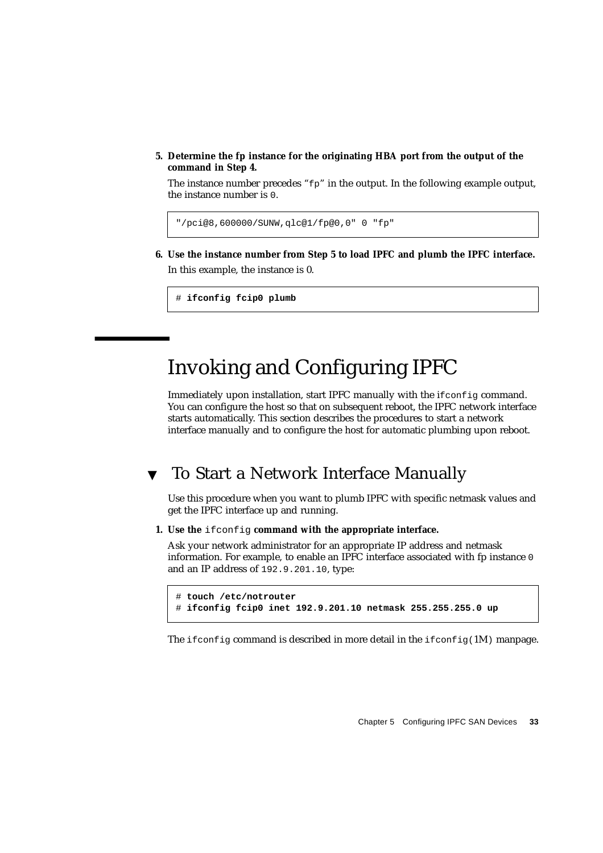<span id="page-44-1"></span>**5. Determine the fp instance for the originating HBA port from the output of the command in [Step 4](#page-43-2).**

The instance number precedes " $fp$ " in the output. In the following example output, the instance number is 0.

```
"/pci@8,600000/SUNW,qlc@1/fp@0,0" 0 "fp"
```
**6. Use the instance number from [Step 5](#page-44-1) to load IPFC and plumb the IPFC interface.** In this example, the instance is 0.

# **ifconfig fcip0 plumb**

## <span id="page-44-0"></span>Invoking and Configuring IPFC

Immediately upon installation, start IPFC manually with the ifconfig command. You can configure the host so that on subsequent reboot, the IPFC network interface starts automatically. This section describes the procedures to start a network interface manually and to configure the host for automatic plumbing upon reboot.

### To Start a Network Interface Manually

Use this procedure when you want to plumb IPFC with specific netmask values and get the IPFC interface up and running.

**1. Use the** ifconfig **command with the appropriate interface.**

Ask your network administrator for an appropriate IP address and netmask information. For example, to enable an IPFC interface associated with fp instance 0 and an IP address of 192.9.201.10, type:

```
# touch /etc/notrouter
# ifconfig fcip0 inet 192.9.201.10 netmask 255.255.255.0 up
```
The ifferentian command is described in more detail in the ifferential  $(1M)$  manpage.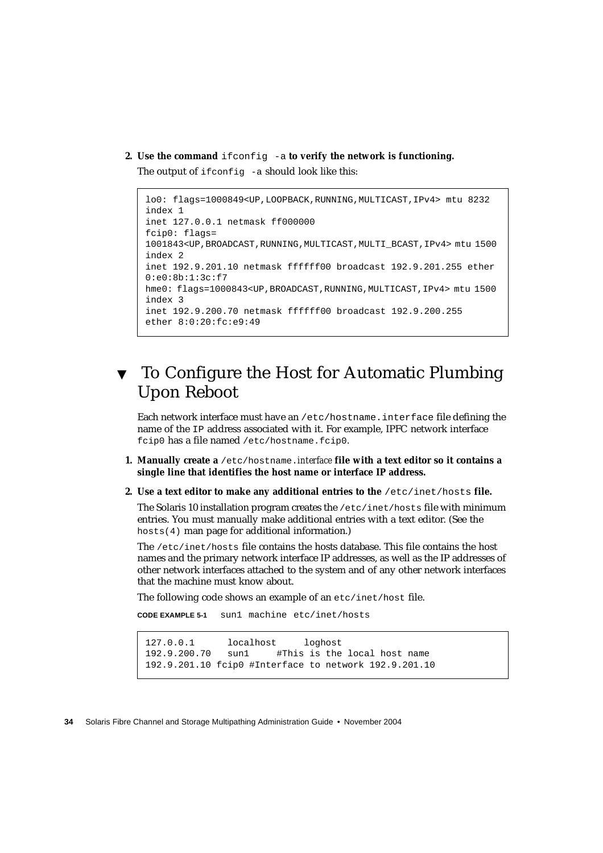#### **2. Use the command** ifconfig -a **to verify the network is functioning.**

The output of if config  $-a$  should look like this:

```
lo0: flags=1000849<UP,LOOPBACK,RUNNING,MULTICAST,IPv4> mtu 8232 
index 1
inet 127.0.0.1 netmask ff000000 
fcip0: flags=
1001843<UP,BROADCAST,RUNNING,MULTICAST,MULTI_BCAST,IPv4> mtu 1500 
index 2
inet 192.9.201.10 netmask ffffff00 broadcast 192.9.201.255 ether 
0:e0:8b:1:3c:f7 
hme0: flags=1000843<UP,BROADCAST,RUNNING,MULTICAST,IPv4> mtu 1500 
index 3
inet 192.9.200.70 netmask ffffff00 broadcast 192.9.200.255
ether 8:0:20:fc:e9:49
```
### ▼ To Configure the Host for Automatic Plumbing Upon Reboot

Each network interface must have an /etc/hostname.interface file defining the name of the IP address associated with it. For example, IPFC network interface fcip0 has a file named /etc/hostname.fcip0.

- **1. Manually create a** /etc/hostname.*interface* **file with a text editor so it contains a single line that identifies the host name or interface IP address.**
- **2. Use a text editor to make any additional entries to the** /etc/inet/hosts **file.**

The Solaris 10 installation program creates the /etc/inet/hosts file with minimum entries. You must manually make additional entries with a text editor. (See the hosts(4) man page for additional information.)

The /etc/inet/hosts file contains the hosts database. This file contains the host names and the primary network interface IP addresses, as well as the IP addresses of other network interfaces attached to the system and of any other network interfaces that the machine must know about.

The following code shows an example of an etc/inet/host file.

**CODE EXAMPLE 5-1** sun1 machine etc/inet/hosts

127.0.0.1 localhost loghost 192.9.200.70 sun1 #This is the local host name 192.9.201.10 fcip0 #Interface to network 192.9.201.10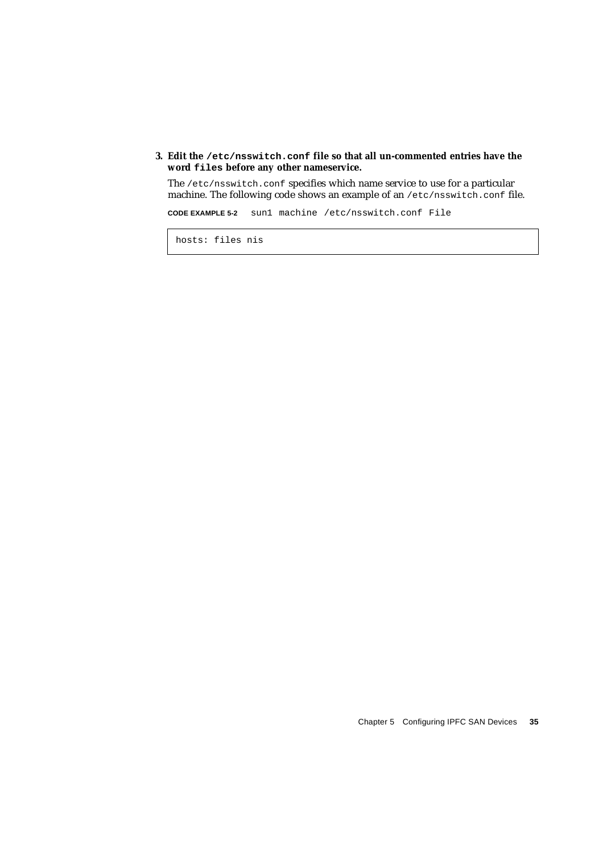#### **3. Edit the /etc/nsswitch.conf file so that all un-commented entries have the word files before any other nameservice.**

The /etc/nsswitch.conf specifies which name service to use for a particular machine. The following code shows an example of an /etc/nsswitch.conf file.

```
CODE EXAMPLE 5-2 sun1 machine /etc/nsswitch.conf File
```
hosts: files nis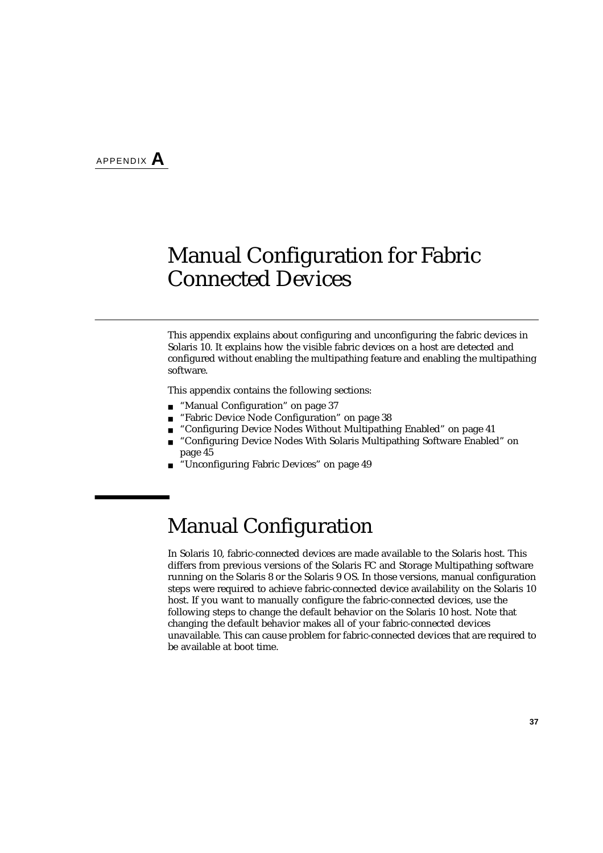# <span id="page-48-0"></span>Manual Configuration for Fabric Connected Devices

This appendix explains about configuring and unconfiguring the fabric devices in Solaris 10. It explains how the visible fabric devices on a host are detected and configured without enabling the multipathing feature and enabling the multipathing software.

This appendix contains the following sections:

- ["Manual Configuration" on page 37](#page-48-1)
- ["Fabric Device Node Configuration" on page 38](#page-49-0)
- ["Configuring Device Nodes Without Multipathing Enabled" on page 41](#page-52-0)
- "Configuring Device Nodes With Solaris Multipathing Software Enabled" on [page 45](#page-56-0)
- ["Unconfiguring Fabric Devices" on page 49](#page-60-0)

## <span id="page-48-1"></span>Manual Configuration

In Solaris 10, fabric-connected devices are made available to the Solaris host. This differs from previous versions of the Solaris FC and Storage Multipathing software running on the Solaris 8 or the Solaris 9 OS. In those versions, manual configuration steps were required to achieve fabric-connected device availability on the Solaris 10 host. If you want to manually configure the fabric-connected devices, use the following steps to change the default behavior on the Solaris 10 host. Note that changing the default behavior makes all of your fabric-connected devices unavailable. This can cause problem for fabric-connected devices that are required to be available at boot time.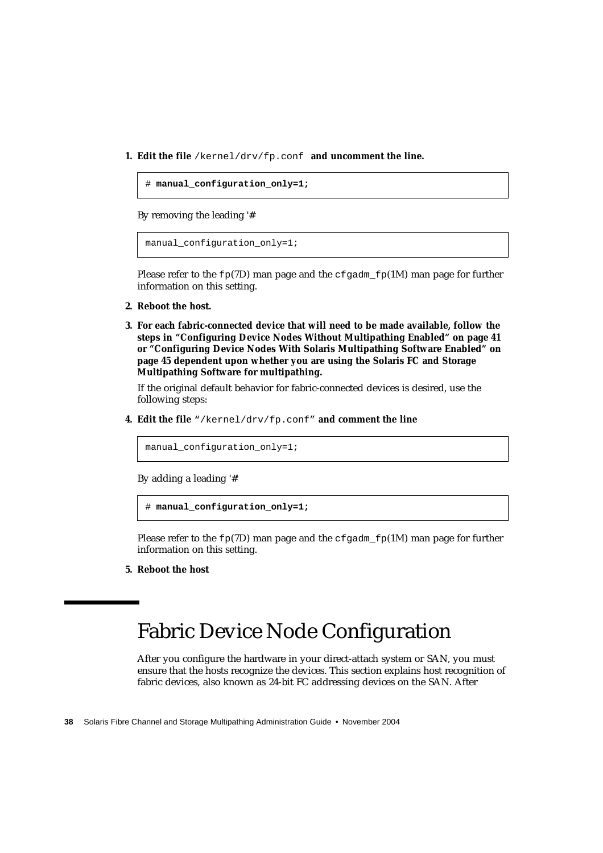**1. Edit the file** /kernel/drv/fp.conf **and uncomment the line.**

```
# manual_configuration_only=1;
```
By removing the leading '#

manual\_configuration\_only=1;

Please refer to the  $fp(7D)$  man page and the cfgadm  $fp(1M)$  man page for further information on this setting.

- **2. Reboot the host.**
- **3. For each fabric-connected device that will need to be made available, follow the steps in ["Configuring Device Nodes Without Multipathing Enabled" on page 41](#page-52-0) or ["Configuring Device Nodes With Solaris Multipathing Software Enabled" on](#page-56-0)  [page 45](#page-56-0) dependent upon whether you are using the Solaris FC and Storage Multipathing Software for multipathing.**

If the original default behavior for fabric-connected devices is desired, use the following steps:

**4. Edit the file** "/kernel/drv/fp.conf" **and comment the line**

manual configuration only=1;

By adding a leading '#'

# **manual\_configuration\_only=1;**

Please refer to the  $fp(7D)$  man page and the cfgadm  $fp(1M)$  man page for further information on this setting.

**5. Reboot the host**

## <span id="page-49-0"></span>Fabric Device Node Configuration

After you configure the hardware in your direct-attach system or SAN, you must ensure that the hosts recognize the devices. This section explains host recognition of fabric devices, also known as 24-bit FC addressing devices on the SAN. After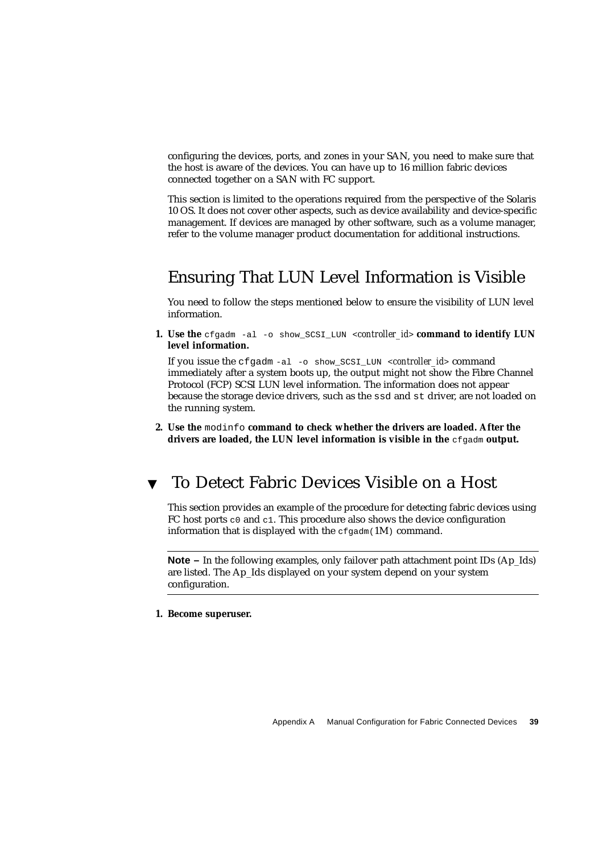configuring the devices, ports, and zones in your SAN, you need to make sure that the host is aware of the devices. You can have up to 16 million fabric devices connected together on a SAN with FC support.

This section is limited to the operations required from the perspective of the Solaris 10 OS. It does not cover other aspects, such as device availability and device-specific management. If devices are managed by other software, such as a volume manager, refer to the volume manager product documentation for additional instructions.

### Ensuring That LUN Level Information is Visible

You need to follow the steps mentioned below to ensure the visibility of LUN level information.

**1. Use the** cfgadm -al -o show\_SCSI\_LUN <*controller\_id*> **command to identify LUN level information.**

If you issue the cfgadm -al -o show\_SCSI\_LUN <*controller\_id*> command immediately after a system boots up, the output might not show the Fibre Channel Protocol (FCP) SCSI LUN level information. The information does not appear because the storage device drivers, such as the ssd and st driver, are not loaded on the running system.

**2. Use the** modinfo **command to check whether the drivers are loaded. After the drivers are loaded, the LUN level information is visible in the** cfgadm **output.**

### <span id="page-50-0"></span>▼ To Detect Fabric Devices Visible on a Host

This section provides an example of the procedure for detecting fabric devices using FC host ports  $\circ$  and  $\circ$ 1. This procedure also shows the device configuration information that is displayed with the  $cf$ gadm(1M) command.

**Note –** In the following examples, only failover path attachment point IDs (Ap Ids) are listed. The Ap\_Ids displayed on your system depend on your system configuration.

**1. Become superuser.**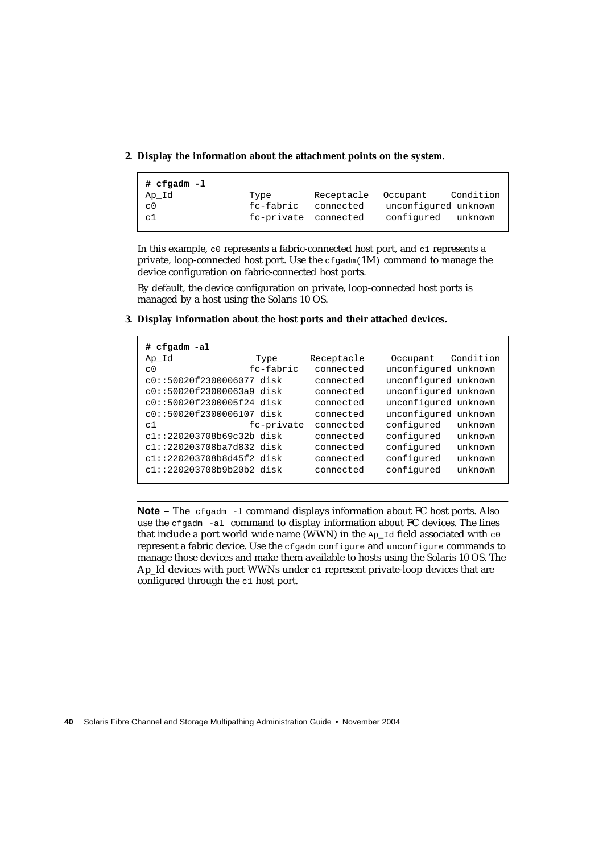**2. Display the information about the attachment points on the system.**

| # cfgadm -l    |                      |                     |                      |           |
|----------------|----------------------|---------------------|----------------------|-----------|
| Ap Id          | Type                 | Receptacle Occupant |                      | Condition |
| C <sub>0</sub> | fc-fabric            | connected           | unconfigured unknown |           |
| c1             | fc-private connected |                     | configured unknown   |           |

In this example,  $\circ$  represents a fabric-connected host port, and  $\circ$ 1 represents a private, loop-connected host port. Use the  $cf$ gadm( $1M$ ) command to manage the device configuration on fabric-connected host ports.

By default, the device configuration on private, loop-connected host ports is managed by a host using the Solaris 10 OS.

**3. Display information about the host ports and their attached devices.**

| cfgadm -al<br>#             |            |            |                       |
|-----------------------------|------------|------------|-----------------------|
| Ap Id                       | Type       | Receptacle | Condition<br>Occupant |
| C <sub>0</sub>              | fc-fabric  | connected  | unconfigured unknown  |
| c0::50020f2300006077 disk   |            | connected  | unconfigured unknown  |
| $c0::50020f23000063a9$ disk |            | connected  | unconfigured unknown  |
| c0::50020f2300005f24 disk   |            | connected  | unconfigured unknown  |
| $c0::50020f2300006107$ disk |            | connected  | unconfigured unknown  |
| c1                          | fc-private | connected  | configured<br>unknown |
| $c1:220203708b69c32b$ disk  |            | connected  | configured<br>unknown |
| c1:220203708ba7d832 disk    |            | connected  | configured<br>unknown |
| $c1:220203708b8d45f2$ disk  |            | connected  | configured<br>unknown |
| $c1::220203708b9b20b2$ disk |            | connected  | configured<br>unknown |
|                             |            |            |                       |

**Note –** The cfgadm –1 command displays information about FC host ports. Also use the cfgadm -al command to display information about FC devices. The lines that include a port world wide name (WWN) in the  $A_{p}$  and field associated with  $\infty$ represent a fabric device. Use the efgadm configure and unconfigure commands to manage those devices and make them available to hosts using the Solaris 10 OS. The Ap\_Id devices with port WWNs under c1 represent private-loop devices that are configured through the c1 host port.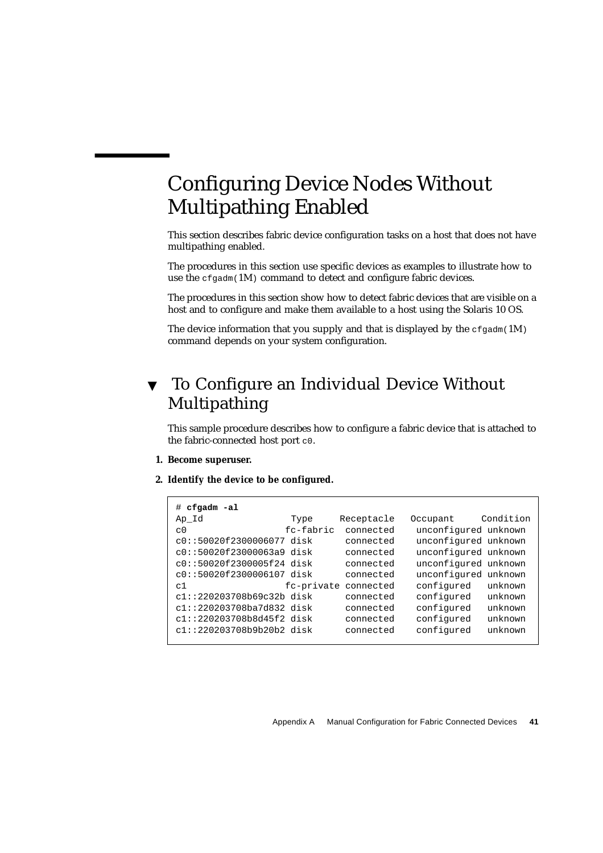# <span id="page-52-0"></span>Configuring Device Nodes Without Multipathing Enabled

This section describes fabric device configuration tasks on a host that does not have multipathing enabled.

The procedures in this section use specific devices as examples to illustrate how to use the cfgadm(1M) command to detect and configure fabric devices.

The procedures in this section show how to detect fabric devices that are visible on a host and to configure and make them available to a host using the Solaris 10 OS.

The device information that you supply and that is displayed by the  $cf$ gadm(1M) command depends on your system configuration.

### To Configure an Individual Device Without Multipathing

This sample procedure describes how to configure a fabric device that is attached to the fabric-connected host port c0.

#### **1. Become superuser.**

**2. Identify the device to be configured.**

| cfgadm -al<br>#             |           |                      |                      |           |
|-----------------------------|-----------|----------------------|----------------------|-----------|
| Ap_Id                       | Type      | Receptacle           | Occupant             | Condition |
| C <sub>0</sub>              | fc-fabric | connected            | unconfigured unknown |           |
| $c0::50020f2300006077$ disk |           | connected            | unconfigured unknown |           |
| c0::50020f23000063a9 disk   |           | connected            | unconfigured unknown |           |
| c0::50020f2300005f24 disk   |           | connected            | unconfigured unknown |           |
| $c0::50020f2300006107$ disk |           | connected            | unconfigured unknown |           |
| c1                          |           | fc-private connected | configured           | unknown   |
| $c1:220203708b69c32b$ disk  |           | connected            | configured           | unknown   |
| c1::220203708ba7d832 disk   |           | connected            | configured           | unknown   |
| $c1::220203708b8d45f2$ disk |           | connected            | configured           | unknown   |
| $c1::220203708b9b20b2$ disk |           | connected            | configured           | unknown   |
|                             |           |                      |                      |           |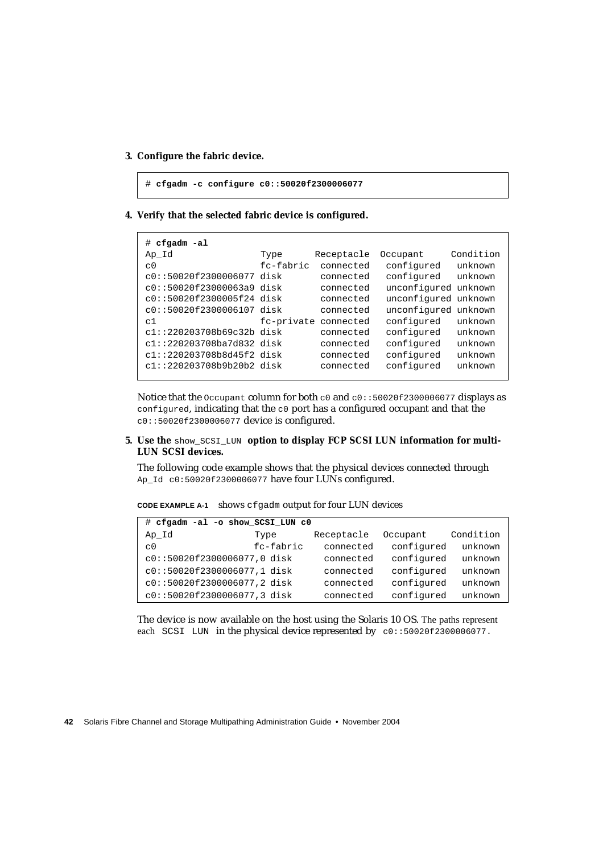**3. Configure the fabric device.**

```
# cfgadm -c configure c0::50020f2300006077
```
**4. Verify that the selected fabric device is configured.**

| cfgadm -al<br>#             |            |            |                      |           |
|-----------------------------|------------|------------|----------------------|-----------|
| Ap_Id                       | Type       | Receptacle | Occupant             | Condition |
| $\rm c0$                    | fc-fabric  | connected  | configured           | unknown   |
| c0::50020f2300006077        | disk       | connected  | configured           | unknown   |
| c0::50020f23000063a9 disk   |            | connected  | unconfigured unknown |           |
| c0::50020f2300005f24 disk   |            | connected  | unconfigured unknown |           |
| $c0::50020f2300006107$ disk |            | connected  | unconfigured unknown |           |
| c1                          | fc-private | connected  | configured           | unknown   |
| $c1:220203708b69c32b$ disk  |            | connected  | configured           | unknown   |
| c1::220203708ba7d832 disk   |            | connected  | configured           | unknown   |
| $c1::220203708b8d45f2$ disk |            | connected  | configured           | unknown   |
| $c1::220203708b9b20b2$ disk |            | connected  | configured           | unknown   |
|                             |            |            |                      |           |

Notice that the occupant column for both  $\circ$  0 and  $\circ$  0::50020f2300006077 displays as configured, indicating that the  $c0$  port has a configured occupant and that the c0::50020f2300006077 device is configured.

**5. Use the** show\_SCSI\_LUN **option to display FCP SCSI LUN information for multi-LUN SCSI devices.**

The following code example shows that the physical devices connected through Ap\_Id c0:50020f2300006077 have four LUNs configured.

| # cfgadm -al -o show SCSI LUN c0 |           |            |            |           |
|----------------------------------|-----------|------------|------------|-----------|
| Ap_Id                            | Type      | Receptacle | Occupant   | Condition |
| $\rm c0$                         | fc-fabric | connected  | configured | unknown   |
| $c0::50020f2300006077,0$ disk    |           | connected  | configured | unknown   |
| c0::50020f2300006077,1 disk      |           | connected  | configured | unknown   |
| c0::50020f2300006077, 2 disk     |           | connected  | configured | unknown   |
| c0::50020f2300006077,3 disk      |           | connected  | configured | unknown   |

**CODE EXAMPLE A-1** shows cfgadm output for four LUN devices

The device is now available on the host using the Solaris 10 OS. The paths represent each SCSI LUN in the physical device represented by c0::50020f2300006077.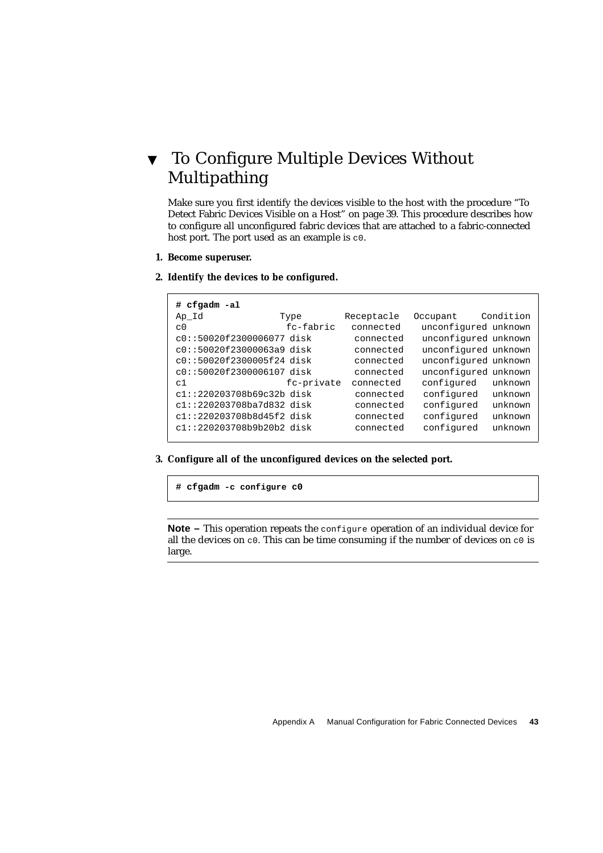### To Configure Multiple Devices Without Multipathing

Make sure you first identify the devices visible to the host with the procedure ["To](#page-50-0)  [Detect Fabric Devices Visible on a Host" on page 39.](#page-50-0) This procedure describes how to configure all unconfigured fabric devices that are attached to a fabric-connected host port. The port used as an example is  $\infty$ 0.

- **1. Become superuser.**
- **2. Identify the devices to be configured.**

| cfgadm -al<br>#             |            |            |                      |           |
|-----------------------------|------------|------------|----------------------|-----------|
| Ap Id                       | Type       | Receptacle | Occupant             | Condition |
| C <sub>0</sub>              | fc-fabric  | connected  | unconfigured unknown |           |
| $c0::50020f2300006077$ disk |            | connected  | unconfigured unknown |           |
| c0::50020f23000063a9 disk   |            | connected  | unconfigured unknown |           |
| c0::50020f2300005f24 disk   |            | connected  | unconfigured unknown |           |
| c0::50020f2300006107 disk   |            | connected  | unconfigured unknown |           |
| c1                          | fc-private | connected  | configured           | unknown   |
| $c1:220203708b69c32b$ disk  |            | connected  | configured           | unknown   |
| c1:220203708ba7d832 disk    |            | connected  | configured           | unknown   |
| c1::220203708b8d45f2 disk   |            | connected  | configured           | unknown   |
| $c1::220203708b9b20b2$ disk |            | connected  | configured           | unknown   |

**3. Configure all of the unconfigured devices on the selected port.**

**# cfgadm -c configure c0**

**Note –** This operation repeats the configure operation of an individual device for all the devices on  $\circ$  0. This can be time consuming if the number of devices on  $\circ$  0 is large.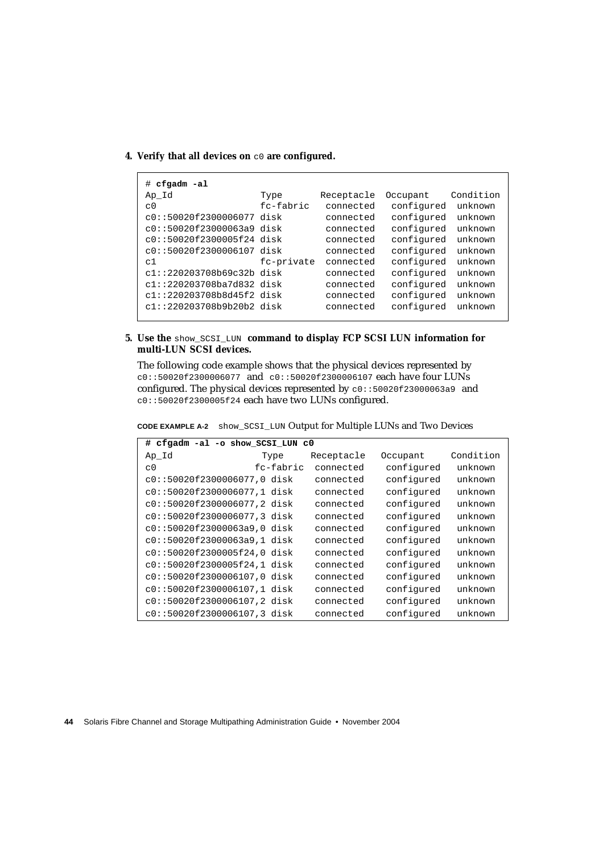**4. Verify that all devices on** c0 **are configured.**

| cfgadm -al<br>#             |            |            |            |           |
|-----------------------------|------------|------------|------------|-----------|
| Ap Id                       | Type       | Receptacle | Occupant   | Condition |
| C <sub>0</sub>              | fc-fabric  | connected  | configured | unknown   |
| $c0::50020f2300006077$ disk |            | connected  | configured | unknown   |
| $c0::50020f23000063a9$ disk |            | connected  | configured | unknown   |
| $c0::50020f2300005f24$ disk |            | connected  | configured | unknown   |
| $c0::50020f2300006107$ disk |            | connected  | configured | unknown   |
| c1                          | fc-private | connected  | configured | unknown   |
| $c1:220203708b69c32b$ disk  |            | connected  | configured | unknown   |
| c1::220203708ba7d832 disk   |            | connected  | configured | unknown   |
| $c1::220203708b8d45f2$ disk |            | connected  | configured | unknown   |
| $c1::220203708b9b20b2$ disk |            | connected  | configured | unknown   |
|                             |            |            |            |           |

**5. Use the** show\_SCSI\_LUN **command to display FCP SCSI LUN information for multi-LUN SCSI devices.**

The following code example shows that the physical devices represented by c0::50020f2300006077 and c0::50020f2300006107 each have four LUNs configured. The physical devices represented by c0::50020f23000063a9 and c0::50020f2300005f24 each have two LUNs configured.

**CODE EXAMPLE A-2** show\_SCSI\_LUN Output for Multiple LUNs and Two Devices

| # cfgadm -al -o show_SCSI_LUN c0 |           |            |            |           |  |
|----------------------------------|-----------|------------|------------|-----------|--|
| Ap_Id                            | Type      | Receptacle | Occupant   | Condition |  |
| C <sub>0</sub>                   | fc-fabric | connected  | configured | unknown   |  |
| $c0::50020f2300006077,0$ disk    |           | connected  | configured | unknown   |  |
| $c0::50020f2300006077,1$ disk    |           | connected  | configured | unknown   |  |
| c0::50020f2300006077, 2 disk     |           | connected  | configured | unknown   |  |
| c0::50020f2300006077,3 disk      |           | connected  | configured | unknown   |  |
| $c0::50020f23000063a9,0$ disk    |           | connected  | configured | unknown   |  |
| $c0::50020f23000063a9,1$ disk    |           | connected  | configured | unknown   |  |
| $c0::50020f2300005f24,0$ disk    |           | connected  | configured | unknown   |  |
| $c0::50020f2300005f24,1$ disk    |           | connected  | configured | unknown   |  |
| $c0::50020f2300006107,0$ disk    |           | connected  | configured | unknown   |  |
| $c0::50020f2300006107,1$ disk    |           | connected  | configured | unknown   |  |
| c0::50020f2300006107, 2 disk     |           | connected  | configured | unknown   |  |
| c0::50020f2300006107,3 disk      |           | connected  | configured | unknown   |  |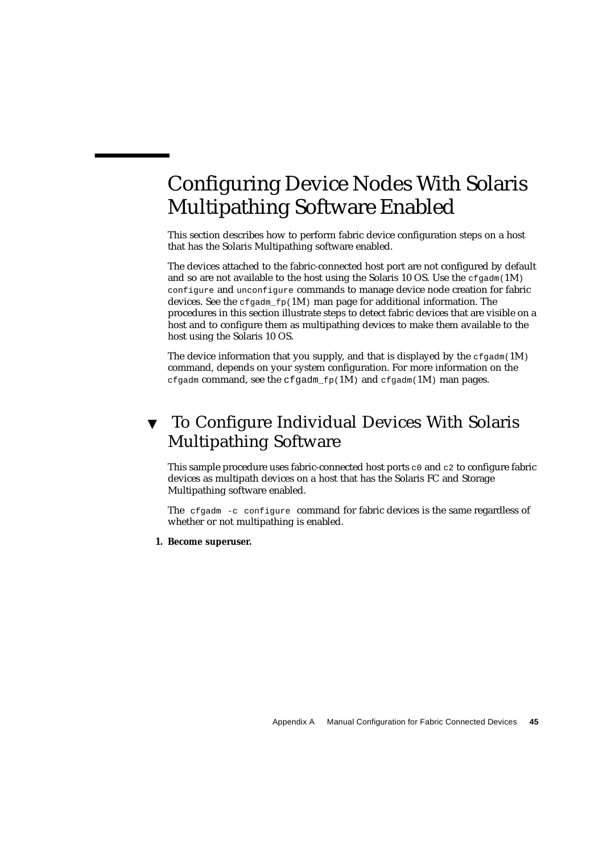# <span id="page-56-0"></span>Configuring Device Nodes With Solaris Multipathing Software Enabled

This section describes how to perform fabric device configuration steps on a host that has the Solaris Multipathing software enabled.

The devices attached to the fabric-connected host port are not configured by default and so are not available to the host using the Solaris 10 OS. Use the  $cf$  gadm(1M) configure and unconfigure commands to manage device node creation for fabric devices. See the  $cf$ gadm\_fp(1M) man page for additional information. The procedures in this section illustrate steps to detect fabric devices that are visible on a host and to configure them as multipathing devices to make them available to the host using the Solaris 10 OS.

The device information that you supply, and that is displayed by the  $cf$   $f$   $f$   $f$   $f$   $f$ command, depends on your system configuration. For more information on the cfgadm command, see the cfgadm\_fp(1M) and cfgadm(1M) man pages.

### ▼ To Configure Individual Devices With Solaris Multipathing Software

This sample procedure uses fabric-connected host ports  $\circ$  0 and  $\circ$  2 to configure fabric devices as multipath devices on a host that has the Solaris FC and Storage Multipathing software enabled.

The cfgadm -c configure command for fabric devices is the same regardless of whether or not multipathing is enabled.

**1. Become superuser.**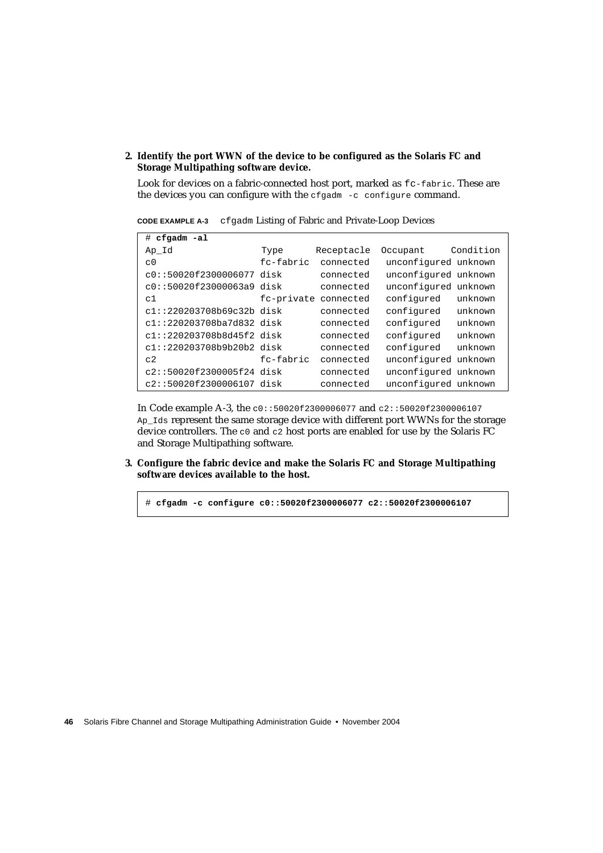#### **2. Identify the port WWN of the device to be configured as the Solaris FC and Storage Multipathing software device.**

Look for devices on a fabric-connected host port, marked as  $fc$ -fabric. These are the devices you can configure with the  $cf$ gadm  $-c$  configure command.

**CODE EXAMPLE A-3** cfgadm Listing of Fabric and Private-Loop Devices

| cfgadm -al<br>$^{\#}$       |            |            |                      |           |
|-----------------------------|------------|------------|----------------------|-----------|
| Ap_Id                       | Type       | Receptacle | Occupant             | Condition |
| $\rm c0$                    | fc-fabric  | connected  | unconfigured unknown |           |
| c0::50020f2300006077        | disk       | connected  | unconfigured unknown |           |
| $c0::50020f23000063a9$ disk |            | connected  | unconfigured unknown |           |
| c1                          | fc-private | connected  | configured           | unknown   |
| $c1::220203708b69c32b$ disk |            | connected  | configured           | unknown   |
| c1:220203708ba7d832 disk    |            | connected  | configured           | unknown   |
| $c1::220203708b8d45f2$ disk |            | connected  | configured           | unknown   |
| $c1:220203708b9b20b2$ disk  |            | connected  | configured           | unknown   |
| c2                          | fc-fabric  | connected  | unconfigured unknown |           |
| c2::50020f2300005f24 disk   |            | connected  | unconfigured unknown |           |
| $c2::50020f2300006107$ disk |            | connected  | unconfigured unknown |           |

In Code example A-3, the  $c0::50020f2300006077$  and  $c2::50020f2300006107$ Ap\_Ids represent the same storage device with different port WWNs for the storage device controllers. The  $\circ$  and  $\circ$  host ports are enabled for use by the Solaris FC and Storage Multipathing software.

**3. Configure the fabric device and make the Solaris FC and Storage Multipathing software devices available to the host.**

# **cfgadm -c configure c0::50020f2300006077 c2::50020f2300006107**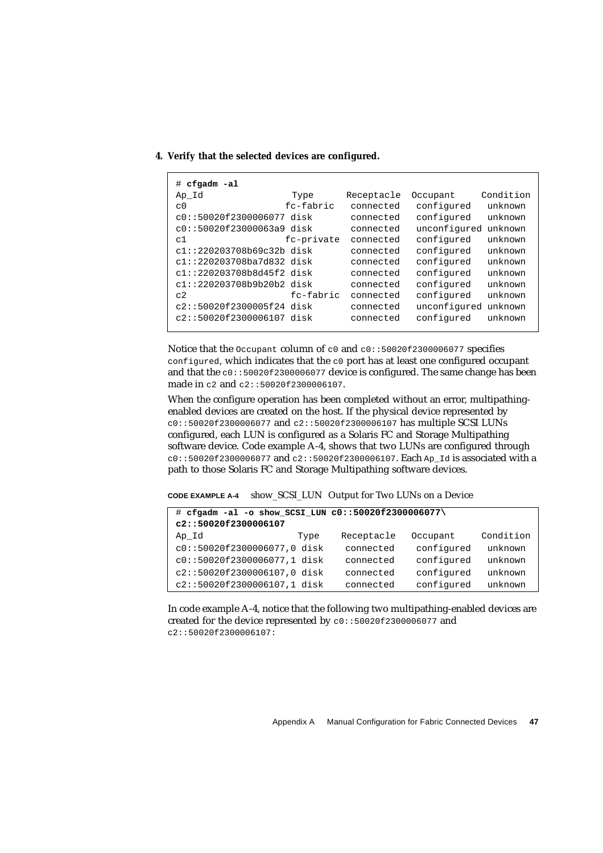**4. Verify that the selected devices are configured.**

| cfgadm -al<br>#             |            |            |              |           |
|-----------------------------|------------|------------|--------------|-----------|
| Ap Id                       | Type       | Receptacle | Occupant     | Condition |
| C <sub>0</sub>              | fc-fabric  | connected  | configured   | unknown   |
| $c0::50020f2300006077$ disk |            | connected  | configured   | unknown   |
| $c0::50020f23000063a9$ disk |            | connected  | unconfigured | unknown   |
| c1                          | fc-private | connected  | configured   | unknown   |
| $c1::220203708b69c32b$ disk |            | connected  | configured   | unknown   |
| c1::220203708ba7d832 disk   |            | connected  | configured   | unknown   |
| $c1::220203708b8d45f2$ disk |            | connected  | configured   | unknown   |
| $c1:220203708b9b20b2$ disk  |            | connected  | configured   | unknown   |
| C <sub>2</sub>              | fc-fabric  | connected  | configured   | unknown   |
| c2::50020f2300005f24 disk   |            | connected  | unconfigured | unknown   |
| $c2::50020f2300006107$ disk |            | connected  | configured   | unknown   |

Notice that the Occupant column of  $\circ$ 0 and  $\circ$ 0::50020f2300006077 specifies configured, which indicates that the  $\infty$  port has at least one configured occupant and that the c0::50020f2300006077 device is configured. The same change has been made in c2 and c2::50020f2300006107.

When the configure operation has been completed without an error, multipathingenabled devices are created on the host. If the physical device represented by c0::50020f2300006077 and c2::50020f2300006107 has multiple SCSI LUNs configured, each LUN is configured as a Solaris FC and Storage Multipathing software device. Code example A-4, shows that two LUNs are configured through  $c0::50020f2300006077$  and  $c2::50020f2300006107$ . Each  $Ap\_Id$  is associated with a path to those Solaris FC and Storage Multipathing software devices.

**CODE EXAMPLE A-4** show\_SCSI\_LUN Output for Two LUNs on a Device

| # cfgadm -al -o show SCSI LUN c0::50020f2300006077\ |      |            |            |           |  |
|-----------------------------------------------------|------|------------|------------|-----------|--|
| c2::50020f2300006107                                |      |            |            |           |  |
| Ap Id                                               | Type | Receptacle | Occupant   | Condition |  |
| $c0::50020f2300006077,0$ disk                       |      | connected  | configured | unknown   |  |
| $c0::50020f2300006077,1$ disk                       |      | connected  | configured | unknown   |  |
| c2::50020f2300006107,0 disk                         |      | connected  | configured | unknown   |  |
| c2::50020f2300006107,1 disk                         |      | connected  | configured | unknown   |  |

In code example A-4, notice that the following two multipathing-enabled devices are created for the device represented by c0::50020f2300006077 and c2::50020f2300006107: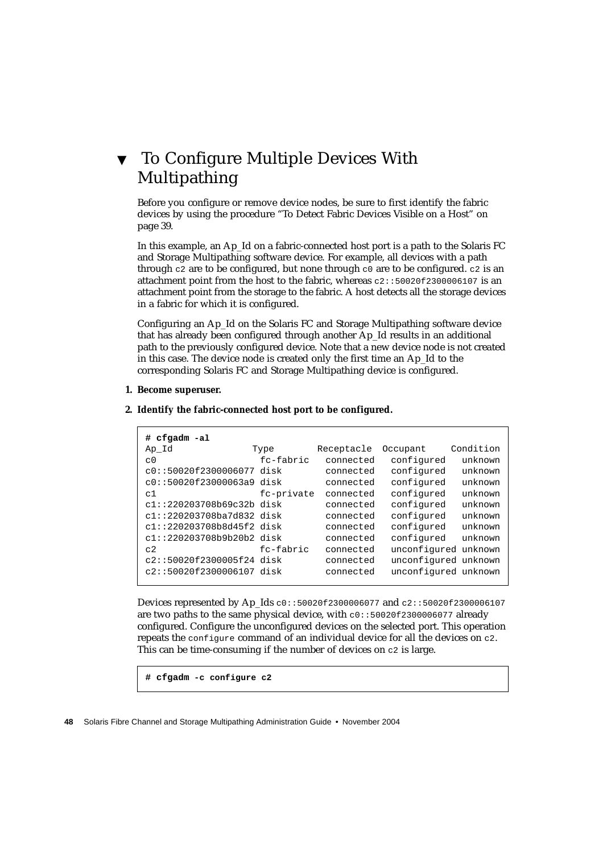### To Configure Multiple Devices With Multipathing

Before you configure or remove device nodes, be sure to first identify the fabric devices by using the procedure ["To Detect Fabric Devices Visible on a Host" on](#page-50-0)  [page 39](#page-50-0).

In this example, an Ap\_Id on a fabric-connected host port is a path to the Solaris FC and Storage Multipathing software device. For example, all devices with a path through  $c^2$  are to be configured, but none through  $c^0$  are to be configured.  $c^2$  is an attachment point from the host to the fabric, whereas  $c2:50020f2300006107$  is an attachment point from the storage to the fabric. A host detects all the storage devices in a fabric for which it is configured.

Configuring an Ap\_Id on the Solaris FC and Storage Multipathing software device that has already been configured through another Ap\_Id results in an additional path to the previously configured device. Note that a new device node is not created in this case. The device node is created only the first time an Ap\_Id to the corresponding Solaris FC and Storage Multipathing device is configured.

#### **1. Become superuser.**

**2. Identify the fabric-connected host port to be configured.**

| #<br>cfgadm -al             |            |            |                      |           |
|-----------------------------|------------|------------|----------------------|-----------|
| Ap_Id                       | Type       | Receptacle | Occupant             | Condition |
| C <sub>0</sub>              | fc-fabric  | connected  | configured           | unknown   |
| $c0::50020f2300006077$ disk |            | connected  | configured           | unknown   |
| $c0::50020f23000063a9$ disk |            | connected  | configured           | unknown   |
| c1                          | fc-private | connected  | configured           | unknown   |
| $c1:220203708b69c32b$ disk  |            | connected  | configured           | unknown   |
| c1::220203708ba7d832 disk   |            | connected  | configured           | unknown   |
| $c1::220203708b8d45f2$ disk |            | connected  | configured           | unknown   |
| $c1:220203708b9b20b2$ disk  |            | connected  | configured           | unknown   |
| C <sub>2</sub>              | fc-fabric  | connected  | unconfigured unknown |           |
| c2::50020f2300005f24 disk   |            | connected  | unconfigured unknown |           |
| c2::50020f2300006107 disk   |            | connected  | unconfigured unknown |           |

Devices represented by Ap\_Ids  $c0::50020f2300006077$  and  $c2::50020f2300006107$ are two paths to the same physical device, with  $c_0$ : :50020f2300006077 already configured. Configure the unconfigured devices on the selected port. This operation repeats the configure command of an individual device for all the devices on c2. This can be time-consuming if the number of devices on  $c2$  is large.

```
# cfgadm -c configure c2
```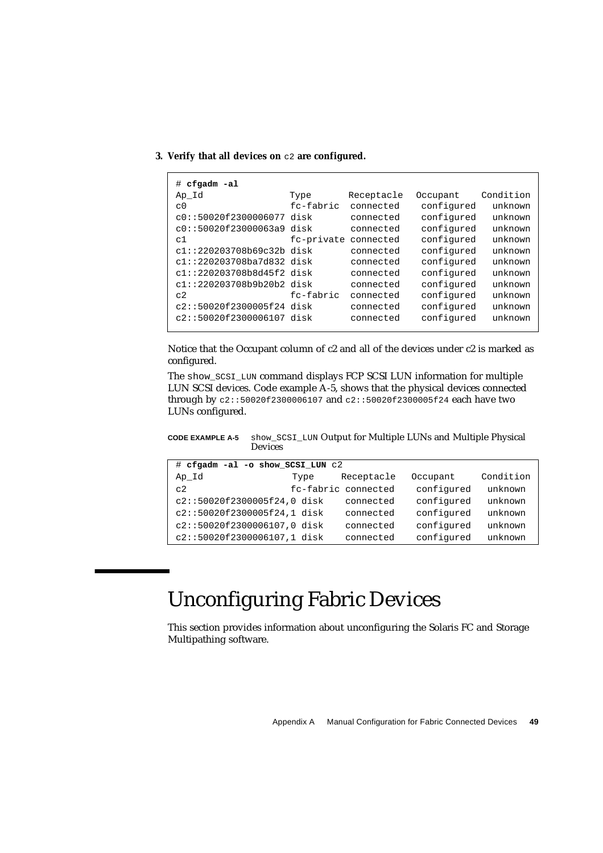**3. Verify that all devices on** c2 **are configured.**

| $cfqadm -a1$<br>#           |            |            |            |           |
|-----------------------------|------------|------------|------------|-----------|
| Ap Id                       | Type       | Receptacle | Occupant   | Condition |
| C <sub>0</sub>              | fc-fabric  | connected  | configured | unknown   |
| c0::50020f2300006077        | disk       | connected  | configured | unknown   |
| c0::50020f23000063a9        | disk       | connected  | configured | unknown   |
| c1                          | fc-private | connected  | configured | unknown   |
| $c1:220203708b69c32b$ disk  |            | connected  | configured | unknown   |
| c1:220203708ba7d832 disk    |            | connected  | configured | unknown   |
| $c1:220203708b8d45f2$ disk  |            | connected  | configured | unknown   |
| $c1::220203708b9b20b2$ disk |            | connected  | configured | unknown   |
| c2                          | fc-fabric  | connected  | configured | unknown   |
| c2::50020f2300005f24        | disk       | connected  | configured | unknown   |
| c2::50020f2300006107        | disk       | connected  | configured | unknown   |

Notice that the Occupant column of c2 and all of the devices under c2 is marked as configured.

The show\_SCSI\_LUN command displays FCP SCSI LUN information for multiple LUN SCSI devices. Code example A-5, shows that the physical devices connected through by c2::50020f2300006107 and c2::50020f2300005f24 each have two LUNs configured.

**CODE EXAMPLE A-5** show\_SCSI\_LUN Output for Multiple LUNs and Multiple Physical **Devices** 

| # cfgadm -al -o show_SCSI_LUN c2 |      |                     |            |           |
|----------------------------------|------|---------------------|------------|-----------|
| Ap_Id                            | Type | Receptacle          | Occupant   | Condition |
| C <sub>2</sub>                   |      | fc-fabric connected | configured | unknown   |
| c2::50020f2300005f24,0 disk      |      | connected           | configured | unknown   |
| c2::50020f2300005f24,1 disk      |      | connected           | configured | unknown   |
| c2::50020f2300006107,0 disk      |      | connected           | configured | unknown   |
| c2::50020f2300006107,1 disk      |      | connected           | configured | unknown   |

## <span id="page-60-0"></span>Unconfiguring Fabric Devices

This section provides information about unconfiguring the Solaris FC and Storage Multipathing software.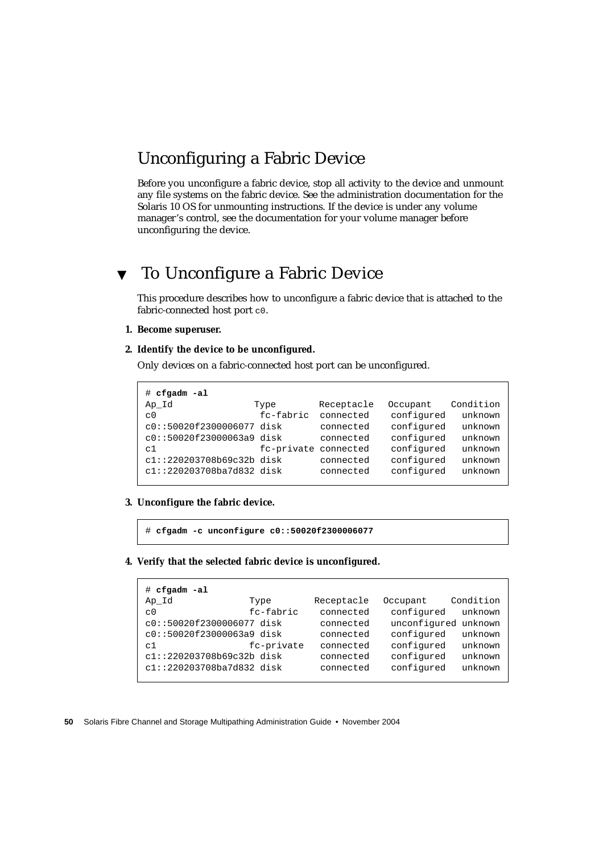### Unconfiguring a Fabric Device

Before you unconfigure a fabric device, stop all activity to the device and unmount any file systems on the fabric device. See the administration documentation for the Solaris 10 OS for unmounting instructions. If the device is under any volume manager's control, see the documentation for your volume manager before unconfiguring the device.

### ▼ To Unconfigure a Fabric Device

This procedure describes how to unconfigure a fabric device that is attached to the fabric-connected host port c0.

**1. Become superuser.**

#### **2. Identify the device to be unconfigured.**

Only devices on a fabric-connected host port can be unconfigured.

```
# cfgadm -al
Ap_Id Type Receptacle Occupant Condition
c0 fc-fabric connected configured unknown
c0::50020f2300006077 disk connected configured unknown
c0::50020f23000063a9 disk connected configured unknown
c1 fc-private connected configured unknown
c1::220203708b69c32b disk connected configured unknown
c1::220203708ba7d832 disk connected configured unknown
```
**3. Unconfigure the fabric device.**

# **cfgadm -c unconfigure c0::50020f2300006077**

**4. Verify that the selected fabric device is unconfigured.**

```
# cfgadm -al
Ap Id Type Receptacle Occupant Condition
c0 fc-fabric connected configured unknown
c0::50020f2300006077 disk connected unconfigured unknown
c0::50020f23000063a9 disk connected configured unknown
c1 fc-private connected configured unknown
c1::220203708b69c32b disk connected configured unknown
c1::220203708ba7d832 disk connected configured unknown
```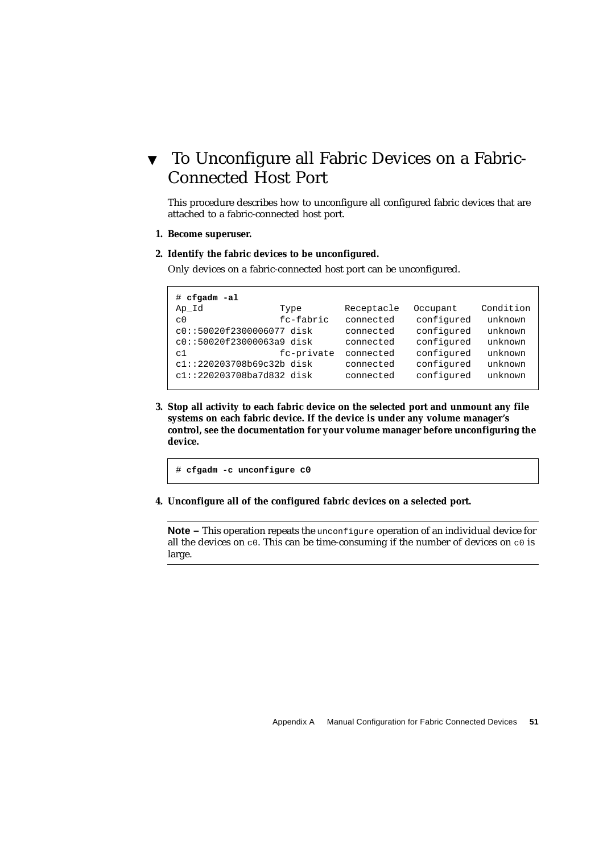### To Unconfigure all Fabric Devices on a Fabric-Connected Host Port

This procedure describes how to unconfigure all configured fabric devices that are attached to a fabric-connected host port.

#### **1. Become superuser.**

#### **2. Identify the fabric devices to be unconfigured.**

Only devices on a fabric-connected host port can be unconfigured.

| $\#$ cfgadm $-a1$           |            |            |            |           |
|-----------------------------|------------|------------|------------|-----------|
| Ap Id                       | Type       | Receptacle | Occupant   | Condition |
| $\rm c0$                    | fc-fabric  | connected  | configured | unknown   |
| $c0::50020f2300006077$ disk |            | connected  | configured | unknown   |
| $c0::50020f23000063a9$ disk |            | connected  | configured | unknown   |
| c <sub>1</sub>              | fc-private | connected  | configured | unknown   |
| $c1:220203708b69c32b$ disk  |            | connected  | configured | unknown   |
| c1:220203708ba7d832 disk    |            | connected  | configured | unknown   |
|                             |            |            |            |           |

**3. Stop all activity to each fabric device on the selected port and unmount any file systems on each fabric device. If the device is under any volume manager's control, see the documentation for your volume manager before unconfiguring the device.**

# **cfgadm -c unconfigure c0**

**4. Unconfigure all of the configured fabric devices on a selected port.**

**Note –** This operation repeats the unconfigure operation of an individual device for all the devices on  $\circ$  0. This can be time-consuming if the number of devices on  $\circ$  0 is large.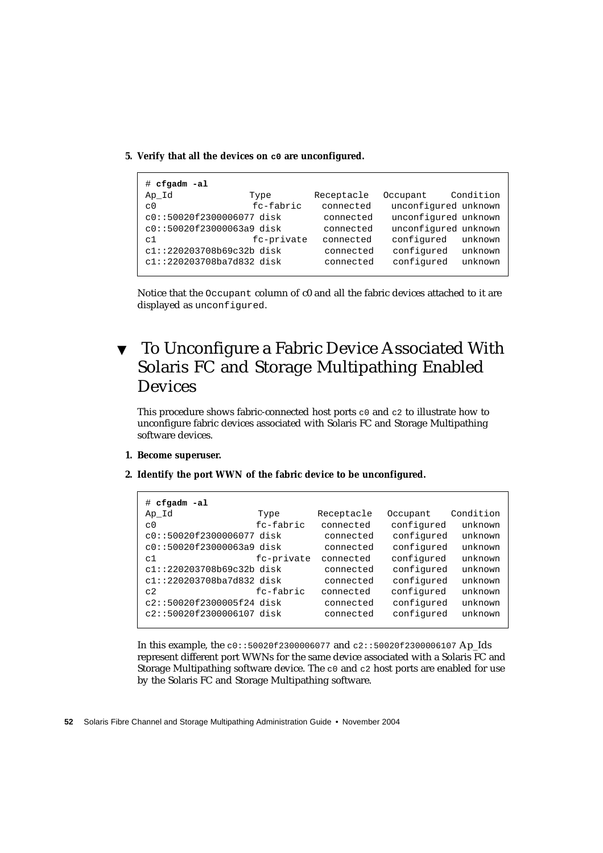**5. Verify that all the devices on c0 are unconfigured.**

| Type       | Receptacle                                                                                                           | Occupant   | Condition                                                            |
|------------|----------------------------------------------------------------------------------------------------------------------|------------|----------------------------------------------------------------------|
| fc-fabric  | connected                                                                                                            |            |                                                                      |
|            | connected                                                                                                            |            |                                                                      |
|            | connected                                                                                                            |            |                                                                      |
| fc-private | connected                                                                                                            | configured | unknown                                                              |
|            | connected                                                                                                            | configured | unknown                                                              |
|            | connected                                                                                                            | configured | unknown                                                              |
|            | $c0::50020f2300006077$ disk<br>$c0::50020f23000063a9$ disk<br>$c1:220203708b69c32b$ disk<br>c1:220203708ba7d832 disk |            | unconfigured unknown<br>unconfigured unknown<br>unconfigured unknown |

Notice that the Occupant column of c0 and all the fabric devices attached to it are displayed as unconfigured.

▼ To Unconfigure a Fabric Device Associated With Solaris FC and Storage Multipathing Enabled Devices

This procedure shows fabric-connected host ports  $c_0$  and  $c_2$  to illustrate how to unconfigure fabric devices associated with Solaris FC and Storage Multipathing software devices.

- **1. Become superuser.**
- **2. Identify the port WWN of the fabric device to be unconfigured.**

| cfgadm -al<br>#             |            |            |            |           |
|-----------------------------|------------|------------|------------|-----------|
| Ap_Id                       | Type       | Receptacle | Occupant   | Condition |
| C <sub>0</sub>              | fc-fabric  | connected  | configured | unknown   |
| $c0::50020f2300006077$ disk |            | connected  | configured | unknown   |
| $c0::50020f23000063a9$ disk |            | connected  | configured | unknown   |
| c1                          | fc-private | connected  | configured | unknown   |
| $c1:220203708b69c32b$ disk  |            | connected  | configured | unknown   |
| c1:220203708ba7d832 disk    |            | connected  | configured | unknown   |
| c2                          | fc-fabric  | connected  | configured | unknown   |
| c2::50020f2300005f24 disk   |            | connected  | configured | unknown   |
| c2::50020f2300006107 disk   |            | connected  | configured | unknown   |
|                             |            |            |            |           |

In this example, the  $c0::50020f2300006077$  and  $c2::50020f2300006107$  Ap\_Ids represent different port WWNs for the same device associated with a Solaris FC and Storage Multipathing software device. The  $\circ$  and  $\circ$  host ports are enabled for use by the Solaris FC and Storage Multipathing software.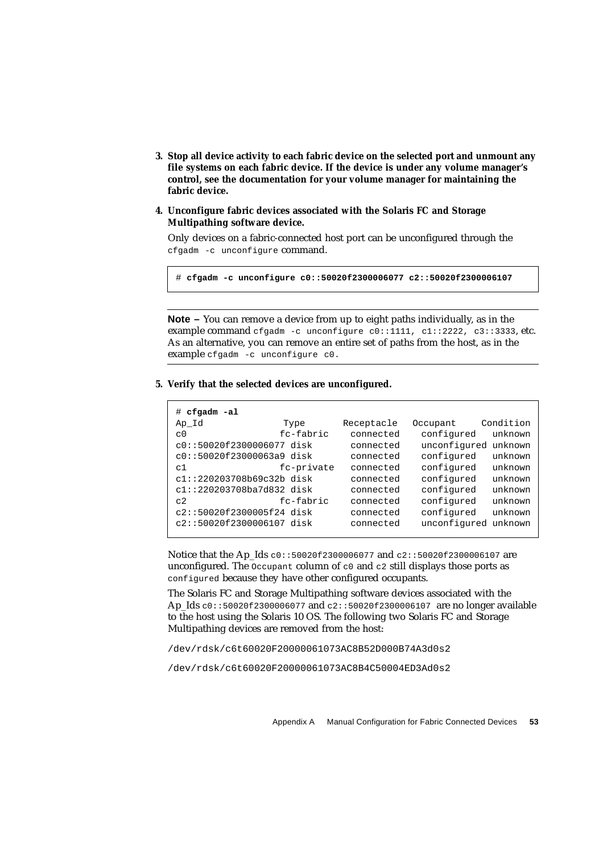- **3. Stop all device activity to each fabric device on the selected port and unmount any file systems on each fabric device. If the device is under any volume manager's control, see the documentation for your volume manager for maintaining the fabric device.**
- **4. Unconfigure fabric devices associated with the Solaris FC and Storage Multipathing software device.**

Only devices on a fabric-connected host port can be unconfigured through the cfgadm -c unconfigure command.

# **cfgadm -c unconfigure c0::50020f2300006077 c2::50020f2300006107**

**Note –** You can remove a device from up to eight paths individually, as in the example command cfgadm -c unconfigure c0::1111, c1::2222, c3::3333, etc. As an alternative, you can remove an entire set of paths from the host, as in the example cfgadm -c unconfigure c0.

#### **5. Verify that the selected devices are unconfigured.**

| cfgadm -al<br>#             |            |            |              |           |
|-----------------------------|------------|------------|--------------|-----------|
| Ap_Id                       | Type       | Receptacle | Occupant     | Condition |
| C <sub>0</sub>              | fc-fabric  | connected  | configured   | unknown   |
| c0::50020f2300006077        | disk       | connected  | unconfigured | unknown   |
| $c0::50020f23000063a9$ disk |            | connected  | configured   | unknown   |
| c1                          | fc-private | connected  | configured   | unknown   |
| $c1:220203708b69c32b$ disk  |            | connected  | configured   | unknown   |
| c1:220203708ba7d832 disk    |            | connected  | configured   | unknown   |
| C <sub>2</sub>              | fc-fabric  | connected  | configured   | unknown   |
| c2::50020f2300005f24 disk   |            | connected  | configured   | unknown   |
| c2::50020f2300006107 disk   |            | connected  | unconfigured | unknown   |

Notice that the Ap\_Ids  $c0::50020f2300006077$  and  $c2::50020f2300006107$  are unconfigured. The  $Oc$ cupant column of  $c0$  and  $c2$  still displays those ports as configured because they have other configured occupants.

The Solaris FC and Storage Multipathing software devices associated with the Ap Ids  $c0::50020f2300006077$  and  $c2::50020f2300006107$  are no longer available to the host using the Solaris 10 OS. The following two Solaris FC and Storage Multipathing devices are removed from the host:

/dev/rdsk/c6t60020F20000061073AC8B52D000B74A3d0s2

/dev/rdsk/c6t60020F20000061073AC8B4C50004ED3Ad0s2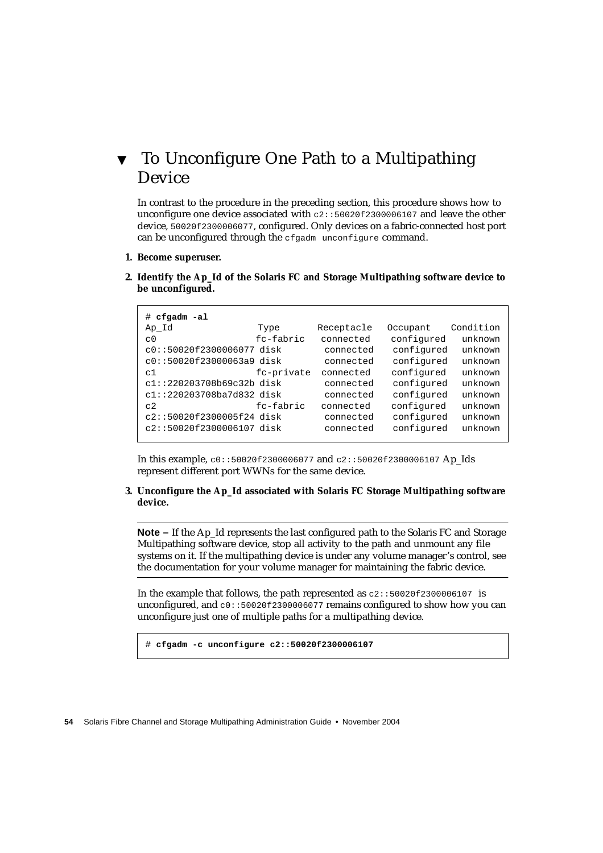### ▼ To Unconfigure One Path to a Multipathing Device

In contrast to the procedure in the preceding section, this procedure shows how to unconfigure one device associated with  $c2:50020f2300006107$  and leave the other device, 50020f2300006077, configured. Only devices on a fabric-connected host port can be unconfigured through the cfgadm unconfigure command.

- **1. Become superuser.**
- **2. Identify the Ap\_Id of the Solaris FC and Storage Multipathing software device to be unconfigured.**

| cfgadm -al<br>#             |            |            |            |           |
|-----------------------------|------------|------------|------------|-----------|
| Ap_Id                       | Type       | Receptacle | Occupant   | Condition |
| C <sub>0</sub>              | fc-fabric  | connected  | configured | unknown   |
| $c0::50020f2300006077$ disk |            | connected  | configured | unknown   |
| $c0::50020f23000063a9$ disk |            | connected  | configured | unknown   |
| c1                          | fc-private | connected  | configured | unknown   |
| $c1:220203708b69c32b$ disk  |            | connected  | configured | unknown   |
| c1:220203708ba7d832 disk    |            | connected  | configured | unknown   |
| C <sub>2</sub>              | fc-fabric  | connected  | configured | unknown   |
| c2::50020f2300005f24 disk   |            | connected  | configured | unknown   |
| c2::50020f2300006107 disk   |            | connected  | configured | unknown   |

In this example,  $c0::50020f2300006077$  and  $c2::50020f2300006107$  Ap\_Ids represent different port WWNs for the same device.

#### **3. Unconfigure the Ap\_Id associated with Solaris FC Storage Multipathing software device.**

**Note –** If the Ap\_Id represents the last configured path to the Solaris FC and Storage Multipathing software device, stop all activity to the path and unmount any file systems on it. If the multipathing device is under any volume manager's control, see the documentation for your volume manager for maintaining the fabric device.

In the example that follows, the path represented as  $c2::50020f2300006107$  is unconfigured, and c0::50020f2300006077 remains configured to show how you can unconfigure just one of multiple paths for a multipathing device.

```
# cfgadm -c unconfigure c2::50020f2300006107
```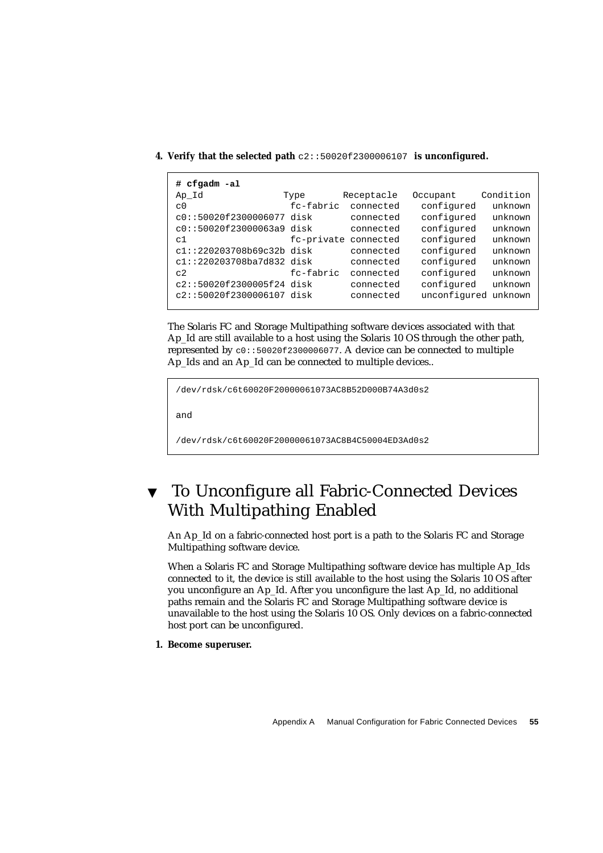**4. Verify that the selected path** c2::50020f2300006107 **is unconfigured.**

| #<br>cfgadm -al             |            |            |              |           |
|-----------------------------|------------|------------|--------------|-----------|
| Ap_Id                       | Type       | Receptacle | Occupant     | Condition |
| C <sub>0</sub>              | fc-fabric  | connected  | configured   | unknown   |
| c0::50020f2300006077        | disk       | connected  | configured   | unknown   |
| $c0::50020f23000063a9$ disk |            | connected  | configured   | unknown   |
| c1                          | fc-private | connected  | configured   | unknown   |
| c1::220203708b69c32b disk   |            | connected  | configured   | unknown   |
| c1:220203708ba7d832 disk    |            | connected  | configured   | unknown   |
| C <sub>2</sub>              | fc-fabric  | connected  | configured   | unknown   |
| c2::50020f2300005f24 disk   |            | connected  | configured   | unknown   |
| c2::50020f2300006107        | disk       | connected  | unconfigured | unknown   |

The Solaris FC and Storage Multipathing software devices associated with that Ap\_Id are still available to a host using the Solaris 10 OS through the other path, represented by c0::50020f2300006077. A device can be connected to multiple Ap\_Ids and an Ap\_Id can be connected to multiple devices..

```
/dev/rdsk/c6t60020F20000061073AC8B52D000B74A3d0s2
```
and

/dev/rdsk/c6t60020F20000061073AC8B4C50004ED3Ad0s2

### To Unconfigure all Fabric-Connected Devices With Multipathing Enabled

An Ap\_Id on a fabric-connected host port is a path to the Solaris FC and Storage Multipathing software device.

When a Solaris FC and Storage Multipathing software device has multiple Ap\_Ids connected to it, the device is still available to the host using the Solaris 10 OS after you unconfigure an Ap\_Id. After you unconfigure the last Ap\_Id, no additional paths remain and the Solaris FC and Storage Multipathing software device is unavailable to the host using the Solaris 10 OS. Only devices on a fabric-connected host port can be unconfigured.

**1. Become superuser.**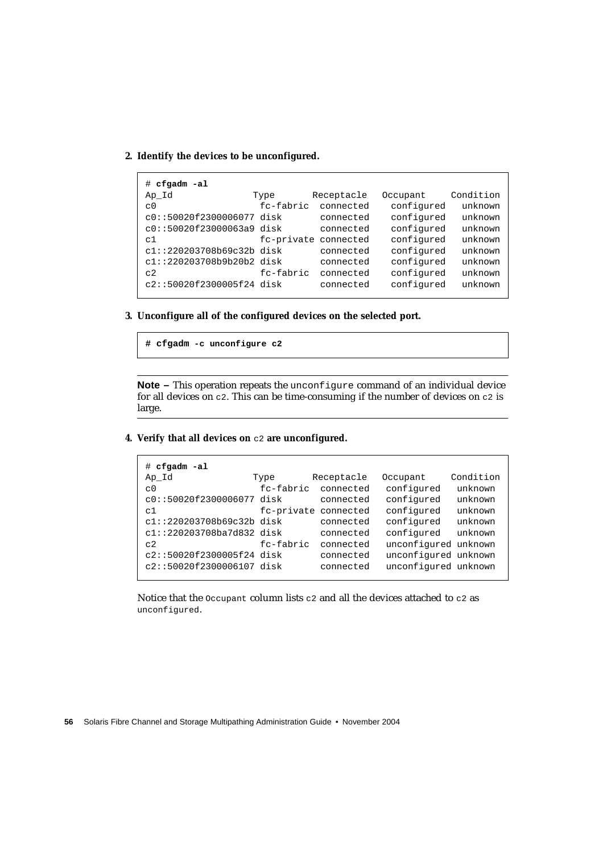**2. Identify the devices to be unconfigured.**

| $\#$ cfgadm $-a1$           |                      |            |            |           |
|-----------------------------|----------------------|------------|------------|-----------|
| Ap Id                       | Type                 | Receptacle | Occupant   | Condition |
| C <sub>0</sub>              | fc-fabric            | connected  | configured | unknown   |
| $c0::50020f2300006077$ disk |                      | connected  | configured | unknown   |
| $c0::50020f23000063a9$ disk |                      | connected  | configured | unknown   |
| c1                          | fc-private connected |            | configured | unknown   |
| $c1:220203708b69c32b$ disk  |                      | connected  | configured | unknown   |
| $c1:220203708b9b20b2$ disk  |                      | connected  | configured | unknown   |
| C <sub>2</sub>              | fc-fabric            | connected  | configured | unknown   |
| c2::50020f2300005f24 disk   |                      | connected  | configured | unknown   |

**3. Unconfigure all of the configured devices on the selected port.**

**# cfgadm -c unconfigure c2**

**Note –** This operation repeats the unconfigure command of an individual device for all devices on c2. This can be time-consuming if the number of devices on c2 is large.

**4. Verify that all devices on** c2 **are unconfigured.**

| $\#$ cfgadm $-a1$           |                      |            |                      |           |
|-----------------------------|----------------------|------------|----------------------|-----------|
| Ap_Id                       | Type                 | Receptacle | Occupant             | Condition |
| C <sub>0</sub>              | fc-fabric            | connected  | configured           | unknown   |
| $c0::50020f2300006077$ disk |                      | connected  | configured           | unknown   |
| c1                          | fc-private connected |            | configured           | unknown   |
| $c1:220203708b69c32b$ disk  |                      | connected  | configured           | unknown   |
| c1:220203708ba7d832 disk    |                      | connected  | configured           | unknown   |
| C <sub>2</sub>              | fc-fabric            | connected  | unconfigured unknown |           |
| c2::50020f2300005f24 disk   |                      | connected  | unconfigured unknown |           |
| $c2::50020f2300006107$ disk |                      | connected  | unconfigured unknown |           |

Notice that the Occupant column lists c2 and all the devices attached to c2 as unconfigured.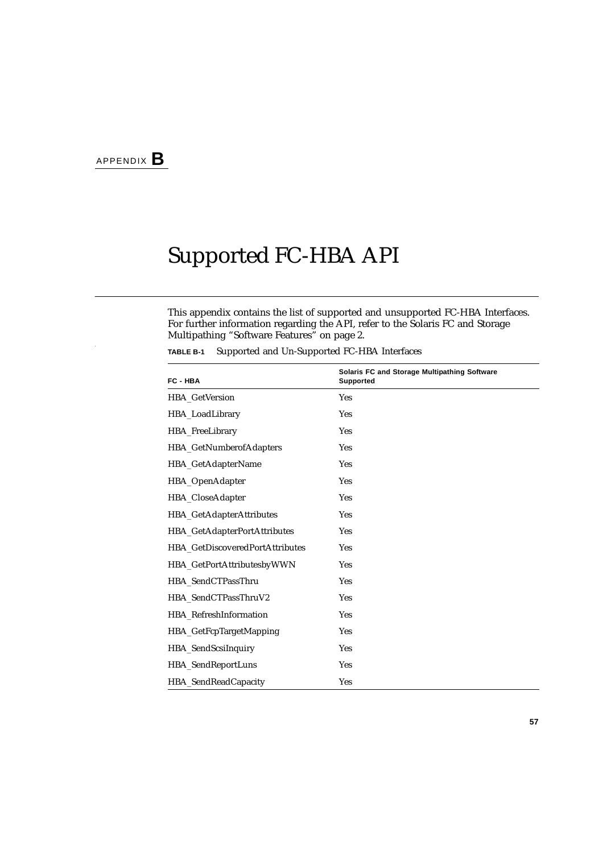# Supported FC-HBA API

This appendix contains the list of supported and unsupported FC-HBA Interfaces. For further information regarding the API, refer to the Solaris FC and Storage Multipathing ["Software Features" on page 2](#page-13-0).

| FC - HBA                        | Solaris FC and Storage Multipathing Software<br><b>Supported</b> |
|---------------------------------|------------------------------------------------------------------|
| <b>HBA</b> GetVersion           | <b>Yes</b>                                                       |
| HBA_LoadLibrary                 | <b>Yes</b>                                                       |
| HBA_FreeLibrary                 | <b>Yes</b>                                                       |
| HBA_GetNumberofAdapters         | <b>Yes</b>                                                       |
| HBA_GetAdapterName              | <b>Yes</b>                                                       |
| HBA_OpenAdapter                 | <b>Yes</b>                                                       |
| HBA_CloseAdapter                | <b>Yes</b>                                                       |
| HBA_GetAdapterAttributes        | <b>Yes</b>                                                       |
| HBA_GetAdapterPortAttributes    | <b>Yes</b>                                                       |
| HBA GetDiscoveredPortAttributes | <b>Yes</b>                                                       |
| HBA_GetPortAttributesbyWWN      | <b>Yes</b>                                                       |
| HBA SendCTPassThru              | Yes                                                              |
| HBA SendCTPassThruV2            | Yes                                                              |
| HBA RefreshInformation          | Yes                                                              |
| HBA_GetFcpTargetMapping         | <b>Yes</b>                                                       |
| HBA_SendScsiInquiry             | <b>Yes</b>                                                       |
| HBA_SendReportLuns              | <b>Yes</b>                                                       |
| HBA_SendReadCapacity            | Yes                                                              |

**TABLE B-1** Supported and Un-Supported FC-HBA Interfaces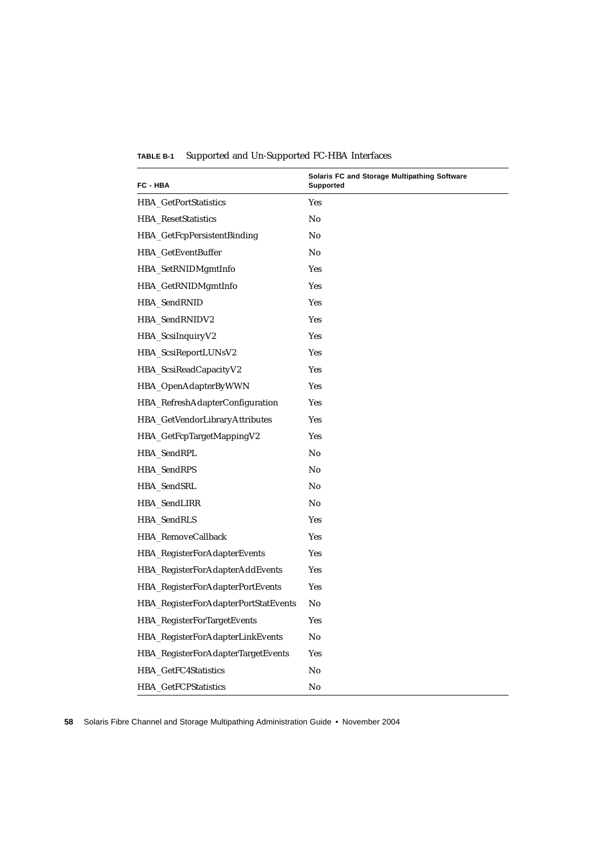| FC - HBA                             | <b>Solaris FC and Storage Multipathing Software</b><br>Supported |
|--------------------------------------|------------------------------------------------------------------|
| HBA_GetPortStatistics                | <b>Yes</b>                                                       |
| <b>HBA_ResetStatistics</b>           | No                                                               |
| HBA_GetFcpPersistentBinding          | No                                                               |
| HBA_GetEventBuffer                   | No                                                               |
| HBA_SetRNIDMgmtInfo                  | Yes                                                              |
| HBA_GetRNIDMgmtInfo                  | Yes                                                              |
| HBA_SendRNID                         | Yes                                                              |
| HBA_SendRNIDV2                       | Yes                                                              |
| HBA_ScsiInquiryV2                    | Yes                                                              |
| HBA_ScsiReportLUNsV2                 | Yes                                                              |
| HBA_ScsiReadCapacityV2               | Yes                                                              |
| HBA_OpenAdapterByWWN                 | <b>Yes</b>                                                       |
| HBA_RefreshAdapterConfiguration      | Yes                                                              |
| HBA_GetVendorLibraryAttributes       | Yes                                                              |
| HBA_GetFcpTargetMappingV2            | Yes                                                              |
| HBA_SendRPL                          | No                                                               |
| HBA_SendRPS                          | No                                                               |
| HBA_SendSRL                          | No                                                               |
| HBA_SendLIRR                         | No                                                               |
| HBA_SendRLS                          | Yes                                                              |
| HBA_RemoveCallback                   | Yes                                                              |
| HBA_RegisterForAdapterEvents         | Yes                                                              |
| HBA_RegisterForAdapterAddEvents      | Yes                                                              |
| HBA_RegisterForAdapterPortEvents     | Yes                                                              |
| HBA_RegisterForAdapterPortStatEvents | No                                                               |
| HBA_RegisterForTargetEvents          | <b>Yes</b>                                                       |
| HBA_RegisterForAdapterLinkEvents     | No                                                               |
| HBA_RegisterForAdapterTargetEvents   | Yes                                                              |
| HBA_GetFC4Statistics                 | No                                                               |
| <b>HBA GetFCPStatistics</b>          | No                                                               |

### **TABLE B-1** Supported and Un-Supported FC-HBA Interfaces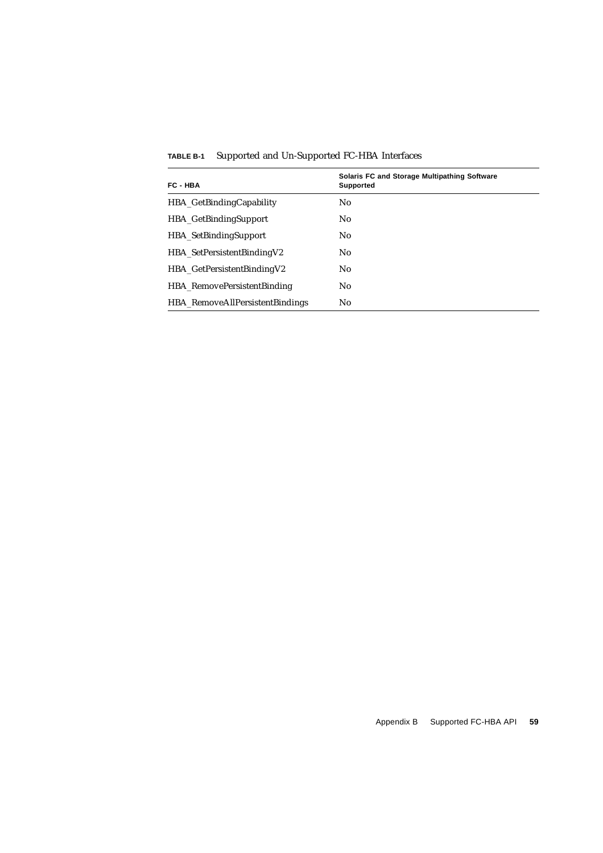| FC - HBA                               | Solaris FC and Storage Multipathing Software<br><b>Supported</b> |
|----------------------------------------|------------------------------------------------------------------|
| HBA_GetBindingCapability               | No.                                                              |
| HBA_GetBindingSupport                  | No.                                                              |
| HBA_SetBindingSupport                  | No.                                                              |
| HBA SetPersistentBindingV2             | No.                                                              |
| HBA GetPersistentBindingV2             | No.                                                              |
| <b>HBA</b> RemovePersistentBinding     | No                                                               |
| <b>HBA</b> RemoveAllPersistentBindings | No                                                               |

### **TABLE B-1** Supported and Un-Supported FC-HBA Interfaces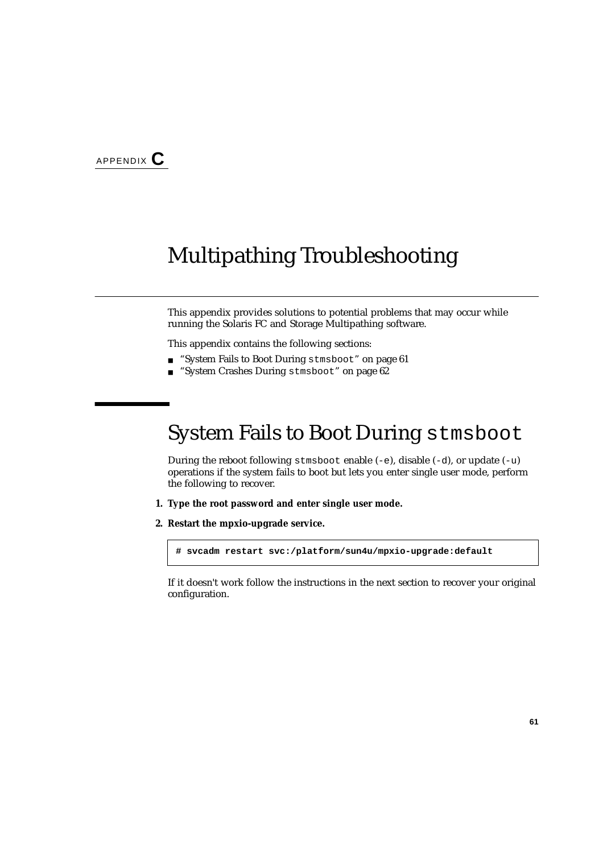# Multipathing Troubleshooting

This appendix provides solutions to potential problems that may occur while running the Solaris FC and Storage Multipathing software.

This appendix contains the following sections:

- ["System Fails to Boot During](#page-72-0) stmsboot" on page 61
- ["System Crashes During](#page-73-0) stmsboot" on page 62

## <span id="page-72-0"></span>System Fails to Boot During stmsboot

During the reboot following stmsboot enable  $(-e)$ , disable  $(-d)$ , or update  $(-u)$ operations if the system fails to boot but lets you enter single user mode, perform the following to recover.

- **1. Type the root password and enter single user mode.**
- **2. Restart the mpxio-upgrade service.**

```
# svcadm restart svc:/platform/sun4u/mpxio-upgrade:default
```
If it doesn't work follow the instructions in the next section to recover your original configuration.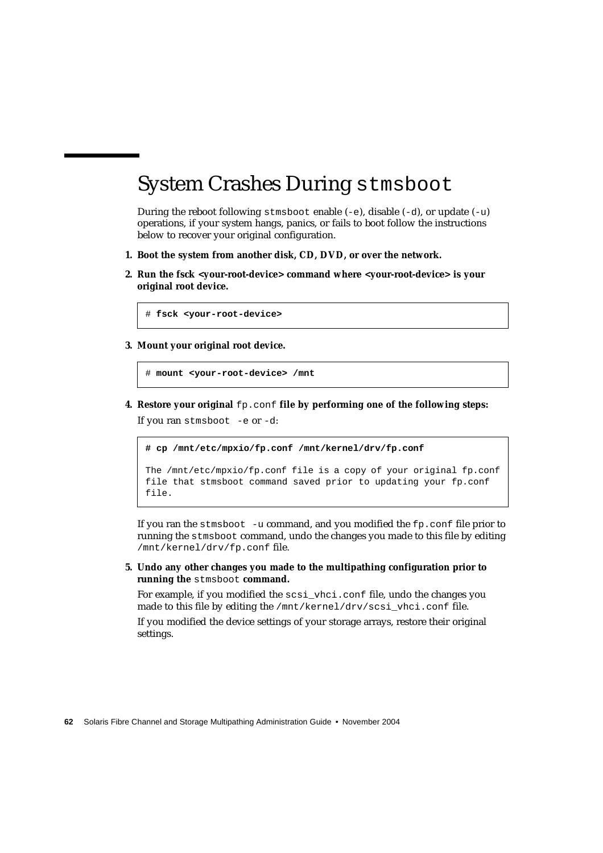## <span id="page-73-0"></span>System Crashes During stmsboot

During the reboot following stmsboot enable  $(-e)$ , disable  $(-d)$ , or update  $(-u)$ operations, if your system hangs, panics, or fails to boot follow the instructions below to recover your original configuration.

- **1. Boot the system from another disk, CD, DVD, or over the network.**
- **2. Run the fsck <your-root-device> command where <your-root-device> is your original root device.**

# **fsck <your-root-device>**

**3. Mount your original root device.**

```
# mount <your-root-device> /mnt
```
**4. Restore your original** fp.conf **file by performing one of the following steps:**

If you ran stmsboot -e or -d:

**# cp /mnt/etc/mpxio/fp.conf /mnt/kernel/drv/fp.conf**

The /mnt/etc/mpxio/fp.conf file is a copy of your original fp.conf file that stmsboot command saved prior to updating your fp.conf file.

If you ran the stms boot  $-u$  command, and you modified the  $fp$  conf file prior to running the stmsboot command, undo the changes you made to this file by editing /mnt/kernel/drv/fp.conf file.

**5. Undo any other changes you made to the multipathing configuration prior to running the** stmsboot **command.**

For example, if you modified the scsi\_vhci.conf file, undo the changes you made to this file by editing the /mnt/kernel/drv/scsi\_vhci.conf file.

If you modified the device settings of your storage arrays, restore their original settings.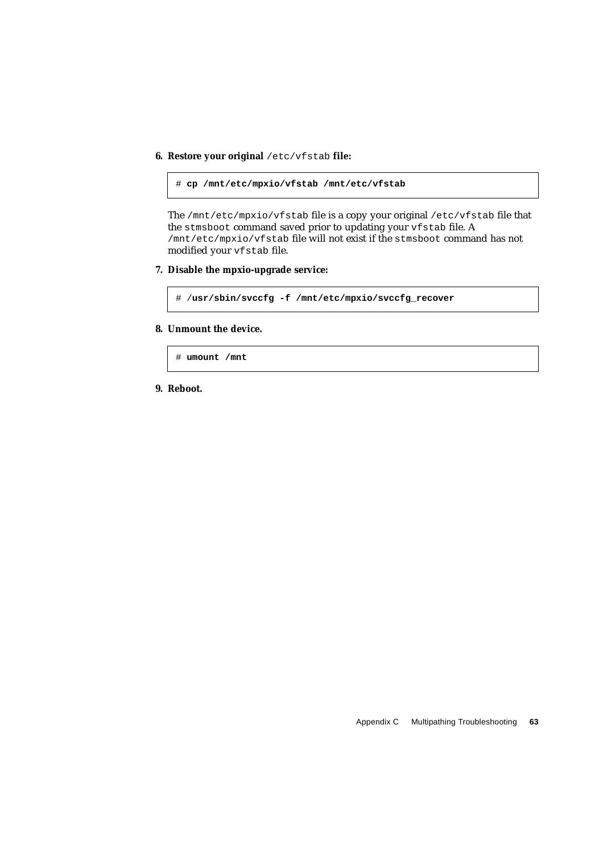**6. Restore your original** /etc/vfstab **file:**

```
# cp /mnt/etc/mpxio/vfstab /mnt/etc/vfstab
```
The /mnt/etc/mpxio/vfstab file is a copy your original /etc/vfstab file that the stmsboot command saved prior to updating your vfstab file. A /mnt/etc/mpxio/vfstab file will not exist if the stmsboot command has not modified your vfstab file.

**7. Disable the mpxio-upgrade service:**

# /**usr/sbin/svccfg -f /mnt/etc/mpxio/svccfg\_recover**

**8. Unmount the device.**

# **umount /mnt**

**9. Reboot.**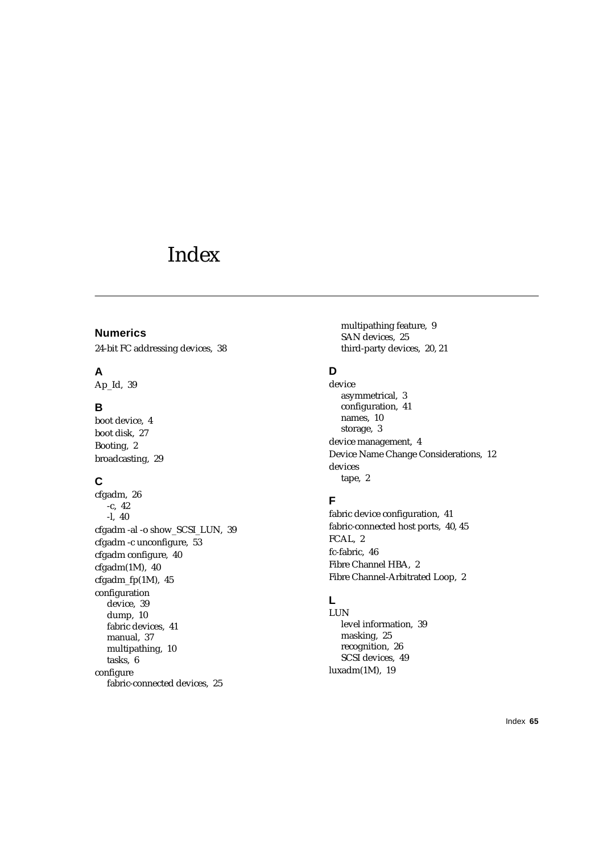## Index

#### **Numerics**

[24-bit FC addressing devices, 38](#page-49-0)

## **A**

[Ap\\_Id, 39](#page-50-0)

## **B**

[boot device, 4](#page-15-0) [boot disk, 27](#page-38-0) [Booting, 2](#page-13-0) [broadcasting, 29](#page-40-0)

## **C**

[cfgadm, 26](#page-37-0) [-c, 42](#page-53-0) [-l, 40](#page-51-0) [cfgadm -al -o show\\_SCSI\\_LUN, 39](#page-50-1) [cfgadm -c unconfigure, 53](#page-64-0) [cfgadm configure, 40](#page-51-1) [cfgadm\(1M\), 40](#page-51-2) [cfgadm\\_fp\(1M\), 45](#page-56-0) configuration [device, 39](#page-50-2) [dump, 10](#page-21-0) [fabric devices, 41](#page-52-0) [manual, 37](#page-48-0) [multipathing, 10](#page-21-1) [tasks, 6](#page-17-0) configure [fabric-connected devices, 25](#page-36-0)

[multipathing feature, 9](#page-20-0) [SAN devices, 25](#page-36-1) [third-party devices, 20,](#page-31-0) [21](#page-32-0)

#### **D**

device [asymmetrical, 3](#page-14-0) [configuration, 41](#page-52-1) [names, 10](#page-21-2) [storage, 3](#page-14-1) [device management, 4](#page-15-1) [Device Name Change Considerations, 12](#page-23-0) devices [tape, 2](#page-13-1)

## **F**

[fabric device configuration, 41](#page-52-2) [fabric-connected host ports, 40,](#page-51-3) [45](#page-56-1) [FCAL, 2](#page-13-2) [fc-fabric, 46](#page-57-0) [Fibre Channel HBA, 2](#page-13-3) [Fibre Channel-Arbitrated Loop, 2](#page-13-4)

## **L**

**LUN** [level information, 39](#page-50-3) [masking, 25](#page-36-2) [recognition, 26](#page-37-1) [SCSI devices, 49](#page-60-0) [luxadm\(1M\), 19](#page-30-0)